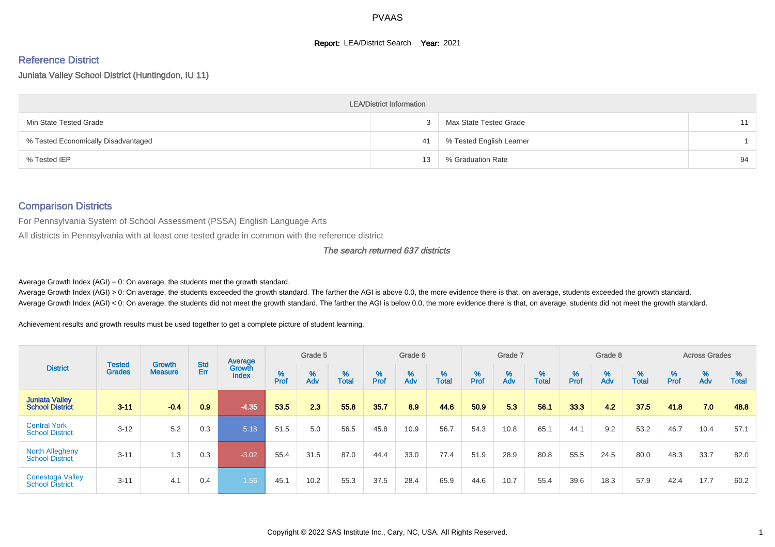#### **Report: LEA/District Search Year: 2021**

# Reference District

Juniata Valley School District (Huntingdon, IU 11)

|                                     | <b>LEA/District Information</b> |                          |    |
|-------------------------------------|---------------------------------|--------------------------|----|
| Min State Tested Grade              |                                 | Max State Tested Grade   | 11 |
| % Tested Economically Disadvantaged | 41                              | % Tested English Learner |    |
| % Tested IEP                        | 13                              | % Graduation Rate        | 94 |

#### Comparison Districts

For Pennsylvania System of School Assessment (PSSA) English Language Arts

All districts in Pennsylvania with at least one tested grade in common with the reference district

#### The search returned 637 districts

Average Growth Index  $(AGI) = 0$ : On average, the students met the growth standard.

Average Growth Index (AGI) > 0: On average, the students exceeded the growth standard. The farther the AGI is above 0.0, the more evidence there is that, on average, students exceeded the growth standard. Average Growth Index (AGI) < 0: On average, the students did not meet the growth standard. The farther the AGI is below 0.0, the more evidence there is that, on average, students did not meet the growth standard.

Achievement results and growth results must be used together to get a complete picture of student learning.

| <b>District</b>                                   |                                |                                 |            | Average                |           | Grade 5  |                   |        | Grade 6  |                   |           | Grade 7  |                   |           | Grade 8  |                   |           | <b>Across Grades</b> |                   |
|---------------------------------------------------|--------------------------------|---------------------------------|------------|------------------------|-----------|----------|-------------------|--------|----------|-------------------|-----------|----------|-------------------|-----------|----------|-------------------|-----------|----------------------|-------------------|
|                                                   | <b>Tested</b><br><b>Grades</b> | <b>Growth</b><br><b>Measure</b> | Std<br>Err | Growth<br><b>Index</b> | %<br>Prof | %<br>Adv | %<br><b>Total</b> | % Pref | %<br>Adv | %<br><b>Total</b> | %<br>Prof | %<br>Adv | %<br><b>Total</b> | %<br>Prof | %<br>Adv | %<br><b>Total</b> | %<br>Prof | %<br>Adv             | %<br><b>Total</b> |
| <b>Juniata Valley</b><br><b>School District</b>   | $3 - 11$                       | $-0.4$                          | 0.9        | $-4.35$                | 53.5      | 2.3      | 55.8              | 35.7   | 8.9      | 44.6              | 50.9      | 5.3      | 56.1              | 33.3      | 4.2      | 37.5              | 41.8      | 7.0                  | 48.8              |
| <b>Central York</b><br><b>School District</b>     | $3 - 12$                       | 5.2                             | 0.3        | 5.18                   | 51.5      | 5.0      | 56.5              | 45.8   | 10.9     | 56.7              | 54.3      | 10.8     | 65.1              | 44.1      | 9.2      | 53.2              | 46.7      | 10.4                 | 57.1              |
| <b>North Allegheny</b><br><b>School District</b>  | $3 - 11$                       | 1.3                             | 0.3        | $-3.02$                | 55.4      | 31.5     | 87.0              | 44.4   | 33.0     | 77.4              | 51.9      | 28.9     | 80.8              | 55.5      | 24.5     | 80.0              | 48.3      | 33.7                 | 82.0              |
| <b>Conestoga Valley</b><br><b>School District</b> | $3 - 11$                       | 4.1                             | 0.4        | 1.56                   | 45.1      | 10.2     | 55.3              | 37.5   | 28.4     | 65.9              | 44.6      | 10.7     | 55.4              | 39.6      | 18.3     | 57.9              | 42.4      | 17.7                 | 60.2              |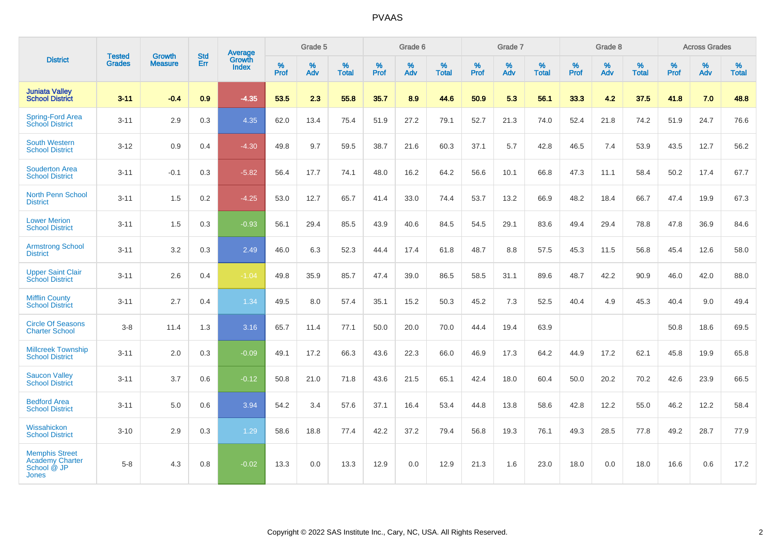| <b>District</b>                                                         | <b>Tested</b> | <b>Growth</b>  | <b>Std</b> | <b>Average</b>  |                  | Grade 5  |                   |                  | Grade 6  |                   |           | Grade 7  |                   |           | Grade 8  |                   |                  | <b>Across Grades</b> |                   |
|-------------------------------------------------------------------------|---------------|----------------|------------|-----------------|------------------|----------|-------------------|------------------|----------|-------------------|-----------|----------|-------------------|-----------|----------|-------------------|------------------|----------------------|-------------------|
|                                                                         | <b>Grades</b> | <b>Measure</b> | Err        | Growth<br>Index | %<br><b>Prof</b> | %<br>Adv | %<br><b>Total</b> | %<br><b>Prof</b> | %<br>Adv | %<br><b>Total</b> | %<br>Prof | %<br>Adv | %<br><b>Total</b> | %<br>Prof | %<br>Adv | %<br><b>Total</b> | %<br><b>Prof</b> | %<br>Adv             | %<br><b>Total</b> |
| <b>Juniata Valley</b><br><b>School District</b>                         | $3 - 11$      | $-0.4$         | 0.9        | $-4.35$         | 53.5             | 2.3      | 55.8              | 35.7             | 8.9      | 44.6              | 50.9      | 5.3      | 56.1              | 33.3      | 4.2      | 37.5              | 41.8             | 7.0                  | 48.8              |
| <b>Spring-Ford Area</b><br>School District                              | $3 - 11$      | 2.9            | 0.3        | 4.35            | 62.0             | 13.4     | 75.4              | 51.9             | 27.2     | 79.1              | 52.7      | 21.3     | 74.0              | 52.4      | 21.8     | 74.2              | 51.9             | 24.7                 | 76.6              |
| <b>South Western</b><br><b>School District</b>                          | $3 - 12$      | 0.9            | 0.4        | $-4.30$         | 49.8             | 9.7      | 59.5              | 38.7             | 21.6     | 60.3              | 37.1      | 5.7      | 42.8              | 46.5      | 7.4      | 53.9              | 43.5             | 12.7                 | 56.2              |
| <b>Souderton Area</b><br><b>School District</b>                         | $3 - 11$      | $-0.1$         | 0.3        | $-5.82$         | 56.4             | 17.7     | 74.1              | 48.0             | 16.2     | 64.2              | 56.6      | 10.1     | 66.8              | 47.3      | 11.1     | 58.4              | 50.2             | 17.4                 | 67.7              |
| <b>North Penn School</b><br><b>District</b>                             | $3 - 11$      | 1.5            | 0.2        | $-4.25$         | 53.0             | 12.7     | 65.7              | 41.4             | 33.0     | 74.4              | 53.7      | 13.2     | 66.9              | 48.2      | 18.4     | 66.7              | 47.4             | 19.9                 | 67.3              |
| <b>Lower Merion</b><br><b>School District</b>                           | $3 - 11$      | 1.5            | 0.3        | $-0.93$         | 56.1             | 29.4     | 85.5              | 43.9             | 40.6     | 84.5              | 54.5      | 29.1     | 83.6              | 49.4      | 29.4     | 78.8              | 47.8             | 36.9                 | 84.6              |
| <b>Armstrong School</b><br><b>District</b>                              | $3 - 11$      | 3.2            | 0.3        | 2.49            | 46.0             | 6.3      | 52.3              | 44.4             | 17.4     | 61.8              | 48.7      | 8.8      | 57.5              | 45.3      | 11.5     | 56.8              | 45.4             | 12.6                 | 58.0              |
| <b>Upper Saint Clair</b><br><b>School District</b>                      | $3 - 11$      | 2.6            | 0.4        | $-1.04$         | 49.8             | 35.9     | 85.7              | 47.4             | 39.0     | 86.5              | 58.5      | 31.1     | 89.6              | 48.7      | 42.2     | 90.9              | 46.0             | 42.0                 | 88.0              |
| <b>Mifflin County</b><br><b>School District</b>                         | $3 - 11$      | 2.7            | 0.4        | 1.34            | 49.5             | 8.0      | 57.4              | 35.1             | 15.2     | 50.3              | 45.2      | 7.3      | 52.5              | 40.4      | 4.9      | 45.3              | 40.4             | 9.0                  | 49.4              |
| <b>Circle Of Seasons</b><br><b>Charter School</b>                       | $3 - 8$       | 11.4           | 1.3        | 3.16            | 65.7             | 11.4     | 77.1              | 50.0             | 20.0     | 70.0              | 44.4      | 19.4     | 63.9              |           |          |                   | 50.8             | 18.6                 | 69.5              |
| <b>Millcreek Township</b><br><b>School District</b>                     | $3 - 11$      | 2.0            | 0.3        | $-0.09$         | 49.1             | 17.2     | 66.3              | 43.6             | 22.3     | 66.0              | 46.9      | 17.3     | 64.2              | 44.9      | 17.2     | 62.1              | 45.8             | 19.9                 | 65.8              |
| <b>Saucon Valley</b><br><b>School District</b>                          | $3 - 11$      | 3.7            | 0.6        | $-0.12$         | 50.8             | 21.0     | 71.8              | 43.6             | 21.5     | 65.1              | 42.4      | 18.0     | 60.4              | 50.0      | 20.2     | 70.2              | 42.6             | 23.9                 | 66.5              |
| <b>Bedford Area</b><br><b>School District</b>                           | $3 - 11$      | 5.0            | 0.6        | 3.94            | 54.2             | 3.4      | 57.6              | 37.1             | 16.4     | 53.4              | 44.8      | 13.8     | 58.6              | 42.8      | 12.2     | 55.0              | 46.2             | 12.2                 | 58.4              |
| Wissahickon<br><b>School District</b>                                   | $3 - 10$      | 2.9            | 0.3        | 1.29            | 58.6             | 18.8     | 77.4              | 42.2             | 37.2     | 79.4              | 56.8      | 19.3     | 76.1              | 49.3      | 28.5     | 77.8              | 49.2             | 28.7                 | 77.9              |
| <b>Memphis Street</b><br>Academy Charter<br>School @ JP<br><b>Jones</b> | $5 - 8$       | 4.3            | 0.8        | $-0.02$         | 13.3             | 0.0      | 13.3              | 12.9             | 0.0      | 12.9              | 21.3      | 1.6      | 23.0              | 18.0      | 0.0      | 18.0              | 16.6             | 0.6                  | 17.2              |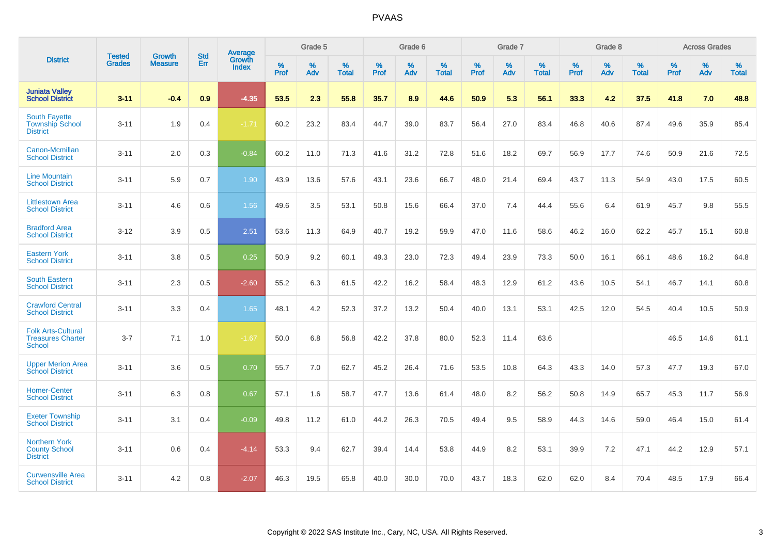|                                                                        | <b>Tested</b> | <b>Growth</b>  | <b>Std</b> | Average                       |           | Grade 5  |                   |           | Grade 6  |                   |           | Grade 7  |                   |           | Grade 8  |                   |           | <b>Across Grades</b> |                   |
|------------------------------------------------------------------------|---------------|----------------|------------|-------------------------------|-----------|----------|-------------------|-----------|----------|-------------------|-----------|----------|-------------------|-----------|----------|-------------------|-----------|----------------------|-------------------|
| <b>District</b>                                                        | <b>Grades</b> | <b>Measure</b> | Err        | <b>Growth</b><br><b>Index</b> | %<br>Prof | %<br>Adv | %<br><b>Total</b> | %<br>Prof | %<br>Adv | %<br><b>Total</b> | %<br>Prof | %<br>Adv | %<br><b>Total</b> | %<br>Prof | %<br>Adv | %<br><b>Total</b> | %<br>Prof | %<br>Adv             | %<br><b>Total</b> |
| <b>Juniata Valley</b><br><b>School District</b>                        | $3 - 11$      | $-0.4$         | 0.9        | $-4.35$                       | 53.5      | 2.3      | 55.8              | 35.7      | 8.9      | 44.6              | 50.9      | 5.3      | 56.1              | 33.3      | 4.2      | 37.5              | 41.8      | 7.0                  | 48.8              |
| <b>South Fayette</b><br><b>Township School</b><br><b>District</b>      | $3 - 11$      | 1.9            | 0.4        | $-1.71$                       | 60.2      | 23.2     | 83.4              | 44.7      | 39.0     | 83.7              | 56.4      | 27.0     | 83.4              | 46.8      | 40.6     | 87.4              | 49.6      | 35.9                 | 85.4              |
| Canon-Mcmillan<br><b>School District</b>                               | $3 - 11$      | 2.0            | 0.3        | $-0.84$                       | 60.2      | 11.0     | 71.3              | 41.6      | 31.2     | 72.8              | 51.6      | 18.2     | 69.7              | 56.9      | 17.7     | 74.6              | 50.9      | 21.6                 | 72.5              |
| <b>Line Mountain</b><br><b>School District</b>                         | $3 - 11$      | 5.9            | 0.7        | 1.90                          | 43.9      | 13.6     | 57.6              | 43.1      | 23.6     | 66.7              | 48.0      | 21.4     | 69.4              | 43.7      | 11.3     | 54.9              | 43.0      | 17.5                 | 60.5              |
| <b>Littlestown Area</b><br><b>School District</b>                      | $3 - 11$      | 4.6            | 0.6        | 1.56                          | 49.6      | 3.5      | 53.1              | 50.8      | 15.6     | 66.4              | 37.0      | 7.4      | 44.4              | 55.6      | 6.4      | 61.9              | 45.7      | 9.8                  | 55.5              |
| <b>Bradford Area</b><br><b>School District</b>                         | $3 - 12$      | 3.9            | 0.5        | 2.51                          | 53.6      | 11.3     | 64.9              | 40.7      | 19.2     | 59.9              | 47.0      | 11.6     | 58.6              | 46.2      | 16.0     | 62.2              | 45.7      | 15.1                 | 60.8              |
| <b>Eastern York</b><br><b>School District</b>                          | $3 - 11$      | 3.8            | 0.5        | 0.25                          | 50.9      | 9.2      | 60.1              | 49.3      | 23.0     | 72.3              | 49.4      | 23.9     | 73.3              | 50.0      | 16.1     | 66.1              | 48.6      | 16.2                 | 64.8              |
| <b>South Eastern</b><br><b>School District</b>                         | $3 - 11$      | 2.3            | 0.5        | $-2.60$                       | 55.2      | 6.3      | 61.5              | 42.2      | 16.2     | 58.4              | 48.3      | 12.9     | 61.2              | 43.6      | 10.5     | 54.1              | 46.7      | 14.1                 | 60.8              |
| <b>Crawford Central</b><br><b>School District</b>                      | $3 - 11$      | 3.3            | 0.4        | 1.65                          | 48.1      | 4.2      | 52.3              | 37.2      | 13.2     | 50.4              | 40.0      | 13.1     | 53.1              | 42.5      | 12.0     | 54.5              | 40.4      | 10.5                 | 50.9              |
| <b>Folk Arts-Cultural</b><br><b>Treasures Charter</b><br><b>School</b> | $3 - 7$       | 7.1            | 1.0        | $-1.67$                       | 50.0      | 6.8      | 56.8              | 42.2      | 37.8     | 80.0              | 52.3      | 11.4     | 63.6              |           |          |                   | 46.5      | 14.6                 | 61.1              |
| <b>Upper Merion Area</b><br><b>School District</b>                     | $3 - 11$      | 3.6            | 0.5        | 0.70                          | 55.7      | 7.0      | 62.7              | 45.2      | 26.4     | 71.6              | 53.5      | 10.8     | 64.3              | 43.3      | 14.0     | 57.3              | 47.7      | 19.3                 | 67.0              |
| <b>Homer-Center</b><br><b>School District</b>                          | $3 - 11$      | 6.3            | 0.8        | 0.67                          | 57.1      | 1.6      | 58.7              | 47.7      | 13.6     | 61.4              | 48.0      | 8.2      | 56.2              | 50.8      | 14.9     | 65.7              | 45.3      | 11.7                 | 56.9              |
| <b>Exeter Township</b><br><b>School District</b>                       | $3 - 11$      | 3.1            | 0.4        | $-0.09$                       | 49.8      | 11.2     | 61.0              | 44.2      | 26.3     | 70.5              | 49.4      | 9.5      | 58.9              | 44.3      | 14.6     | 59.0              | 46.4      | 15.0                 | 61.4              |
| <b>Northern York</b><br><b>County School</b><br><b>District</b>        | $3 - 11$      | 0.6            | 0.4        | $-4.14$                       | 53.3      | 9.4      | 62.7              | 39.4      | 14.4     | 53.8              | 44.9      | 8.2      | 53.1              | 39.9      | 7.2      | 47.1              | 44.2      | 12.9                 | 57.1              |
| <b>Curwensville Area</b><br><b>School District</b>                     | $3 - 11$      | 4.2            | 0.8        | $-2.07$                       | 46.3      | 19.5     | 65.8              | 40.0      | 30.0     | 70.0              | 43.7      | 18.3     | 62.0              | 62.0      | 8.4      | 70.4              | 48.5      | 17.9                 | 66.4              |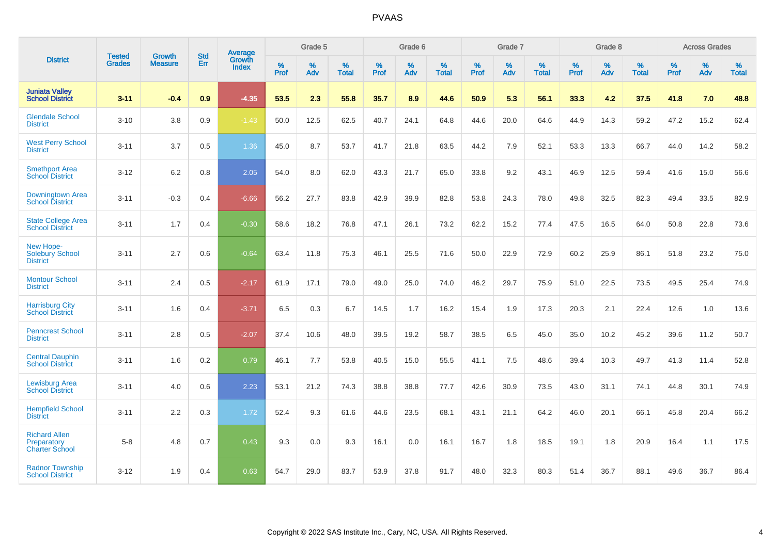| <b>District</b>                                              | <b>Tested</b> | <b>Growth</b>  | <b>Std</b> | <b>Average</b>         |           | Grade 5  |                   |           | Grade 6  |                   |           | Grade 7  |                   |           | Grade 8  |                   |           | <b>Across Grades</b> |                   |
|--------------------------------------------------------------|---------------|----------------|------------|------------------------|-----------|----------|-------------------|-----------|----------|-------------------|-----------|----------|-------------------|-----------|----------|-------------------|-----------|----------------------|-------------------|
|                                                              | <b>Grades</b> | <b>Measure</b> | Err        | Growth<br><b>Index</b> | %<br>Prof | %<br>Adv | %<br><b>Total</b> | %<br>Prof | %<br>Adv | %<br><b>Total</b> | %<br>Prof | %<br>Adv | %<br><b>Total</b> | %<br>Prof | %<br>Adv | %<br><b>Total</b> | %<br>Prof | %<br>Adv             | %<br><b>Total</b> |
| <b>Juniata Valley</b><br><b>School District</b>              | $3 - 11$      | $-0.4$         | 0.9        | $-4.35$                | 53.5      | 2.3      | 55.8              | 35.7      | 8.9      | 44.6              | 50.9      | 5.3      | 56.1              | 33.3      | 4.2      | 37.5              | 41.8      | 7.0                  | 48.8              |
| <b>Glendale School</b><br><b>District</b>                    | $3 - 10$      | 3.8            | 0.9        | $-1.43$                | 50.0      | 12.5     | 62.5              | 40.7      | 24.1     | 64.8              | 44.6      | 20.0     | 64.6              | 44.9      | 14.3     | 59.2              | 47.2      | 15.2                 | 62.4              |
| <b>West Perry School</b><br><b>District</b>                  | $3 - 11$      | 3.7            | 0.5        | 1.36                   | 45.0      | 8.7      | 53.7              | 41.7      | 21.8     | 63.5              | 44.2      | 7.9      | 52.1              | 53.3      | 13.3     | 66.7              | 44.0      | 14.2                 | 58.2              |
| <b>Smethport Area</b><br><b>School District</b>              | $3 - 12$      | 6.2            | 0.8        | 2.05                   | 54.0      | 8.0      | 62.0              | 43.3      | 21.7     | 65.0              | 33.8      | 9.2      | 43.1              | 46.9      | 12.5     | 59.4              | 41.6      | 15.0                 | 56.6              |
| Downingtown Area<br><b>School District</b>                   | $3 - 11$      | $-0.3$         | 0.4        | $-6.66$                | 56.2      | 27.7     | 83.8              | 42.9      | 39.9     | 82.8              | 53.8      | 24.3     | 78.0              | 49.8      | 32.5     | 82.3              | 49.4      | 33.5                 | 82.9              |
| <b>State College Area</b><br><b>School District</b>          | $3 - 11$      | 1.7            | 0.4        | $-0.30$                | 58.6      | 18.2     | 76.8              | 47.1      | 26.1     | 73.2              | 62.2      | 15.2     | 77.4              | 47.5      | 16.5     | 64.0              | 50.8      | 22.8                 | 73.6              |
| New Hope-<br>Solebury School<br><b>District</b>              | $3 - 11$      | 2.7            | 0.6        | $-0.64$                | 63.4      | 11.8     | 75.3              | 46.1      | 25.5     | 71.6              | 50.0      | 22.9     | 72.9              | 60.2      | 25.9     | 86.1              | 51.8      | 23.2                 | 75.0              |
| <b>Montour School</b><br><b>District</b>                     | $3 - 11$      | 2.4            | 0.5        | $-2.17$                | 61.9      | 17.1     | 79.0              | 49.0      | 25.0     | 74.0              | 46.2      | 29.7     | 75.9              | 51.0      | 22.5     | 73.5              | 49.5      | 25.4                 | 74.9              |
| <b>Harrisburg City</b><br><b>School District</b>             | $3 - 11$      | 1.6            | 0.4        | $-3.71$                | 6.5       | 0.3      | 6.7               | 14.5      | 1.7      | 16.2              | 15.4      | 1.9      | 17.3              | 20.3      | 2.1      | 22.4              | 12.6      | 1.0                  | 13.6              |
| <b>Penncrest School</b><br><b>District</b>                   | $3 - 11$      | 2.8            | 0.5        | $-2.07$                | 37.4      | 10.6     | 48.0              | 39.5      | 19.2     | 58.7              | 38.5      | 6.5      | 45.0              | 35.0      | 10.2     | 45.2              | 39.6      | 11.2                 | 50.7              |
| <b>Central Dauphin</b><br><b>School District</b>             | $3 - 11$      | 1.6            | 0.2        | 0.79                   | 46.1      | 7.7      | 53.8              | 40.5      | 15.0     | 55.5              | 41.1      | 7.5      | 48.6              | 39.4      | 10.3     | 49.7              | 41.3      | 11.4                 | 52.8              |
| <b>Lewisburg Area</b><br><b>School District</b>              | $3 - 11$      | 4.0            | 0.6        | 2.23                   | 53.1      | 21.2     | 74.3              | 38.8      | 38.8     | 77.7              | 42.6      | 30.9     | 73.5              | 43.0      | 31.1     | 74.1              | 44.8      | 30.1                 | 74.9              |
| <b>Hempfield School</b><br><b>District</b>                   | $3 - 11$      | 2.2            | 0.3        | 1.72                   | 52.4      | 9.3      | 61.6              | 44.6      | 23.5     | 68.1              | 43.1      | 21.1     | 64.2              | 46.0      | 20.1     | 66.1              | 45.8      | 20.4                 | 66.2              |
| <b>Richard Allen</b><br>Preparatory<br><b>Charter School</b> | $5 - 8$       | 4.8            | 0.7        | 0.43                   | 9.3       | 0.0      | 9.3               | 16.1      | 0.0      | 16.1              | 16.7      | 1.8      | 18.5              | 19.1      | 1.8      | 20.9              | 16.4      | 1.1                  | 17.5              |
| <b>Radnor Township</b><br><b>School District</b>             | $3 - 12$      | 1.9            | 0.4        | 0.63                   | 54.7      | 29.0     | 83.7              | 53.9      | 37.8     | 91.7              | 48.0      | 32.3     | 80.3              | 51.4      | 36.7     | 88.1              | 49.6      | 36.7                 | 86.4              |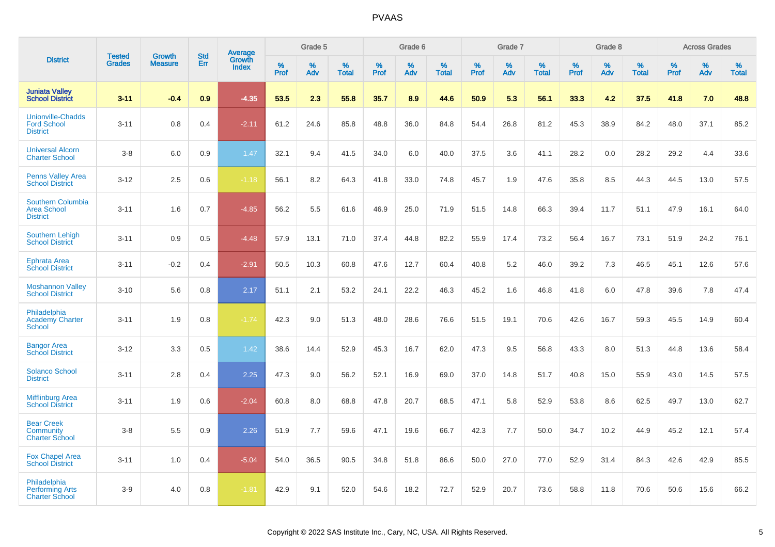|                                                                   |                                |                                 | <b>Std</b> | <b>Average</b>         |                  | Grade 5  |                   |           | Grade 6  |                   |           | Grade 7  |                   |           | Grade 8  |                   |           | <b>Across Grades</b> |                   |
|-------------------------------------------------------------------|--------------------------------|---------------------------------|------------|------------------------|------------------|----------|-------------------|-----------|----------|-------------------|-----------|----------|-------------------|-----------|----------|-------------------|-----------|----------------------|-------------------|
| <b>District</b>                                                   | <b>Tested</b><br><b>Grades</b> | <b>Growth</b><br><b>Measure</b> | Err        | Growth<br><b>Index</b> | %<br><b>Prof</b> | %<br>Adv | %<br><b>Total</b> | %<br>Prof | %<br>Adv | %<br><b>Total</b> | %<br>Prof | %<br>Adv | %<br><b>Total</b> | %<br>Prof | %<br>Adv | %<br><b>Total</b> | %<br>Prof | %<br>Adv             | %<br><b>Total</b> |
| <b>Juniata Valley</b><br><b>School District</b>                   | $3 - 11$                       | $-0.4$                          | 0.9        | $-4.35$                | 53.5             | 2.3      | 55.8              | 35.7      | 8.9      | 44.6              | 50.9      | 5.3      | 56.1              | 33.3      | 4.2      | 37.5              | 41.8      | 7.0                  | 48.8              |
| <b>Unionville-Chadds</b><br><b>Ford School</b><br><b>District</b> | $3 - 11$                       | 0.8                             | 0.4        | $-2.11$                | 61.2             | 24.6     | 85.8              | 48.8      | 36.0     | 84.8              | 54.4      | 26.8     | 81.2              | 45.3      | 38.9     | 84.2              | 48.0      | 37.1                 | 85.2              |
| <b>Universal Alcorn</b><br><b>Charter School</b>                  | $3-8$                          | 6.0                             | 0.9        | 1.47                   | 32.1             | 9.4      | 41.5              | 34.0      | 6.0      | 40.0              | 37.5      | 3.6      | 41.1              | 28.2      | 0.0      | 28.2              | 29.2      | 4.4                  | 33.6              |
| <b>Penns Valley Area</b><br><b>School District</b>                | $3 - 12$                       | 2.5                             | 0.6        | $-1.18$                | 56.1             | 8.2      | 64.3              | 41.8      | 33.0     | 74.8              | 45.7      | 1.9      | 47.6              | 35.8      | 8.5      | 44.3              | 44.5      | 13.0                 | 57.5              |
| <b>Southern Columbia</b><br><b>Area School</b><br><b>District</b> | $3 - 11$                       | 1.6                             | 0.7        | $-4.85$                | 56.2             | 5.5      | 61.6              | 46.9      | 25.0     | 71.9              | 51.5      | 14.8     | 66.3              | 39.4      | 11.7     | 51.1              | 47.9      | 16.1                 | 64.0              |
| Southern Lehigh<br><b>School District</b>                         | $3 - 11$                       | 0.9                             | 0.5        | $-4.48$                | 57.9             | 13.1     | 71.0              | 37.4      | 44.8     | 82.2              | 55.9      | 17.4     | 73.2              | 56.4      | 16.7     | 73.1              | 51.9      | 24.2                 | 76.1              |
| <b>Ephrata Area</b><br><b>School District</b>                     | $3 - 11$                       | $-0.2$                          | 0.4        | $-2.91$                | 50.5             | 10.3     | 60.8              | 47.6      | 12.7     | 60.4              | 40.8      | 5.2      | 46.0              | 39.2      | 7.3      | 46.5              | 45.1      | 12.6                 | 57.6              |
| <b>Moshannon Valley</b><br><b>School District</b>                 | $3 - 10$                       | 5.6                             | 0.8        | 2.17                   | 51.1             | 2.1      | 53.2              | 24.1      | 22.2     | 46.3              | 45.2      | 1.6      | 46.8              | 41.8      | 6.0      | 47.8              | 39.6      | 7.8                  | 47.4              |
| Philadelphia<br><b>Academy Charter</b><br><b>School</b>           | $3 - 11$                       | 1.9                             | 0.8        | $-1.74$                | 42.3             | 9.0      | 51.3              | 48.0      | 28.6     | 76.6              | 51.5      | 19.1     | 70.6              | 42.6      | 16.7     | 59.3              | 45.5      | 14.9                 | 60.4              |
| <b>Bangor Area</b><br><b>School District</b>                      | $3 - 12$                       | 3.3                             | 0.5        | 1.42                   | 38.6             | 14.4     | 52.9              | 45.3      | 16.7     | 62.0              | 47.3      | 9.5      | 56.8              | 43.3      | 8.0      | 51.3              | 44.8      | 13.6                 | 58.4              |
| <b>Solanco School</b><br><b>District</b>                          | $3 - 11$                       | 2.8                             | 0.4        | 2.25                   | 47.3             | 9.0      | 56.2              | 52.1      | 16.9     | 69.0              | 37.0      | 14.8     | 51.7              | 40.8      | 15.0     | 55.9              | 43.0      | 14.5                 | 57.5              |
| <b>Mifflinburg Area</b><br><b>School District</b>                 | $3 - 11$                       | 1.9                             | 0.6        | $-2.04$                | 60.8             | 8.0      | 68.8              | 47.8      | 20.7     | 68.5              | 47.1      | 5.8      | 52.9              | 53.8      | 8.6      | 62.5              | 49.7      | 13.0                 | 62.7              |
| <b>Bear Creek</b><br>Community<br><b>Charter School</b>           | $3 - 8$                        | 5.5                             | 0.9        | 2.26                   | 51.9             | 7.7      | 59.6              | 47.1      | 19.6     | 66.7              | 42.3      | 7.7      | 50.0              | 34.7      | 10.2     | 44.9              | 45.2      | 12.1                 | 57.4              |
| <b>Fox Chapel Area</b><br><b>School District</b>                  | $3 - 11$                       | 1.0                             | 0.4        | $-5.04$                | 54.0             | 36.5     | 90.5              | 34.8      | 51.8     | 86.6              | 50.0      | 27.0     | 77.0              | 52.9      | 31.4     | 84.3              | 42.6      | 42.9                 | 85.5              |
| Philadelphia<br><b>Performing Arts</b><br><b>Charter School</b>   | $3-9$                          | 4.0                             | 0.8        | $-1.81$                | 42.9             | 9.1      | 52.0              | 54.6      | 18.2     | 72.7              | 52.9      | 20.7     | 73.6              | 58.8      | 11.8     | 70.6              | 50.6      | 15.6                 | 66.2              |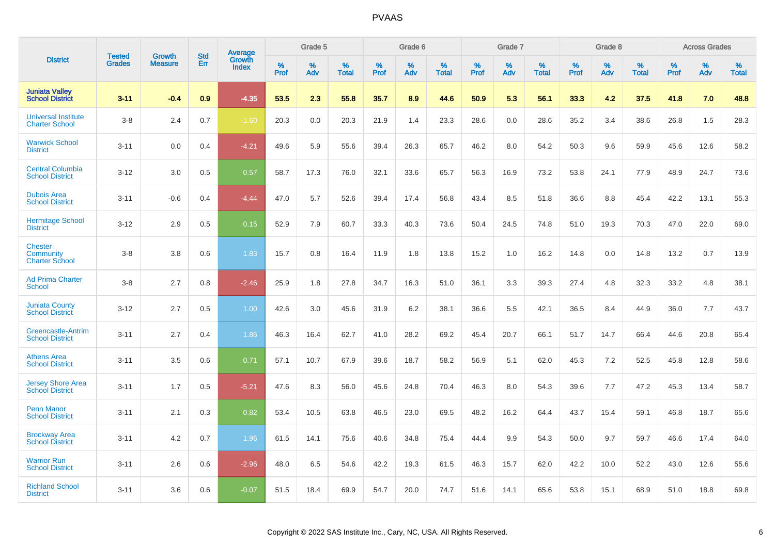| <b>District</b>                                      | <b>Tested</b> |                          | <b>Std</b> | <b>Average</b>         |              | Grade 5  |                      |                     | Grade 6     |                      |              | Grade 7     |                   |              | Grade 8     |                   |                     | <b>Across Grades</b> |                   |
|------------------------------------------------------|---------------|--------------------------|------------|------------------------|--------------|----------|----------------------|---------------------|-------------|----------------------|--------------|-------------|-------------------|--------------|-------------|-------------------|---------------------|----------------------|-------------------|
|                                                      | <b>Grades</b> | Growth<br><b>Measure</b> | Err        | Growth<br><b>Index</b> | $\%$<br>Prof | %<br>Adv | $\%$<br><b>Total</b> | $\%$<br><b>Prof</b> | $\%$<br>Adv | $\%$<br><b>Total</b> | $\%$<br>Prof | $\%$<br>Adv | %<br><b>Total</b> | $\%$<br>Prof | $\%$<br>Adv | %<br><b>Total</b> | $\%$<br><b>Prof</b> | $\%$<br>Adv          | %<br><b>Total</b> |
| <b>Juniata Valley</b><br><b>School District</b>      | $3 - 11$      | $-0.4$                   | 0.9        | $-4.35$                | 53.5         | 2.3      | 55.8                 | 35.7                | 8.9         | 44.6                 | 50.9         | 5.3         | 56.1              | 33.3         | 4.2         | 37.5              | 41.8                | 7.0                  | 48.8              |
| <b>Universal Institute</b><br><b>Charter School</b>  | $3 - 8$       | 2.4                      | 0.7        | $-1.60$                | 20.3         | 0.0      | 20.3                 | 21.9                | 1.4         | 23.3                 | 28.6         | 0.0         | 28.6              | 35.2         | 3.4         | 38.6              | 26.8                | 1.5                  | 28.3              |
| <b>Warwick School</b><br><b>District</b>             | $3 - 11$      | 0.0                      | 0.4        | $-4.21$                | 49.6         | 5.9      | 55.6                 | 39.4                | 26.3        | 65.7                 | 46.2         | 8.0         | 54.2              | 50.3         | 9.6         | 59.9              | 45.6                | 12.6                 | 58.2              |
| <b>Central Columbia</b><br><b>School District</b>    | $3 - 12$      | 3.0                      | 0.5        | 0.57                   | 58.7         | 17.3     | 76.0                 | 32.1                | 33.6        | 65.7                 | 56.3         | 16.9        | 73.2              | 53.8         | 24.1        | 77.9              | 48.9                | 24.7                 | 73.6              |
| <b>Dubois Area</b><br><b>School District</b>         | $3 - 11$      | $-0.6$                   | 0.4        | $-4.44$                | 47.0         | 5.7      | 52.6                 | 39.4                | 17.4        | 56.8                 | 43.4         | 8.5         | 51.8              | 36.6         | 8.8         | 45.4              | 42.2                | 13.1                 | 55.3              |
| <b>Hermitage School</b><br><b>District</b>           | $3 - 12$      | 2.9                      | 0.5        | 0.15                   | 52.9         | 7.9      | 60.7                 | 33.3                | 40.3        | 73.6                 | 50.4         | 24.5        | 74.8              | 51.0         | 19.3        | 70.3              | 47.0                | 22.0                 | 69.0              |
| <b>Chester</b><br>Community<br><b>Charter School</b> | $3 - 8$       | 3.8                      | 0.6        | 1.83                   | 15.7         | 0.8      | 16.4                 | 11.9                | 1.8         | 13.8                 | 15.2         | 1.0         | 16.2              | 14.8         | 0.0         | 14.8              | 13.2                | 0.7                  | 13.9              |
| <b>Ad Prima Charter</b><br><b>School</b>             | $3 - 8$       | 2.7                      | 0.8        | $-2.46$                | 25.9         | 1.8      | 27.8                 | 34.7                | 16.3        | 51.0                 | 36.1         | 3.3         | 39.3              | 27.4         | 4.8         | 32.3              | 33.2                | 4.8                  | 38.1              |
| <b>Juniata County</b><br><b>School District</b>      | $3 - 12$      | 2.7                      | 0.5        | 1.00                   | 42.6         | 3.0      | 45.6                 | 31.9                | 6.2         | 38.1                 | 36.6         | 5.5         | 42.1              | 36.5         | 8.4         | 44.9              | 36.0                | 7.7                  | 43.7              |
| Greencastle-Antrim<br><b>School District</b>         | $3 - 11$      | 2.7                      | 0.4        | 1.86                   | 46.3         | 16.4     | 62.7                 | 41.0                | 28.2        | 69.2                 | 45.4         | 20.7        | 66.1              | 51.7         | 14.7        | 66.4              | 44.6                | 20.8                 | 65.4              |
| <b>Athens Area</b><br><b>School District</b>         | $3 - 11$      | 3.5                      | 0.6        | 0.71                   | 57.1         | 10.7     | 67.9                 | 39.6                | 18.7        | 58.2                 | 56.9         | 5.1         | 62.0              | 45.3         | 7.2         | 52.5              | 45.8                | 12.8                 | 58.6              |
| <b>Jersey Shore Area</b><br><b>School District</b>   | $3 - 11$      | 1.7                      | 0.5        | $-5.21$                | 47.6         | 8.3      | 56.0                 | 45.6                | 24.8        | 70.4                 | 46.3         | 8.0         | 54.3              | 39.6         | 7.7         | 47.2              | 45.3                | 13.4                 | 58.7              |
| <b>Penn Manor</b><br><b>School District</b>          | $3 - 11$      | 2.1                      | 0.3        | 0.82                   | 53.4         | 10.5     | 63.8                 | 46.5                | 23.0        | 69.5                 | 48.2         | 16.2        | 64.4              | 43.7         | 15.4        | 59.1              | 46.8                | 18.7                 | 65.6              |
| <b>Brockway Area</b><br><b>School District</b>       | $3 - 11$      | 4.2                      | 0.7        | 1.96                   | 61.5         | 14.1     | 75.6                 | 40.6                | 34.8        | 75.4                 | 44.4         | 9.9         | 54.3              | 50.0         | 9.7         | 59.7              | 46.6                | 17.4                 | 64.0              |
| <b>Warrior Run</b><br><b>School District</b>         | $3 - 11$      | 2.6                      | 0.6        | $-2.96$                | 48.0         | 6.5      | 54.6                 | 42.2                | 19.3        | 61.5                 | 46.3         | 15.7        | 62.0              | 42.2         | 10.0        | 52.2              | 43.0                | 12.6                 | 55.6              |
| <b>Richland School</b><br><b>District</b>            | $3 - 11$      | 3.6                      | 0.6        | $-0.07$                | 51.5         | 18.4     | 69.9                 | 54.7                | 20.0        | 74.7                 | 51.6         | 14.1        | 65.6              | 53.8         | 15.1        | 68.9              | 51.0                | 18.8                 | 69.8              |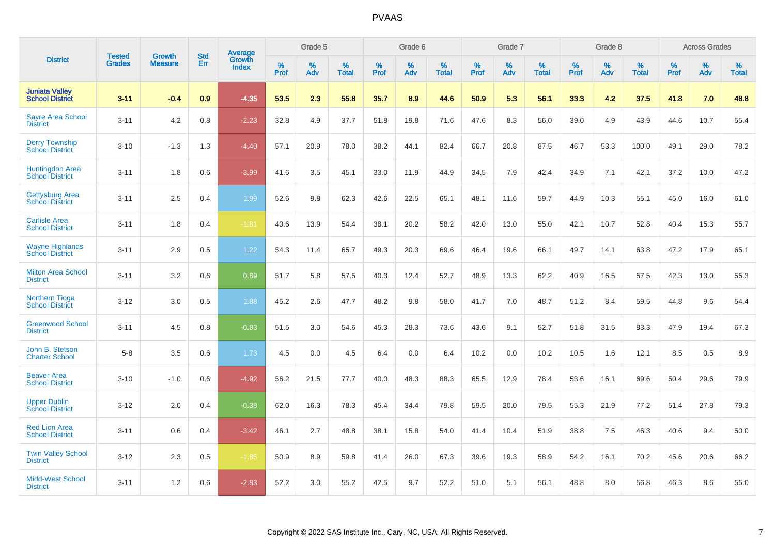| <b>District</b>                                  | <b>Tested</b> | <b>Growth</b>  | <b>Std</b> | Average                |              | Grade 5  |                   |              | Grade 6  |                   |           | Grade 7  |                   |              | Grade 8  |                   |                     | <b>Across Grades</b> |                   |
|--------------------------------------------------|---------------|----------------|------------|------------------------|--------------|----------|-------------------|--------------|----------|-------------------|-----------|----------|-------------------|--------------|----------|-------------------|---------------------|----------------------|-------------------|
|                                                  | <b>Grades</b> | <b>Measure</b> | Err        | Growth<br><b>Index</b> | $\%$<br>Prof | %<br>Adv | %<br><b>Total</b> | $\%$<br>Prof | %<br>Adv | %<br><b>Total</b> | %<br>Prof | %<br>Adv | %<br><b>Total</b> | $\%$<br>Prof | %<br>Adv | %<br><b>Total</b> | $\%$<br><b>Prof</b> | $\%$<br>Adv          | %<br><b>Total</b> |
| <b>Juniata Valley</b><br><b>School District</b>  | $3 - 11$      | $-0.4$         | 0.9        | $-4.35$                | 53.5         | 2.3      | 55.8              | 35.7         | 8.9      | 44.6              | 50.9      | 5.3      | 56.1              | 33.3         | 4.2      | 37.5              | 41.8                | 7.0                  | 48.8              |
| <b>Sayre Area School</b><br><b>District</b>      | $3 - 11$      | 4.2            | 0.8        | $-2.23$                | 32.8         | 4.9      | 37.7              | 51.8         | 19.8     | 71.6              | 47.6      | 8.3      | 56.0              | 39.0         | 4.9      | 43.9              | 44.6                | 10.7                 | 55.4              |
| <b>Derry Township</b><br><b>School District</b>  | $3 - 10$      | $-1.3$         | 1.3        | $-4.40$                | 57.1         | 20.9     | 78.0              | 38.2         | 44.1     | 82.4              | 66.7      | 20.8     | 87.5              | 46.7         | 53.3     | 100.0             | 49.1                | 29.0                 | 78.2              |
| Huntingdon Area<br>School District               | $3 - 11$      | 1.8            | 0.6        | $-3.99$                | 41.6         | 3.5      | 45.1              | 33.0         | 11.9     | 44.9              | 34.5      | 7.9      | 42.4              | 34.9         | 7.1      | 42.1              | 37.2                | 10.0                 | 47.2              |
| <b>Gettysburg Area</b><br><b>School District</b> | $3 - 11$      | 2.5            | 0.4        | 1.99                   | 52.6         | 9.8      | 62.3              | 42.6         | 22.5     | 65.1              | 48.1      | 11.6     | 59.7              | 44.9         | 10.3     | 55.1              | 45.0                | 16.0                 | 61.0              |
| <b>Carlisle Area</b><br><b>School District</b>   | $3 - 11$      | 1.8            | 0.4        | $-1.81$                | 40.6         | 13.9     | 54.4              | 38.1         | 20.2     | 58.2              | 42.0      | 13.0     | 55.0              | 42.1         | 10.7     | 52.8              | 40.4                | 15.3                 | 55.7              |
| <b>Wayne Highlands</b><br><b>School District</b> | $3 - 11$      | 2.9            | 0.5        | 1.22                   | 54.3         | 11.4     | 65.7              | 49.3         | 20.3     | 69.6              | 46.4      | 19.6     | 66.1              | 49.7         | 14.1     | 63.8              | 47.2                | 17.9                 | 65.1              |
| <b>Milton Area School</b><br><b>District</b>     | $3 - 11$      | 3.2            | 0.6        | 0.69                   | 51.7         | 5.8      | 57.5              | 40.3         | 12.4     | 52.7              | 48.9      | 13.3     | 62.2              | 40.9         | 16.5     | 57.5              | 42.3                | 13.0                 | 55.3              |
| <b>Northern Tioga</b><br><b>School District</b>  | $3 - 12$      | 3.0            | 0.5        | 1.88                   | 45.2         | 2.6      | 47.7              | 48.2         | 9.8      | 58.0              | 41.7      | 7.0      | 48.7              | 51.2         | 8.4      | 59.5              | 44.8                | 9.6                  | 54.4              |
| <b>Greenwood School</b><br><b>District</b>       | $3 - 11$      | 4.5            | 0.8        | $-0.83$                | 51.5         | 3.0      | 54.6              | 45.3         | 28.3     | 73.6              | 43.6      | 9.1      | 52.7              | 51.8         | 31.5     | 83.3              | 47.9                | 19.4                 | 67.3              |
| John B. Stetson<br><b>Charter School</b>         | $5 - 8$       | 3.5            | 0.6        | 1.73                   | 4.5          | 0.0      | 4.5               | 6.4          | 0.0      | 6.4               | 10.2      | 0.0      | 10.2              | 10.5         | 1.6      | 12.1              | 8.5                 | 0.5                  | 8.9               |
| <b>Beaver Area</b><br><b>School District</b>     | $3 - 10$      | $-1.0$         | 0.6        | $-4.92$                | 56.2         | 21.5     | 77.7              | 40.0         | 48.3     | 88.3              | 65.5      | 12.9     | 78.4              | 53.6         | 16.1     | 69.6              | 50.4                | 29.6                 | 79.9              |
| <b>Upper Dublin</b><br><b>School District</b>    | $3 - 12$      | 2.0            | 0.4        | $-0.38$                | 62.0         | 16.3     | 78.3              | 45.4         | 34.4     | 79.8              | 59.5      | 20.0     | 79.5              | 55.3         | 21.9     | 77.2              | 51.4                | 27.8                 | 79.3              |
| <b>Red Lion Area</b><br><b>School District</b>   | $3 - 11$      | 0.6            | 0.4        | $-3.42$                | 46.1         | 2.7      | 48.8              | 38.1         | 15.8     | 54.0              | 41.4      | 10.4     | 51.9              | 38.8         | 7.5      | 46.3              | 40.6                | 9.4                  | 50.0              |
| <b>Twin Valley School</b><br><b>District</b>     | $3 - 12$      | 2.3            | 0.5        | $-1.85$                | 50.9         | 8.9      | 59.8              | 41.4         | 26.0     | 67.3              | 39.6      | 19.3     | 58.9              | 54.2         | 16.1     | 70.2              | 45.6                | 20.6                 | 66.2              |
| <b>Midd-West School</b><br><b>District</b>       | $3 - 11$      | 1.2            | 0.6        | $-2.83$                | 52.2         | 3.0      | 55.2              | 42.5         | 9.7      | 52.2              | 51.0      | 5.1      | 56.1              | 48.8         | 8.0      | 56.8              | 46.3                | 8.6                  | 55.0              |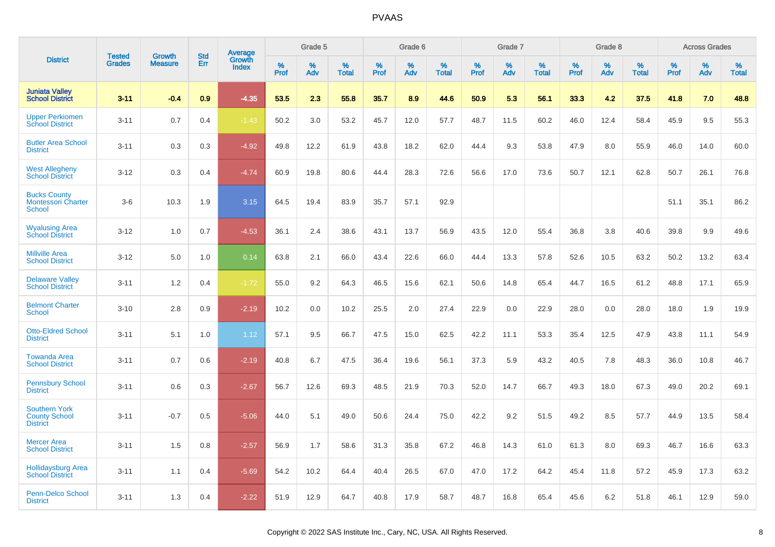|                                                                 | <b>Tested</b> | <b>Growth</b>  | <b>Std</b> | Average                |              | Grade 5  |                   |              | Grade 6  |                   |              | Grade 7  |                   |              | Grade 8  |                   |              | <b>Across Grades</b> |                   |
|-----------------------------------------------------------------|---------------|----------------|------------|------------------------|--------------|----------|-------------------|--------------|----------|-------------------|--------------|----------|-------------------|--------------|----------|-------------------|--------------|----------------------|-------------------|
| <b>District</b>                                                 | <b>Grades</b> | <b>Measure</b> | Err        | Growth<br><b>Index</b> | $\%$<br>Prof | %<br>Adv | %<br><b>Total</b> | $\%$<br>Prof | %<br>Adv | %<br><b>Total</b> | $\%$<br>Prof | %<br>Adv | %<br><b>Total</b> | $\%$<br>Prof | %<br>Adv | %<br><b>Total</b> | $\%$<br>Prof | %<br>Adv             | %<br><b>Total</b> |
| <b>Juniata Valley</b><br><b>School District</b>                 | $3 - 11$      | $-0.4$         | 0.9        | $-4.35$                | 53.5         | 2.3      | 55.8              | 35.7         | 8.9      | 44.6              | 50.9         | 5.3      | 56.1              | 33.3         | 4.2      | 37.5              | 41.8         | 7.0                  | 48.8              |
| <b>Upper Perkiomen</b><br><b>School District</b>                | $3 - 11$      | 0.7            | 0.4        | $-1.43$                | 50.2         | 3.0      | 53.2              | 45.7         | 12.0     | 57.7              | 48.7         | 11.5     | 60.2              | 46.0         | 12.4     | 58.4              | 45.9         | 9.5                  | 55.3              |
| <b>Butler Area School</b><br><b>District</b>                    | $3 - 11$      | 0.3            | 0.3        | $-4.92$                | 49.8         | 12.2     | 61.9              | 43.8         | 18.2     | 62.0              | 44.4         | 9.3      | 53.8              | 47.9         | 8.0      | 55.9              | 46.0         | 14.0                 | 60.0              |
| <b>West Allegheny</b><br><b>School District</b>                 | $3 - 12$      | 0.3            | 0.4        | $-4.74$                | 60.9         | 19.8     | 80.6              | 44.4         | 28.3     | 72.6              | 56.6         | 17.0     | 73.6              | 50.7         | 12.1     | 62.8              | 50.7         | 26.1                 | 76.8              |
| <b>Bucks County</b><br><b>Montessori Charter</b><br>School      | $3-6$         | 10.3           | 1.9        | 3.15                   | 64.5         | 19.4     | 83.9              | 35.7         | 57.1     | 92.9              |              |          |                   |              |          |                   | 51.1         | 35.1                 | 86.2              |
| <b>Wyalusing Area</b><br><b>School District</b>                 | $3 - 12$      | 1.0            | 0.7        | $-4.53$                | 36.1         | 2.4      | 38.6              | 43.1         | 13.7     | 56.9              | 43.5         | 12.0     | 55.4              | 36.8         | 3.8      | 40.6              | 39.8         | 9.9                  | 49.6              |
| <b>Millville Area</b><br><b>School District</b>                 | $3 - 12$      | 5.0            | 1.0        | 0.14                   | 63.8         | 2.1      | 66.0              | 43.4         | 22.6     | 66.0              | 44.4         | 13.3     | 57.8              | 52.6         | 10.5     | 63.2              | 50.2         | 13.2                 | 63.4              |
| <b>Delaware Valley</b><br><b>School District</b>                | $3 - 11$      | 1.2            | 0.4        | $-1.72$                | 55.0         | 9.2      | 64.3              | 46.5         | 15.6     | 62.1              | 50.6         | 14.8     | 65.4              | 44.7         | 16.5     | 61.2              | 48.8         | 17.1                 | 65.9              |
| <b>Belmont Charter</b><br><b>School</b>                         | $3 - 10$      | 2.8            | 0.9        | $-2.19$                | 10.2         | 0.0      | 10.2              | 25.5         | 2.0      | 27.4              | 22.9         | 0.0      | 22.9              | 28.0         | 0.0      | 28.0              | 18.0         | 1.9                  | 19.9              |
| <b>Otto-Eldred School</b><br><b>District</b>                    | $3 - 11$      | 5.1            | $1.0\,$    | 1.12                   | 57.1         | 9.5      | 66.7              | 47.5         | 15.0     | 62.5              | 42.2         | 11.1     | 53.3              | 35.4         | 12.5     | 47.9              | 43.8         | 11.1                 | 54.9              |
| <b>Towanda Area</b><br><b>School District</b>                   | $3 - 11$      | 0.7            | 0.6        | $-2.19$                | 40.8         | 6.7      | 47.5              | 36.4         | 19.6     | 56.1              | 37.3         | 5.9      | 43.2              | 40.5         | 7.8      | 48.3              | 36.0         | 10.8                 | 46.7              |
| <b>Pennsbury School</b><br><b>District</b>                      | $3 - 11$      | 0.6            | 0.3        | $-2.67$                | 56.7         | 12.6     | 69.3              | 48.5         | 21.9     | 70.3              | 52.0         | 14.7     | 66.7              | 49.3         | 18.0     | 67.3              | 49.0         | 20.2                 | 69.1              |
| <b>Southern York</b><br><b>County School</b><br><b>District</b> | $3 - 11$      | $-0.7$         | 0.5        | $-5.06$                | 44.0         | 5.1      | 49.0              | 50.6         | 24.4     | 75.0              | 42.2         | 9.2      | 51.5              | 49.2         | 8.5      | 57.7              | 44.9         | 13.5                 | 58.4              |
| <b>Mercer Area</b><br><b>School District</b>                    | $3 - 11$      | 1.5            | 0.8        | $-2.57$                | 56.9         | 1.7      | 58.6              | 31.3         | 35.8     | 67.2              | 46.8         | 14.3     | 61.0              | 61.3         | 8.0      | 69.3              | 46.7         | 16.6                 | 63.3              |
| <b>Hollidaysburg Area</b><br><b>School District</b>             | $3 - 11$      | 1.1            | 0.4        | $-5.69$                | 54.2         | 10.2     | 64.4              | 40.4         | 26.5     | 67.0              | 47.0         | 17.2     | 64.2              | 45.4         | 11.8     | 57.2              | 45.9         | 17.3                 | 63.2              |
| Penn-Delco School<br><b>District</b>                            | $3 - 11$      | 1.3            | 0.4        | $-2.22$                | 51.9         | 12.9     | 64.7              | 40.8         | 17.9     | 58.7              | 48.7         | 16.8     | 65.4              | 45.6         | 6.2      | 51.8              | 46.1         | 12.9                 | 59.0              |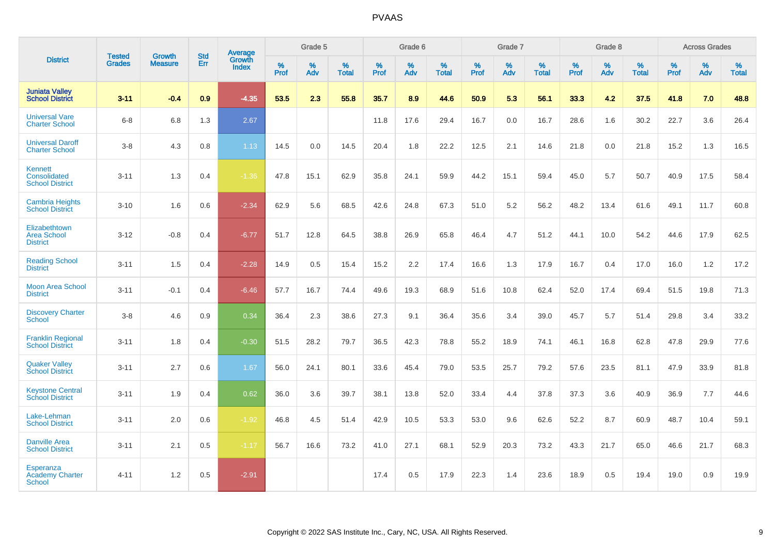|                                                             | <b>Tested</b> | <b>Growth</b>  | <b>Std</b> | <b>Average</b>         |           | Grade 5  |                   |           | Grade 6  |                   |           | Grade 7  |                   |           | Grade 8  |                   |           | <b>Across Grades</b> |                   |
|-------------------------------------------------------------|---------------|----------------|------------|------------------------|-----------|----------|-------------------|-----------|----------|-------------------|-----------|----------|-------------------|-----------|----------|-------------------|-----------|----------------------|-------------------|
| <b>District</b>                                             | <b>Grades</b> | <b>Measure</b> | Err        | Growth<br><b>Index</b> | %<br>Prof | %<br>Adv | %<br><b>Total</b> | %<br>Prof | %<br>Adv | %<br><b>Total</b> | %<br>Prof | %<br>Adv | %<br><b>Total</b> | %<br>Prof | %<br>Adv | %<br><b>Total</b> | %<br>Prof | %<br>Adv             | %<br><b>Total</b> |
| <b>Juniata Valley</b><br><b>School District</b>             | $3 - 11$      | $-0.4$         | 0.9        | $-4.35$                | 53.5      | 2.3      | 55.8              | 35.7      | 8.9      | 44.6              | 50.9      | 5.3      | 56.1              | 33.3      | 4.2      | 37.5              | 41.8      | 7.0                  | 48.8              |
| <b>Universal Vare</b><br><b>Charter School</b>              | $6 - 8$       | 6.8            | 1.3        | 2.67                   |           |          |                   | 11.8      | 17.6     | 29.4              | 16.7      | 0.0      | 16.7              | 28.6      | 1.6      | 30.2              | 22.7      | 3.6                  | 26.4              |
| <b>Universal Daroff</b><br><b>Charter School</b>            | $3-8$         | 4.3            | 0.8        | 1.13                   | 14.5      | 0.0      | 14.5              | 20.4      | 1.8      | 22.2              | 12.5      | 2.1      | 14.6              | 21.8      | 0.0      | 21.8              | 15.2      | 1.3                  | 16.5              |
| <b>Kennett</b><br>Consolidated<br><b>School District</b>    | $3 - 11$      | 1.3            | 0.4        | $-1.36$                | 47.8      | 15.1     | 62.9              | 35.8      | 24.1     | 59.9              | 44.2      | 15.1     | 59.4              | 45.0      | 5.7      | 50.7              | 40.9      | 17.5                 | 58.4              |
| <b>Cambria Heights</b><br><b>School District</b>            | $3 - 10$      | 1.6            | 0.6        | $-2.34$                | 62.9      | 5.6      | 68.5              | 42.6      | 24.8     | 67.3              | 51.0      | $5.2\,$  | 56.2              | 48.2      | 13.4     | 61.6              | 49.1      | 11.7                 | 60.8              |
| Elizabethtown<br><b>Area School</b><br><b>District</b>      | $3 - 12$      | $-0.8$         | 0.4        | $-6.77$                | 51.7      | 12.8     | 64.5              | 38.8      | 26.9     | 65.8              | 46.4      | 4.7      | 51.2              | 44.1      | 10.0     | 54.2              | 44.6      | 17.9                 | 62.5              |
| <b>Reading School</b><br><b>District</b>                    | $3 - 11$      | 1.5            | 0.4        | $-2.28$                | 14.9      | 0.5      | 15.4              | 15.2      | 2.2      | 17.4              | 16.6      | 1.3      | 17.9              | 16.7      | 0.4      | 17.0              | 16.0      | 1.2                  | 17.2              |
| <b>Moon Area School</b><br><b>District</b>                  | $3 - 11$      | $-0.1$         | 0.4        | $-6.46$                | 57.7      | 16.7     | 74.4              | 49.6      | 19.3     | 68.9              | 51.6      | 10.8     | 62.4              | 52.0      | 17.4     | 69.4              | 51.5      | 19.8                 | 71.3              |
| <b>Discovery Charter</b><br><b>School</b>                   | $3 - 8$       | 4.6            | 0.9        | 0.34                   | 36.4      | 2.3      | 38.6              | 27.3      | 9.1      | 36.4              | 35.6      | 3.4      | 39.0              | 45.7      | 5.7      | 51.4              | 29.8      | 3.4                  | 33.2              |
| <b>Franklin Regional</b><br><b>School District</b>          | $3 - 11$      | 1.8            | 0.4        | $-0.30$                | 51.5      | 28.2     | 79.7              | 36.5      | 42.3     | 78.8              | 55.2      | 18.9     | 74.1              | 46.1      | 16.8     | 62.8              | 47.8      | 29.9                 | 77.6              |
| <b>Quaker Valley</b><br><b>School District</b>              | $3 - 11$      | 2.7            | 0.6        | 1.67                   | 56.0      | 24.1     | 80.1              | 33.6      | 45.4     | 79.0              | 53.5      | 25.7     | 79.2              | 57.6      | 23.5     | 81.1              | 47.9      | 33.9                 | 81.8              |
| <b>Keystone Central</b><br><b>School District</b>           | $3 - 11$      | 1.9            | 0.4        | 0.62                   | 36.0      | 3.6      | 39.7              | 38.1      | 13.8     | 52.0              | 33.4      | 4.4      | 37.8              | 37.3      | 3.6      | 40.9              | 36.9      | 7.7                  | 44.6              |
| Lake-Lehman<br><b>School District</b>                       | $3 - 11$      | 2.0            | 0.6        | $-1.92$                | 46.8      | 4.5      | 51.4              | 42.9      | 10.5     | 53.3              | 53.0      | 9.6      | 62.6              | 52.2      | 8.7      | 60.9              | 48.7      | 10.4                 | 59.1              |
| <b>Danville Area</b><br><b>School District</b>              | $3 - 11$      | 2.1            | 0.5        | $-1.17$                | 56.7      | 16.6     | 73.2              | 41.0      | 27.1     | 68.1              | 52.9      | 20.3     | 73.2              | 43.3      | 21.7     | 65.0              | 46.6      | 21.7                 | 68.3              |
| <b>Esperanza</b><br><b>Academy Charter</b><br><b>School</b> | $4 - 11$      | 1.2            | 0.5        | $-2.91$                |           |          |                   | 17.4      | 0.5      | 17.9              | 22.3      | 1.4      | 23.6              | 18.9      | 0.5      | 19.4              | 19.0      | 0.9                  | 19.9              |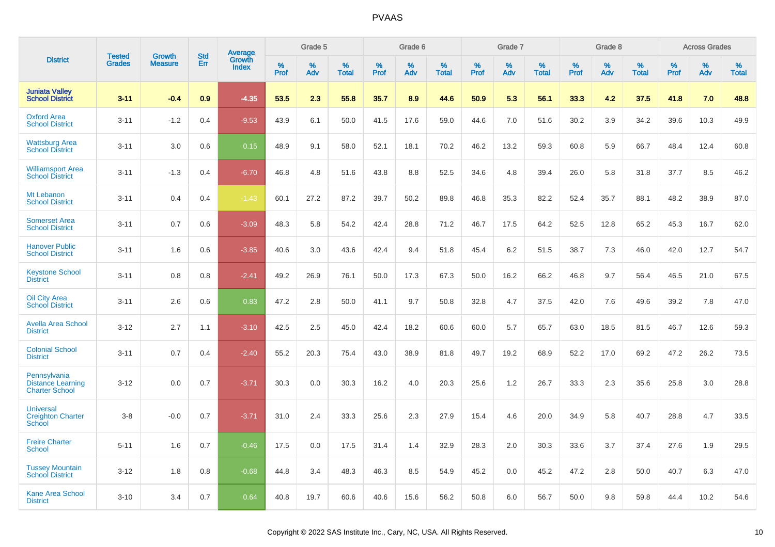|                                                                   | <b>Tested</b> |                                 | <b>Std</b> |                                          |                     | Grade 5  |                   |              | Grade 6  |                   |              | Grade 7  |                   |              | Grade 8  |                   |           | <b>Across Grades</b> |                   |
|-------------------------------------------------------------------|---------------|---------------------------------|------------|------------------------------------------|---------------------|----------|-------------------|--------------|----------|-------------------|--------------|----------|-------------------|--------------|----------|-------------------|-----------|----------------------|-------------------|
| <b>District</b>                                                   | <b>Grades</b> | <b>Growth</b><br><b>Measure</b> | Err        | <b>Average</b><br>Growth<br><b>Index</b> | $\%$<br><b>Prof</b> | %<br>Adv | %<br><b>Total</b> | $\%$<br>Prof | %<br>Adv | %<br><b>Total</b> | $\%$<br>Prof | %<br>Adv | %<br><b>Total</b> | $\%$<br>Prof | %<br>Adv | %<br><b>Total</b> | %<br>Prof | %<br>Adv             | %<br><b>Total</b> |
| <b>Juniata Valley</b><br><b>School District</b>                   | $3 - 11$      | $-0.4$                          | 0.9        | $-4.35$                                  | 53.5                | 2.3      | 55.8              | 35.7         | 8.9      | 44.6              | 50.9         | 5.3      | 56.1              | 33.3         | 4.2      | 37.5              | 41.8      | 7.0                  | 48.8              |
| <b>Oxford Area</b><br><b>School District</b>                      | $3 - 11$      | $-1.2$                          | 0.4        | $-9.53$                                  | 43.9                | 6.1      | 50.0              | 41.5         | 17.6     | 59.0              | 44.6         | 7.0      | 51.6              | 30.2         | 3.9      | 34.2              | 39.6      | 10.3                 | 49.9              |
| <b>Wattsburg Area</b><br><b>School District</b>                   | $3 - 11$      | 3.0                             | 0.6        | 0.15                                     | 48.9                | 9.1      | 58.0              | 52.1         | 18.1     | 70.2              | 46.2         | 13.2     | 59.3              | 60.8         | 5.9      | 66.7              | 48.4      | 12.4                 | 60.8              |
| <b>Williamsport Area</b><br><b>School District</b>                | $3 - 11$      | $-1.3$                          | 0.4        | $-6.70$                                  | 46.8                | 4.8      | 51.6              | 43.8         | 8.8      | 52.5              | 34.6         | 4.8      | 39.4              | 26.0         | 5.8      | 31.8              | 37.7      | 8.5                  | 46.2              |
| Mt Lebanon<br><b>School District</b>                              | $3 - 11$      | 0.4                             | 0.4        | $-1.43$                                  | 60.1                | 27.2     | 87.2              | 39.7         | 50.2     | 89.8              | 46.8         | 35.3     | 82.2              | 52.4         | 35.7     | 88.1              | 48.2      | 38.9                 | 87.0              |
| <b>Somerset Area</b><br><b>School District</b>                    | $3 - 11$      | 0.7                             | 0.6        | $-3.09$                                  | 48.3                | 5.8      | 54.2              | 42.4         | 28.8     | 71.2              | 46.7         | 17.5     | 64.2              | 52.5         | 12.8     | 65.2              | 45.3      | 16.7                 | 62.0              |
| <b>Hanover Public</b><br><b>School District</b>                   | $3 - 11$      | 1.6                             | 0.6        | $-3.85$                                  | 40.6                | 3.0      | 43.6              | 42.4         | 9.4      | 51.8              | 45.4         | 6.2      | 51.5              | 38.7         | 7.3      | 46.0              | 42.0      | 12.7                 | 54.7              |
| <b>Keystone School</b><br><b>District</b>                         | $3 - 11$      | 0.8                             | 0.8        | $-2.41$                                  | 49.2                | 26.9     | 76.1              | 50.0         | 17.3     | 67.3              | 50.0         | 16.2     | 66.2              | 46.8         | 9.7      | 56.4              | 46.5      | 21.0                 | 67.5              |
| <b>Oil City Area</b><br><b>School District</b>                    | $3 - 11$      | 2.6                             | 0.6        | 0.83                                     | 47.2                | 2.8      | 50.0              | 41.1         | 9.7      | 50.8              | 32.8         | 4.7      | 37.5              | 42.0         | 7.6      | 49.6              | 39.2      | 7.8                  | 47.0              |
| <b>Avella Area School</b><br><b>District</b>                      | $3 - 12$      | 2.7                             | 1.1        | $-3.10$                                  | 42.5                | 2.5      | 45.0              | 42.4         | 18.2     | 60.6              | 60.0         | 5.7      | 65.7              | 63.0         | 18.5     | 81.5              | 46.7      | 12.6                 | 59.3              |
| <b>Colonial School</b><br><b>District</b>                         | $3 - 11$      | 0.7                             | 0.4        | $-2.40$                                  | 55.2                | 20.3     | 75.4              | 43.0         | 38.9     | 81.8              | 49.7         | 19.2     | 68.9              | 52.2         | 17.0     | 69.2              | 47.2      | 26.2                 | 73.5              |
| Pennsylvania<br><b>Distance Learning</b><br><b>Charter School</b> | $3 - 12$      | 0.0                             | 0.7        | $-3.71$                                  | 30.3                | 0.0      | 30.3              | 16.2         | 4.0      | 20.3              | 25.6         | 1.2      | 26.7              | 33.3         | 2.3      | 35.6              | 25.8      | 3.0                  | 28.8              |
| <b>Universal</b><br><b>Creighton Charter</b><br><b>School</b>     | $3-8$         | $-0.0$                          | 0.7        | $-3.71$                                  | 31.0                | 2.4      | 33.3              | 25.6         | 2.3      | 27.9              | 15.4         | 4.6      | 20.0              | 34.9         | 5.8      | 40.7              | 28.8      | 4.7                  | 33.5              |
| <b>Freire Charter</b><br><b>School</b>                            | $5 - 11$      | 1.6                             | 0.7        | $-0.46$                                  | 17.5                | 0.0      | 17.5              | 31.4         | 1.4      | 32.9              | 28.3         | 2.0      | 30.3              | 33.6         | 3.7      | 37.4              | 27.6      | 1.9                  | 29.5              |
| <b>Tussey Mountain</b><br><b>School District</b>                  | $3 - 12$      | 1.8                             | 0.8        | $-0.68$                                  | 44.8                | 3.4      | 48.3              | 46.3         | 8.5      | 54.9              | 45.2         | 0.0      | 45.2              | 47.2         | 2.8      | 50.0              | 40.7      | 6.3                  | 47.0              |
| <b>Kane Area School</b><br><b>District</b>                        | $3 - 10$      | 3.4                             | 0.7        | 0.64                                     | 40.8                | 19.7     | 60.6              | 40.6         | 15.6     | 56.2              | 50.8         | 6.0      | 56.7              | 50.0         | 9.8      | 59.8              | 44.4      | 10.2                 | 54.6              |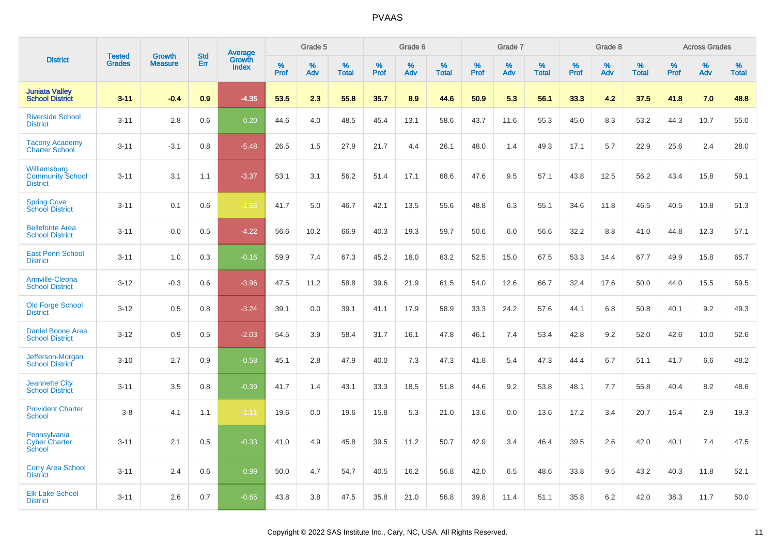|                                                            | <b>Tested</b> |                                 | <b>Std</b> |                                   |              | Grade 5  |                      |              | Grade 6  |                      |              | Grade 7  |                      |              | Grade 8  |                      |              | <b>Across Grades</b> |                      |
|------------------------------------------------------------|---------------|---------------------------------|------------|-----------------------------------|--------------|----------|----------------------|--------------|----------|----------------------|--------------|----------|----------------------|--------------|----------|----------------------|--------------|----------------------|----------------------|
| <b>District</b>                                            | <b>Grades</b> | <b>Growth</b><br><b>Measure</b> | <b>Err</b> | Average<br>Growth<br><b>Index</b> | $\%$<br>Prof | %<br>Adv | $\%$<br><b>Total</b> | $\%$<br>Prof | %<br>Adv | $\%$<br><b>Total</b> | $\%$<br>Prof | %<br>Adv | $\%$<br><b>Total</b> | $\%$<br>Prof | %<br>Adv | $\%$<br><b>Total</b> | $\%$<br>Prof | $\%$<br>Adv          | $\%$<br><b>Total</b> |
| <b>Juniata Valley</b><br><b>School District</b>            | $3 - 11$      | $-0.4$                          | 0.9        | $-4.35$                           | 53.5         | 2.3      | 55.8                 | 35.7         | 8.9      | 44.6                 | 50.9         | 5.3      | 56.1                 | 33.3         | 4.2      | 37.5                 | 41.8         | 7.0                  | 48.8                 |
| <b>Riverside School</b><br><b>District</b>                 | $3 - 11$      | 2.8                             | 0.6        | 0.20                              | 44.6         | 4.0      | 48.5                 | 45.4         | 13.1     | 58.6                 | 43.7         | 11.6     | 55.3                 | 45.0         | 8.3      | 53.2                 | 44.3         | 10.7                 | 55.0                 |
| <b>Tacony Academy</b><br>Charter School                    | $3 - 11$      | $-3.1$                          | 0.8        | $-5.48$                           | 26.5         | 1.5      | 27.9                 | 21.7         | 4.4      | 26.1                 | 48.0         | 1.4      | 49.3                 | 17.1         | 5.7      | 22.9                 | 25.6         | 2.4                  | 28.0                 |
| Williamsburg<br><b>Community School</b><br><b>District</b> | $3 - 11$      | 3.1                             | 1.1        | $-3.37$                           | 53.1         | 3.1      | 56.2                 | 51.4         | 17.1     | 68.6                 | 47.6         | 9.5      | 57.1                 | 43.8         | 12.5     | 56.2                 | 43.4         | 15.8                 | 59.1                 |
| <b>Spring Cove</b><br><b>School District</b>               | $3 - 11$      | 0.1                             | 0.6        | $-1.56$                           | 41.7         | 5.0      | 46.7                 | 42.1         | 13.5     | 55.6                 | 48.8         | 6.3      | 55.1                 | 34.6         | 11.8     | 46.5                 | 40.5         | 10.8                 | 51.3                 |
| <b>Bellefonte Area</b><br><b>School District</b>           | $3 - 11$      | $-0.0$                          | 0.5        | $-4.22$                           | 56.6         | 10.2     | 66.9                 | 40.3         | 19.3     | 59.7                 | 50.6         | 6.0      | 56.6                 | 32.2         | 8.8      | 41.0                 | 44.8         | 12.3                 | 57.1                 |
| <b>East Penn School</b><br><b>District</b>                 | $3 - 11$      | 1.0                             | 0.3        | $-0.16$                           | 59.9         | 7.4      | 67.3                 | 45.2         | 18.0     | 63.2                 | 52.5         | 15.0     | 67.5                 | 53.3         | 14.4     | 67.7                 | 49.9         | 15.8                 | 65.7                 |
| <b>Annville-Cleona</b><br><b>School District</b>           | $3 - 12$      | $-0.3$                          | 0.6        | $-3.96$                           | 47.5         | 11.2     | 58.8                 | 39.6         | 21.9     | 61.5                 | 54.0         | 12.6     | 66.7                 | 32.4         | 17.6     | 50.0                 | 44.0         | 15.5                 | 59.5                 |
| <b>Old Forge School</b><br><b>District</b>                 | $3 - 12$      | 0.5                             | 0.8        | $-3.24$                           | 39.1         | 0.0      | 39.1                 | 41.1         | 17.9     | 58.9                 | 33.3         | 24.2     | 57.6                 | 44.1         | 6.8      | 50.8                 | 40.1         | 9.2                  | 49.3                 |
| <b>Daniel Boone Area</b><br><b>School District</b>         | $3 - 12$      | 0.9                             | 0.5        | $-2.03$                           | 54.5         | 3.9      | 58.4                 | 31.7         | 16.1     | 47.8                 | 46.1         | 7.4      | 53.4                 | 42.8         | 9.2      | 52.0                 | 42.6         | 10.0                 | 52.6                 |
| Jefferson-Morgan<br><b>School District</b>                 | $3 - 10$      | 2.7                             | 0.9        | $-0.58$                           | 45.1         | 2.8      | 47.9                 | 40.0         | 7.3      | 47.3                 | 41.8         | 5.4      | 47.3                 | 44.4         | 6.7      | 51.1                 | 41.7         | 6.6                  | 48.2                 |
| <b>Jeannette City</b><br><b>School District</b>            | $3 - 11$      | 3.5                             | 0.8        | $-0.39$                           | 41.7         | 1.4      | 43.1                 | 33.3         | 18.5     | 51.8                 | 44.6         | 9.2      | 53.8                 | 48.1         | 7.7      | 55.8                 | 40.4         | 8.2                  | 48.6                 |
| <b>Provident Charter</b><br><b>School</b>                  | $3 - 8$       | 4.1                             | 1.1        | $-1.11$                           | 19.6         | 0.0      | 19.6                 | 15.8         | 5.3      | 21.0                 | 13.6         | 0.0      | 13.6                 | 17.2         | 3.4      | 20.7                 | 16.4         | 2.9                  | 19.3                 |
| Pennsylvania<br><b>Cyber Charter</b><br>School             | $3 - 11$      | 2.1                             | 0.5        | $-0.33$                           | 41.0         | 4.9      | 45.8                 | 39.5         | 11.2     | 50.7                 | 42.9         | 3.4      | 46.4                 | 39.5         | 2.6      | 42.0                 | 40.1         | 7.4                  | 47.5                 |
| <b>Corry Area School</b><br><b>District</b>                | $3 - 11$      | 2.4                             | 0.6        | 0.99                              | 50.0         | 4.7      | 54.7                 | 40.5         | 16.2     | 56.8                 | 42.0         | 6.5      | 48.6                 | 33.8         | 9.5      | 43.2                 | 40.3         | 11.8                 | 52.1                 |
| <b>Elk Lake School</b><br><b>District</b>                  | $3 - 11$      | 2.6                             | 0.7        | $-0.65$                           | 43.8         | 3.8      | 47.5                 | 35.8         | 21.0     | 56.8                 | 39.8         | 11.4     | 51.1                 | 35.8         | 6.2      | 42.0                 | 38.3         | 11.7                 | 50.0                 |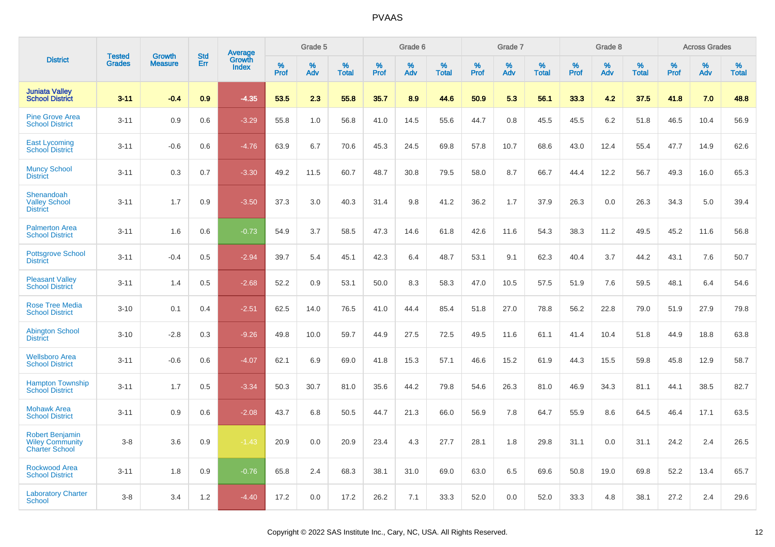|                                                                           |                                |                                 | <b>Std</b> | Average                |                     | Grade 5  |                      |              | Grade 6  |                   |              | Grade 7  |                   |              | Grade 8  |                      |              | <b>Across Grades</b> |                      |
|---------------------------------------------------------------------------|--------------------------------|---------------------------------|------------|------------------------|---------------------|----------|----------------------|--------------|----------|-------------------|--------------|----------|-------------------|--------------|----------|----------------------|--------------|----------------------|----------------------|
| <b>District</b>                                                           | <b>Tested</b><br><b>Grades</b> | <b>Growth</b><br><b>Measure</b> | Err        | Growth<br><b>Index</b> | $\%$<br><b>Prof</b> | %<br>Adv | $\%$<br><b>Total</b> | $\%$<br>Prof | %<br>Adv | %<br><b>Total</b> | $\%$<br>Prof | %<br>Adv | %<br><b>Total</b> | $\%$<br>Prof | %<br>Adv | $\%$<br><b>Total</b> | $\%$<br>Prof | %<br>Adv             | $\%$<br><b>Total</b> |
| <b>Juniata Valley</b><br><b>School District</b>                           | $3 - 11$                       | $-0.4$                          | 0.9        | $-4.35$                | 53.5                | 2.3      | 55.8                 | 35.7         | 8.9      | 44.6              | 50.9         | 5.3      | 56.1              | 33.3         | 4.2      | 37.5                 | 41.8         | 7.0                  | 48.8                 |
| <b>Pine Grove Area</b><br><b>School District</b>                          | $3 - 11$                       | 0.9                             | 0.6        | $-3.29$                | 55.8                | 1.0      | 56.8                 | 41.0         | 14.5     | 55.6              | 44.7         | 0.8      | 45.5              | 45.5         | 6.2      | 51.8                 | 46.5         | 10.4                 | 56.9                 |
| <b>East Lycoming</b><br><b>School District</b>                            | $3 - 11$                       | $-0.6$                          | 0.6        | $-4.76$                | 63.9                | 6.7      | 70.6                 | 45.3         | 24.5     | 69.8              | 57.8         | 10.7     | 68.6              | 43.0         | 12.4     | 55.4                 | 47.7         | 14.9                 | 62.6                 |
| <b>Muncy School</b><br><b>District</b>                                    | $3 - 11$                       | 0.3                             | 0.7        | $-3.30$                | 49.2                | 11.5     | 60.7                 | 48.7         | 30.8     | 79.5              | 58.0         | 8.7      | 66.7              | 44.4         | 12.2     | 56.7                 | 49.3         | 16.0                 | 65.3                 |
| Shenandoah<br><b>Valley School</b><br><b>District</b>                     | $3 - 11$                       | 1.7                             | 0.9        | $-3.50$                | 37.3                | 3.0      | 40.3                 | 31.4         | 9.8      | 41.2              | 36.2         | 1.7      | 37.9              | 26.3         | 0.0      | 26.3                 | 34.3         | 5.0                  | 39.4                 |
| <b>Palmerton Area</b><br><b>School District</b>                           | $3 - 11$                       | 1.6                             | 0.6        | $-0.73$                | 54.9                | 3.7      | 58.5                 | 47.3         | 14.6     | 61.8              | 42.6         | 11.6     | 54.3              | 38.3         | 11.2     | 49.5                 | 45.2         | 11.6                 | 56.8                 |
| <b>Pottsgrove School</b><br><b>District</b>                               | $3 - 11$                       | $-0.4$                          | 0.5        | $-2.94$                | 39.7                | 5.4      | 45.1                 | 42.3         | 6.4      | 48.7              | 53.1         | 9.1      | 62.3              | 40.4         | 3.7      | 44.2                 | 43.1         | 7.6                  | 50.7                 |
| <b>Pleasant Valley</b><br><b>School District</b>                          | $3 - 11$                       | 1.4                             | 0.5        | $-2.68$                | 52.2                | 0.9      | 53.1                 | 50.0         | 8.3      | 58.3              | 47.0         | 10.5     | 57.5              | 51.9         | 7.6      | 59.5                 | 48.1         | 6.4                  | 54.6                 |
| <b>Rose Tree Media</b><br><b>School District</b>                          | $3 - 10$                       | 0.1                             | 0.4        | $-2.51$                | 62.5                | 14.0     | 76.5                 | 41.0         | 44.4     | 85.4              | 51.8         | 27.0     | 78.8              | 56.2         | 22.8     | 79.0                 | 51.9         | 27.9                 | 79.8                 |
| <b>Abington School</b><br><b>District</b>                                 | $3 - 10$                       | $-2.8$                          | 0.3        | $-9.26$                | 49.8                | 10.0     | 59.7                 | 44.9         | 27.5     | 72.5              | 49.5         | 11.6     | 61.1              | 41.4         | 10.4     | 51.8                 | 44.9         | 18.8                 | 63.8                 |
| <b>Wellsboro Area</b><br><b>School District</b>                           | $3 - 11$                       | $-0.6$                          | 0.6        | $-4.07$                | 62.1                | 6.9      | 69.0                 | 41.8         | 15.3     | 57.1              | 46.6         | 15.2     | 61.9              | 44.3         | 15.5     | 59.8                 | 45.8         | 12.9                 | 58.7                 |
| <b>Hampton Township</b><br><b>School District</b>                         | $3 - 11$                       | 1.7                             | 0.5        | $-3.34$                | 50.3                | 30.7     | 81.0                 | 35.6         | 44.2     | 79.8              | 54.6         | 26.3     | 81.0              | 46.9         | 34.3     | 81.1                 | 44.1         | 38.5                 | 82.7                 |
| <b>Mohawk Area</b><br><b>School District</b>                              | $3 - 11$                       | 0.9                             | 0.6        | $-2.08$                | 43.7                | 6.8      | 50.5                 | 44.7         | 21.3     | 66.0              | 56.9         | 7.8      | 64.7              | 55.9         | 8.6      | 64.5                 | 46.4         | 17.1                 | 63.5                 |
| <b>Robert Benjamin</b><br><b>Wiley Community</b><br><b>Charter School</b> | $3-8$                          | 3.6                             | 0.9        | $-1.43$                | 20.9                | 0.0      | 20.9                 | 23.4         | 4.3      | 27.7              | 28.1         | 1.8      | 29.8              | 31.1         | 0.0      | 31.1                 | 24.2         | 2.4                  | 26.5                 |
| <b>Rockwood Area</b><br><b>School District</b>                            | $3 - 11$                       | 1.8                             | 0.9        | $-0.76$                | 65.8                | 2.4      | 68.3                 | 38.1         | 31.0     | 69.0              | 63.0         | 6.5      | 69.6              | 50.8         | 19.0     | 69.8                 | 52.2         | 13.4                 | 65.7                 |
| <b>Laboratory Charter</b><br><b>School</b>                                | $3-8$                          | 3.4                             | 1.2        | $-4.40$                | 17.2                | 0.0      | 17.2                 | 26.2         | 7.1      | 33.3              | 52.0         | 0.0      | 52.0              | 33.3         | 4.8      | 38.1                 | 27.2         | 2.4                  | 29.6                 |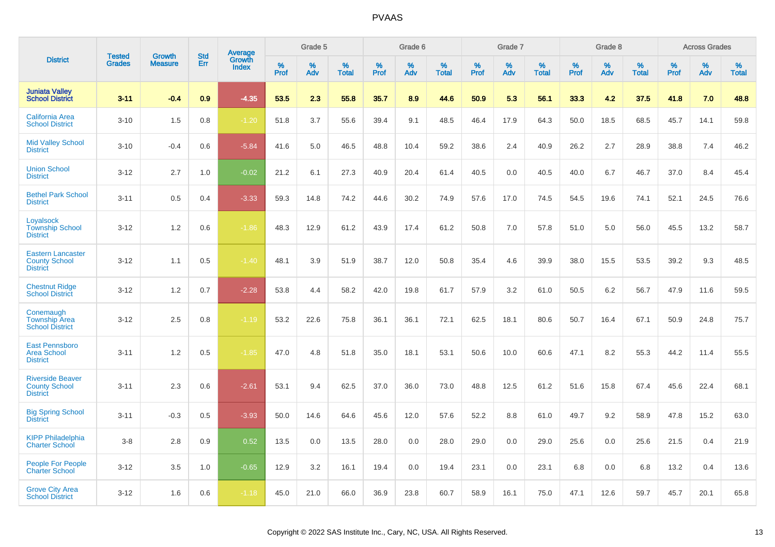|                                                                     |                                |                                 | <b>Std</b> | Average         |           | Grade 5  |                   |           | Grade 6  |                   |           | Grade 7  |                   |           | Grade 8  |                   |                  | <b>Across Grades</b> |                   |
|---------------------------------------------------------------------|--------------------------------|---------------------------------|------------|-----------------|-----------|----------|-------------------|-----------|----------|-------------------|-----------|----------|-------------------|-----------|----------|-------------------|------------------|----------------------|-------------------|
| <b>District</b>                                                     | <b>Tested</b><br><b>Grades</b> | <b>Growth</b><br><b>Measure</b> | Err        | Growth<br>Index | %<br>Prof | %<br>Adv | %<br><b>Total</b> | %<br>Prof | %<br>Adv | %<br><b>Total</b> | %<br>Prof | %<br>Adv | %<br><b>Total</b> | %<br>Prof | %<br>Adv | %<br><b>Total</b> | %<br><b>Prof</b> | $\%$<br>Adv          | %<br><b>Total</b> |
| <b>Juniata Valley</b><br><b>School District</b>                     | $3 - 11$                       | $-0.4$                          | 0.9        | $-4.35$         | 53.5      | 2.3      | 55.8              | 35.7      | 8.9      | 44.6              | 50.9      | 5.3      | 56.1              | 33.3      | 4.2      | 37.5              | 41.8             | 7.0                  | 48.8              |
| <b>California Area</b><br><b>School District</b>                    | $3 - 10$                       | 1.5                             | 0.8        | $-1.20$         | 51.8      | 3.7      | 55.6              | 39.4      | 9.1      | 48.5              | 46.4      | 17.9     | 64.3              | 50.0      | 18.5     | 68.5              | 45.7             | 14.1                 | 59.8              |
| <b>Mid Valley School</b><br><b>District</b>                         | $3 - 10$                       | $-0.4$                          | 0.6        | $-5.84$         | 41.6      | 5.0      | 46.5              | 48.8      | 10.4     | 59.2              | 38.6      | 2.4      | 40.9              | 26.2      | 2.7      | 28.9              | 38.8             | 7.4                  | 46.2              |
| <b>Union School</b><br><b>District</b>                              | $3 - 12$                       | 2.7                             | 1.0        | $-0.02$         | 21.2      | 6.1      | 27.3              | 40.9      | 20.4     | 61.4              | 40.5      | 0.0      | 40.5              | 40.0      | 6.7      | 46.7              | 37.0             | 8.4                  | 45.4              |
| <b>Bethel Park School</b><br><b>District</b>                        | $3 - 11$                       | 0.5                             | 0.4        | $-3.33$         | 59.3      | 14.8     | 74.2              | 44.6      | 30.2     | 74.9              | 57.6      | 17.0     | 74.5              | 54.5      | 19.6     | 74.1              | 52.1             | 24.5                 | 76.6              |
| Loyalsock<br><b>Township School</b><br><b>District</b>              | $3 - 12$                       | 1.2                             | 0.6        | $-1.86$         | 48.3      | 12.9     | 61.2              | 43.9      | 17.4     | 61.2              | 50.8      | 7.0      | 57.8              | 51.0      | 5.0      | 56.0              | 45.5             | 13.2                 | 58.7              |
| <b>Eastern Lancaster</b><br><b>County School</b><br><b>District</b> | $3 - 12$                       | 1.1                             | 0.5        | $-1.40$         | 48.1      | 3.9      | 51.9              | 38.7      | 12.0     | 50.8              | 35.4      | 4.6      | 39.9              | 38.0      | 15.5     | 53.5              | 39.2             | 9.3                  | 48.5              |
| <b>Chestnut Ridge</b><br><b>School District</b>                     | $3 - 12$                       | 1.2                             | 0.7        | $-2.28$         | 53.8      | 4.4      | 58.2              | 42.0      | 19.8     | 61.7              | 57.9      | 3.2      | 61.0              | 50.5      | 6.2      | 56.7              | 47.9             | 11.6                 | 59.5              |
| Conemaugh<br><b>Township Area</b><br><b>School District</b>         | $3 - 12$                       | 2.5                             | 0.8        | $-1.19$         | 53.2      | 22.6     | 75.8              | 36.1      | 36.1     | 72.1              | 62.5      | 18.1     | 80.6              | 50.7      | 16.4     | 67.1              | 50.9             | 24.8                 | 75.7              |
| <b>East Pennsboro</b><br><b>Area School</b><br><b>District</b>      | $3 - 11$                       | 1.2                             | 0.5        | $-1.85$         | 47.0      | 4.8      | 51.8              | 35.0      | 18.1     | 53.1              | 50.6      | 10.0     | 60.6              | 47.1      | 8.2      | 55.3              | 44.2             | 11.4                 | 55.5              |
| <b>Riverside Beaver</b><br><b>County School</b><br><b>District</b>  | $3 - 11$                       | 2.3                             | 0.6        | $-2.61$         | 53.1      | 9.4      | 62.5              | 37.0      | 36.0     | 73.0              | 48.8      | 12.5     | 61.2              | 51.6      | 15.8     | 67.4              | 45.6             | 22.4                 | 68.1              |
| <b>Big Spring School</b><br><b>District</b>                         | $3 - 11$                       | $-0.3$                          | 0.5        | $-3.93$         | 50.0      | 14.6     | 64.6              | 45.6      | 12.0     | 57.6              | 52.2      | 8.8      | 61.0              | 49.7      | 9.2      | 58.9              | 47.8             | 15.2                 | 63.0              |
| <b>KIPP Philadelphia</b><br><b>Charter School</b>                   | $3 - 8$                        | 2.8                             | 0.9        | 0.52            | 13.5      | 0.0      | 13.5              | 28.0      | 0.0      | 28.0              | 29.0      | 0.0      | 29.0              | 25.6      | 0.0      | 25.6              | 21.5             | 0.4                  | 21.9              |
| <b>People For People</b><br><b>Charter School</b>                   | $3 - 12$                       | 3.5                             | 1.0        | $-0.65$         | 12.9      | 3.2      | 16.1              | 19.4      | 0.0      | 19.4              | 23.1      | 0.0      | 23.1              | 6.8       | 0.0      | 6.8               | 13.2             | 0.4                  | 13.6              |
| <b>Grove City Area</b><br><b>School District</b>                    | $3 - 12$                       | 1.6                             | 0.6        | $-1.18$         | 45.0      | 21.0     | 66.0              | 36.9      | 23.8     | 60.7              | 58.9      | 16.1     | 75.0              | 47.1      | 12.6     | 59.7              | 45.7             | 20.1                 | 65.8              |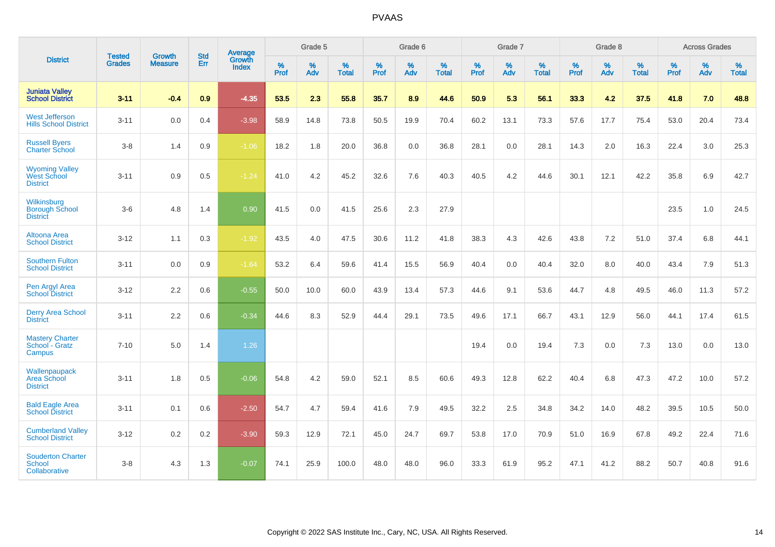|                                                                | <b>Tested</b> | <b>Growth</b>  | <b>Std</b> | Average                |           | Grade 5  |                   |           | Grade 6  |                   |           | Grade 7  |                   |           | Grade 8  |                   |           | <b>Across Grades</b> |                   |
|----------------------------------------------------------------|---------------|----------------|------------|------------------------|-----------|----------|-------------------|-----------|----------|-------------------|-----------|----------|-------------------|-----------|----------|-------------------|-----------|----------------------|-------------------|
| <b>District</b>                                                | <b>Grades</b> | <b>Measure</b> | Err        | Growth<br><b>Index</b> | %<br>Prof | %<br>Adv | %<br><b>Total</b> | %<br>Prof | %<br>Adv | %<br><b>Total</b> | %<br>Prof | %<br>Adv | %<br><b>Total</b> | %<br>Prof | %<br>Adv | %<br><b>Total</b> | %<br>Prof | %<br>Adv             | %<br><b>Total</b> |
| <b>Juniata Valley</b><br><b>School District</b>                | $3 - 11$      | $-0.4$         | 0.9        | $-4.35$                | 53.5      | 2.3      | 55.8              | 35.7      | 8.9      | 44.6              | 50.9      | 5.3      | 56.1              | 33.3      | 4.2      | 37.5              | 41.8      | 7.0                  | 48.8              |
| <b>West Jefferson</b><br><b>Hills School District</b>          | $3 - 11$      | 0.0            | 0.4        | $-3.98$                | 58.9      | 14.8     | 73.8              | 50.5      | 19.9     | 70.4              | 60.2      | 13.1     | 73.3              | 57.6      | 17.7     | 75.4              | 53.0      | 20.4                 | 73.4              |
| <b>Russell Byers</b><br><b>Charter School</b>                  | $3-8$         | 1.4            | 0.9        | $-1.06$                | 18.2      | 1.8      | 20.0              | 36.8      | 0.0      | 36.8              | 28.1      | 0.0      | 28.1              | 14.3      | 2.0      | 16.3              | 22.4      | 3.0                  | 25.3              |
| <b>Wyoming Valley</b><br><b>West School</b><br><b>District</b> | $3 - 11$      | 0.9            | 0.5        | $-1.24$                | 41.0      | 4.2      | 45.2              | 32.6      | 7.6      | 40.3              | 40.5      | 4.2      | 44.6              | 30.1      | 12.1     | 42.2              | 35.8      | 6.9                  | 42.7              |
| Wilkinsburg<br><b>Borough School</b><br><b>District</b>        | $3-6$         | 4.8            | 1.4        | 0.90                   | 41.5      | 0.0      | 41.5              | 25.6      | 2.3      | 27.9              |           |          |                   |           |          |                   | 23.5      | 1.0                  | 24.5              |
| <b>Altoona Area</b><br><b>School District</b>                  | $3 - 12$      | 1.1            | 0.3        | $-1.92$                | 43.5      | 4.0      | 47.5              | 30.6      | 11.2     | 41.8              | 38.3      | 4.3      | 42.6              | 43.8      | 7.2      | 51.0              | 37.4      | 6.8                  | 44.1              |
| <b>Southern Fulton</b><br><b>School District</b>               | $3 - 11$      | 0.0            | 0.9        | $-1.64$                | 53.2      | 6.4      | 59.6              | 41.4      | 15.5     | 56.9              | 40.4      | 0.0      | 40.4              | 32.0      | 8.0      | 40.0              | 43.4      | 7.9                  | 51.3              |
| Pen Argyl Area<br><b>School District</b>                       | $3 - 12$      | 2.2            | 0.6        | $-0.55$                | 50.0      | 10.0     | 60.0              | 43.9      | 13.4     | 57.3              | 44.6      | 9.1      | 53.6              | 44.7      | 4.8      | 49.5              | 46.0      | 11.3                 | 57.2              |
| <b>Derry Area School</b><br><b>District</b>                    | $3 - 11$      | 2.2            | 0.6        | $-0.34$                | 44.6      | 8.3      | 52.9              | 44.4      | 29.1     | 73.5              | 49.6      | 17.1     | 66.7              | 43.1      | 12.9     | 56.0              | 44.1      | 17.4                 | 61.5              |
| <b>Mastery Charter</b><br>School - Gratz<br>Campus             | $7 - 10$      | 5.0            | 1.4        | $1.26$                 |           |          |                   |           |          |                   | 19.4      | 0.0      | 19.4              | 7.3       | 0.0      | 7.3               | 13.0      | 0.0                  | 13.0              |
| Wallenpaupack<br>Area School<br><b>District</b>                | $3 - 11$      | 1.8            | 0.5        | $-0.06$                | 54.8      | 4.2      | 59.0              | 52.1      | 8.5      | 60.6              | 49.3      | 12.8     | 62.2              | 40.4      | 6.8      | 47.3              | 47.2      | 10.0                 | 57.2              |
| <b>Bald Eagle Area</b><br><b>School District</b>               | $3 - 11$      | 0.1            | 0.6        | $-2.50$                | 54.7      | 4.7      | 59.4              | 41.6      | 7.9      | 49.5              | 32.2      | 2.5      | 34.8              | 34.2      | 14.0     | 48.2              | 39.5      | 10.5                 | 50.0              |
| <b>Cumberland Valley</b><br><b>School District</b>             | $3 - 12$      | $0.2\,$        | 0.2        | $-3.90$                | 59.3      | 12.9     | 72.1              | 45.0      | 24.7     | 69.7              | 53.8      | 17.0     | 70.9              | 51.0      | 16.9     | 67.8              | 49.2      | 22.4                 | 71.6              |
| <b>Souderton Charter</b><br><b>School</b><br>Collaborative     | $3-8$         | 4.3            | 1.3        | $-0.07$                | 74.1      | 25.9     | 100.0             | 48.0      | 48.0     | 96.0              | 33.3      | 61.9     | 95.2              | 47.1      | 41.2     | 88.2              | 50.7      | 40.8                 | 91.6              |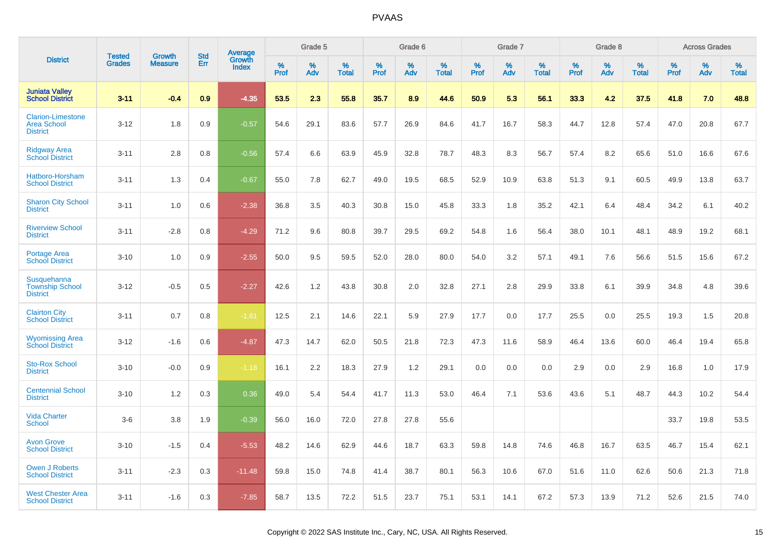|                                                                   | <b>Tested</b> | <b>Growth</b>  | <b>Std</b> |                                   |                     | Grade 5  |                   |                  | Grade 6  |                   |                  | Grade 7  |                   |              | Grade 8  |                   |                     | <b>Across Grades</b> |                   |
|-------------------------------------------------------------------|---------------|----------------|------------|-----------------------------------|---------------------|----------|-------------------|------------------|----------|-------------------|------------------|----------|-------------------|--------------|----------|-------------------|---------------------|----------------------|-------------------|
| <b>District</b>                                                   | <b>Grades</b> | <b>Measure</b> | Err        | Average<br>Growth<br><b>Index</b> | $\%$<br><b>Prof</b> | %<br>Adv | %<br><b>Total</b> | %<br><b>Prof</b> | %<br>Adv | %<br><b>Total</b> | %<br><b>Prof</b> | %<br>Adv | %<br><b>Total</b> | $\%$<br>Prof | %<br>Adv | %<br><b>Total</b> | $\%$<br><b>Prof</b> | %<br>Adv             | %<br><b>Total</b> |
| <b>Juniata Valley</b><br><b>School District</b>                   | $3 - 11$      | $-0.4$         | 0.9        | $-4.35$                           | 53.5                | 2.3      | 55.8              | 35.7             | 8.9      | 44.6              | 50.9             | 5.3      | 56.1              | 33.3         | 4.2      | 37.5              | 41.8                | 7.0                  | 48.8              |
| <b>Clarion-Limestone</b><br><b>Area School</b><br><b>District</b> | $3 - 12$      | 1.8            | 0.9        | $-0.57$                           | 54.6                | 29.1     | 83.6              | 57.7             | 26.9     | 84.6              | 41.7             | 16.7     | 58.3              | 44.7         | 12.8     | 57.4              | 47.0                | 20.8                 | 67.7              |
| <b>Ridgway Area</b><br><b>School District</b>                     | $3 - 11$      | 2.8            | 0.8        | $-0.56$                           | 57.4                | 6.6      | 63.9              | 45.9             | 32.8     | 78.7              | 48.3             | 8.3      | 56.7              | 57.4         | 8.2      | 65.6              | 51.0                | 16.6                 | 67.6              |
| Hatboro-Horsham<br><b>School District</b>                         | $3 - 11$      | 1.3            | 0.4        | $-0.67$                           | 55.0                | 7.8      | 62.7              | 49.0             | 19.5     | 68.5              | 52.9             | 10.9     | 63.8              | 51.3         | 9.1      | 60.5              | 49.9                | 13.8                 | 63.7              |
| <b>Sharon City School</b><br><b>District</b>                      | $3 - 11$      | 1.0            | 0.6        | $-2.38$                           | 36.8                | 3.5      | 40.3              | 30.8             | 15.0     | 45.8              | 33.3             | 1.8      | 35.2              | 42.1         | 6.4      | 48.4              | 34.2                | 6.1                  | 40.2              |
| <b>Riverview School</b><br><b>District</b>                        | $3 - 11$      | $-2.8$         | 0.8        | $-4.29$                           | 71.2                | 9.6      | 80.8              | 39.7             | 29.5     | 69.2              | 54.8             | 1.6      | 56.4              | 38.0         | 10.1     | 48.1              | 48.9                | 19.2                 | 68.1              |
| Portage Area<br><b>School District</b>                            | $3 - 10$      | 1.0            | 0.9        | $-2.55$                           | 50.0                | 9.5      | 59.5              | 52.0             | 28.0     | 80.0              | 54.0             | 3.2      | 57.1              | 49.1         | 7.6      | 56.6              | 51.5                | 15.6                 | 67.2              |
| <b>Susquehanna</b><br><b>Township School</b><br><b>District</b>   | $3 - 12$      | $-0.5$         | 0.5        | $-2.27$                           | 42.6                | 1.2      | 43.8              | 30.8             | 2.0      | 32.8              | 27.1             | 2.8      | 29.9              | 33.8         | 6.1      | 39.9              | 34.8                | 4.8                  | 39.6              |
| <b>Clairton City</b><br><b>School District</b>                    | $3 - 11$      | 0.7            | 0.8        | $-1.61$                           | 12.5                | 2.1      | 14.6              | 22.1             | 5.9      | 27.9              | 17.7             | 0.0      | 17.7              | 25.5         | 0.0      | 25.5              | 19.3                | 1.5                  | 20.8              |
| <b>Wyomissing Area</b><br><b>School District</b>                  | $3 - 12$      | $-1.6$         | 0.6        | $-4.87$                           | 47.3                | 14.7     | 62.0              | 50.5             | 21.8     | 72.3              | 47.3             | 11.6     | 58.9              | 46.4         | 13.6     | 60.0              | 46.4                | 19.4                 | 65.8              |
| <b>Sto-Rox School</b><br><b>District</b>                          | $3 - 10$      | $-0.0$         | 0.9        | $-1.18$                           | 16.1                | 2.2      | 18.3              | 27.9             | 1.2      | 29.1              | 0.0              | 0.0      | 0.0               | 2.9          | 0.0      | 2.9               | 16.8                | 1.0                  | 17.9              |
| <b>Centennial School</b><br><b>District</b>                       | $3 - 10$      | 1.2            | 0.3        | 0.36                              | 49.0                | 5.4      | 54.4              | 41.7             | 11.3     | 53.0              | 46.4             | 7.1      | 53.6              | 43.6         | 5.1      | 48.7              | 44.3                | 10.2                 | 54.4              |
| <b>Vida Charter</b><br><b>School</b>                              | $3-6$         | 3.8            | 1.9        | $-0.39$                           | 56.0                | 16.0     | 72.0              | 27.8             | 27.8     | 55.6              |                  |          |                   |              |          |                   | 33.7                | 19.8                 | 53.5              |
| <b>Avon Grove</b><br><b>School District</b>                       | $3 - 10$      | $-1.5$         | 0.4        | $-5.53$                           | 48.2                | 14.6     | 62.9              | 44.6             | 18.7     | 63.3              | 59.8             | 14.8     | 74.6              | 46.8         | 16.7     | 63.5              | 46.7                | 15.4                 | 62.1              |
| <b>Owen J Roberts</b><br><b>School District</b>                   | $3 - 11$      | $-2.3$         | 0.3        | $-11.48$                          | 59.8                | 15.0     | 74.8              | 41.4             | 38.7     | 80.1              | 56.3             | 10.6     | 67.0              | 51.6         | 11.0     | 62.6              | 50.6                | 21.3                 | 71.8              |
| <b>West Chester Area</b><br><b>School District</b>                | $3 - 11$      | $-1.6$         | 0.3        | $-7.85$                           | 58.7                | 13.5     | 72.2              | 51.5             | 23.7     | 75.1              | 53.1             | 14.1     | 67.2              | 57.3         | 13.9     | 71.2              | 52.6                | 21.5                 | 74.0              |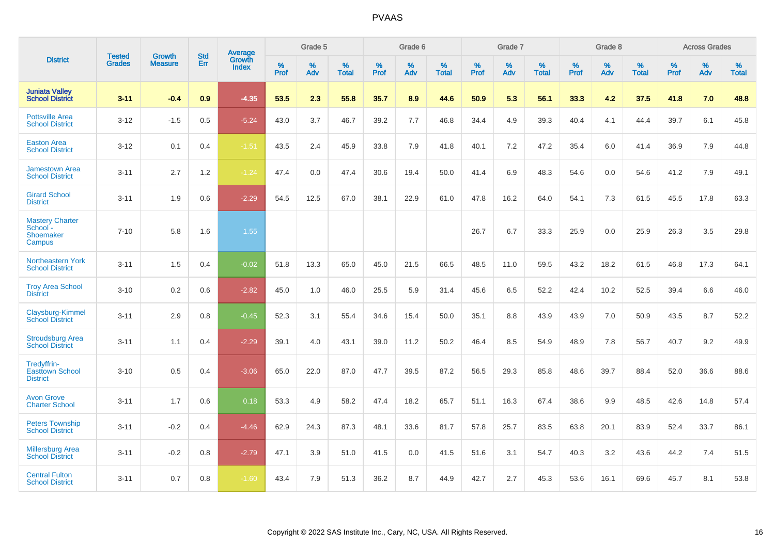|                                                           | <b>Tested</b> | <b>Growth</b>  | <b>Std</b> | <b>Average</b>         |           | Grade 5  |                   |           | Grade 6  |                   |           | Grade 7  |                   |           | Grade 8  |                   |           | <b>Across Grades</b> |                   |
|-----------------------------------------------------------|---------------|----------------|------------|------------------------|-----------|----------|-------------------|-----------|----------|-------------------|-----------|----------|-------------------|-----------|----------|-------------------|-----------|----------------------|-------------------|
| <b>District</b>                                           | <b>Grades</b> | <b>Measure</b> | Err        | Growth<br><b>Index</b> | %<br>Prof | %<br>Adv | %<br><b>Total</b> | %<br>Prof | %<br>Adv | %<br><b>Total</b> | %<br>Prof | %<br>Adv | %<br><b>Total</b> | %<br>Prof | %<br>Adv | %<br><b>Total</b> | %<br>Prof | %<br>Adv             | %<br><b>Total</b> |
| <b>Juniata Valley</b><br><b>School District</b>           | $3 - 11$      | $-0.4$         | 0.9        | $-4.35$                | 53.5      | 2.3      | 55.8              | 35.7      | 8.9      | 44.6              | 50.9      | 5.3      | 56.1              | 33.3      | 4.2      | 37.5              | 41.8      | 7.0                  | 48.8              |
| <b>Pottsville Area</b><br><b>School District</b>          | $3 - 12$      | $-1.5$         | 0.5        | $-5.24$                | 43.0      | 3.7      | 46.7              | 39.2      | 7.7      | 46.8              | 34.4      | 4.9      | 39.3              | 40.4      | 4.1      | 44.4              | 39.7      | 6.1                  | 45.8              |
| <b>Easton Area</b><br><b>School District</b>              | $3 - 12$      | 0.1            | 0.4        | $-1.51$                | 43.5      | 2.4      | 45.9              | 33.8      | 7.9      | 41.8              | 40.1      | 7.2      | 47.2              | 35.4      | 6.0      | 41.4              | 36.9      | 7.9                  | 44.8              |
| <b>Jamestown Area</b><br><b>School District</b>           | $3 - 11$      | 2.7            | 1.2        | $-1.24$                | 47.4      | 0.0      | 47.4              | 30.6      | 19.4     | 50.0              | 41.4      | 6.9      | 48.3              | 54.6      | 0.0      | 54.6              | 41.2      | 7.9                  | 49.1              |
| <b>Girard School</b><br><b>District</b>                   | $3 - 11$      | 1.9            | 0.6        | $-2.29$                | 54.5      | 12.5     | 67.0              | 38.1      | 22.9     | 61.0              | 47.8      | 16.2     | 64.0              | 54.1      | 7.3      | 61.5              | 45.5      | 17.8                 | 63.3              |
| <b>Mastery Charter</b><br>School -<br>Shoemaker<br>Campus | $7 - 10$      | 5.8            | 1.6        | 1.55                   |           |          |                   |           |          |                   | 26.7      | 6.7      | 33.3              | 25.9      | 0.0      | 25.9              | 26.3      | 3.5                  | 29.8              |
| Northeastern York<br><b>School District</b>               | $3 - 11$      | 1.5            | 0.4        | $-0.02$                | 51.8      | 13.3     | 65.0              | 45.0      | 21.5     | 66.5              | 48.5      | 11.0     | 59.5              | 43.2      | 18.2     | 61.5              | 46.8      | 17.3                 | 64.1              |
| <b>Troy Area School</b><br><b>District</b>                | $3 - 10$      | 0.2            | 0.6        | $-2.82$                | 45.0      | 1.0      | 46.0              | 25.5      | 5.9      | 31.4              | 45.6      | 6.5      | 52.2              | 42.4      | 10.2     | 52.5              | 39.4      | 6.6                  | 46.0              |
| Claysburg-Kimmel<br><b>School District</b>                | $3 - 11$      | 2.9            | 0.8        | $-0.45$                | 52.3      | 3.1      | 55.4              | 34.6      | 15.4     | 50.0              | 35.1      | 8.8      | 43.9              | 43.9      | 7.0      | 50.9              | 43.5      | 8.7                  | 52.2              |
| <b>Stroudsburg Area</b><br><b>School District</b>         | $3 - 11$      | 1.1            | 0.4        | $-2.29$                | 39.1      | 4.0      | 43.1              | 39.0      | 11.2     | 50.2              | 46.4      | 8.5      | 54.9              | 48.9      | 7.8      | 56.7              | 40.7      | 9.2                  | 49.9              |
| Tredyffrin-<br><b>Easttown School</b><br><b>District</b>  | $3 - 10$      | 0.5            | 0.4        | $-3.06$                | 65.0      | 22.0     | 87.0              | 47.7      | 39.5     | 87.2              | 56.5      | 29.3     | 85.8              | 48.6      | 39.7     | 88.4              | 52.0      | 36.6                 | 88.6              |
| <b>Avon Grove</b><br><b>Charter School</b>                | $3 - 11$      | 1.7            | 0.6        | 0.18                   | 53.3      | 4.9      | 58.2              | 47.4      | 18.2     | 65.7              | 51.1      | 16.3     | 67.4              | 38.6      | 9.9      | 48.5              | 42.6      | 14.8                 | 57.4              |
| <b>Peters Township</b><br><b>School District</b>          | $3 - 11$      | $-0.2$         | 0.4        | $-4.46$                | 62.9      | 24.3     | 87.3              | 48.1      | 33.6     | 81.7              | 57.8      | 25.7     | 83.5              | 63.8      | 20.1     | 83.9              | 52.4      | 33.7                 | 86.1              |
| <b>Millersburg Area</b><br><b>School District</b>         | $3 - 11$      | $-0.2$         | 0.8        | $-2.79$                | 47.1      | 3.9      | 51.0              | 41.5      | 0.0      | 41.5              | 51.6      | 3.1      | 54.7              | 40.3      | 3.2      | 43.6              | 44.2      | 7.4                  | 51.5              |
| <b>Central Fulton</b><br><b>School District</b>           | $3 - 11$      | 0.7            | 0.8        | $-1.60$                | 43.4      | 7.9      | 51.3              | 36.2      | 8.7      | 44.9              | 42.7      | 2.7      | 45.3              | 53.6      | 16.1     | 69.6              | 45.7      | 8.1                  | 53.8              |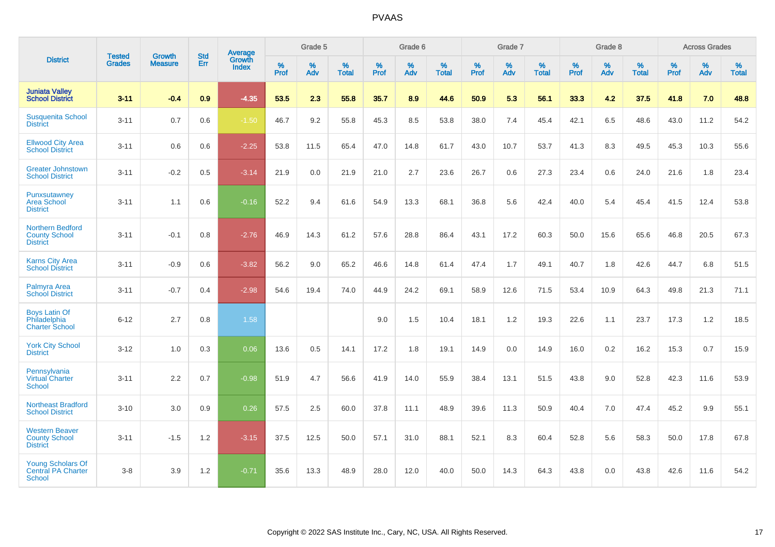|                                                                    |                                |                                 | <b>Std</b> | <b>Average</b>         |           | Grade 5  |                   |           | Grade 6  |                   |           | Grade 7  |                   |           | Grade 8  |                   |           | <b>Across Grades</b> |                   |
|--------------------------------------------------------------------|--------------------------------|---------------------------------|------------|------------------------|-----------|----------|-------------------|-----------|----------|-------------------|-----------|----------|-------------------|-----------|----------|-------------------|-----------|----------------------|-------------------|
| <b>District</b>                                                    | <b>Tested</b><br><b>Grades</b> | <b>Growth</b><br><b>Measure</b> | Err        | Growth<br><b>Index</b> | %<br>Prof | %<br>Adv | %<br><b>Total</b> | %<br>Prof | %<br>Adv | %<br><b>Total</b> | %<br>Prof | %<br>Adv | %<br><b>Total</b> | %<br>Prof | %<br>Adv | %<br><b>Total</b> | %<br>Prof | %<br>Adv             | %<br><b>Total</b> |
| <b>Juniata Valley</b><br><b>School District</b>                    | $3 - 11$                       | $-0.4$                          | 0.9        | $-4.35$                | 53.5      | 2.3      | 55.8              | 35.7      | 8.9      | 44.6              | 50.9      | 5.3      | 56.1              | 33.3      | 4.2      | 37.5              | 41.8      | 7.0                  | 48.8              |
| <b>Susquenita School</b><br><b>District</b>                        | $3 - 11$                       | 0.7                             | 0.6        | $-1.50$                | 46.7      | 9.2      | 55.8              | 45.3      | 8.5      | 53.8              | 38.0      | 7.4      | 45.4              | 42.1      | 6.5      | 48.6              | 43.0      | 11.2                 | 54.2              |
| <b>Ellwood City Area</b><br><b>School District</b>                 | $3 - 11$                       | 0.6                             | 0.6        | $-2.25$                | 53.8      | 11.5     | 65.4              | 47.0      | 14.8     | 61.7              | 43.0      | 10.7     | 53.7              | 41.3      | 8.3      | 49.5              | 45.3      | 10.3                 | 55.6              |
| <b>Greater Johnstown</b><br><b>School District</b>                 | $3 - 11$                       | $-0.2$                          | 0.5        | $-3.14$                | 21.9      | 0.0      | 21.9              | 21.0      | 2.7      | 23.6              | 26.7      | 0.6      | 27.3              | 23.4      | 0.6      | 24.0              | 21.6      | 1.8                  | 23.4              |
| Punxsutawney<br><b>Area School</b><br><b>District</b>              | $3 - 11$                       | 1.1                             | 0.6        | $-0.16$                | 52.2      | 9.4      | 61.6              | 54.9      | 13.3     | 68.1              | 36.8      | 5.6      | 42.4              | 40.0      | 5.4      | 45.4              | 41.5      | 12.4                 | 53.8              |
| <b>Northern Bedford</b><br><b>County School</b><br><b>District</b> | $3 - 11$                       | $-0.1$                          | 0.8        | $-2.76$                | 46.9      | 14.3     | 61.2              | 57.6      | 28.8     | 86.4              | 43.1      | 17.2     | 60.3              | 50.0      | 15.6     | 65.6              | 46.8      | 20.5                 | 67.3              |
| <b>Karns City Area</b><br><b>School District</b>                   | $3 - 11$                       | $-0.9$                          | 0.6        | $-3.82$                | 56.2      | 9.0      | 65.2              | 46.6      | 14.8     | 61.4              | 47.4      | 1.7      | 49.1              | 40.7      | 1.8      | 42.6              | 44.7      | 6.8                  | 51.5              |
| Palmyra Area<br><b>School District</b>                             | $3 - 11$                       | $-0.7$                          | 0.4        | $-2.98$                | 54.6      | 19.4     | 74.0              | 44.9      | 24.2     | 69.1              | 58.9      | 12.6     | 71.5              | 53.4      | 10.9     | 64.3              | 49.8      | 21.3                 | 71.1              |
| <b>Boys Latin Of</b><br>Philadelphia<br><b>Charter School</b>      | $6 - 12$                       | 2.7                             | 0.8        | 1.58                   |           |          |                   | 9.0       | 1.5      | 10.4              | 18.1      | 1.2      | 19.3              | 22.6      | 1.1      | 23.7              | 17.3      | 1.2                  | 18.5              |
| <b>York City School</b><br><b>District</b>                         | $3 - 12$                       | 1.0                             | 0.3        | 0.06                   | 13.6      | 0.5      | 14.1              | 17.2      | 1.8      | 19.1              | 14.9      | 0.0      | 14.9              | 16.0      | 0.2      | 16.2              | 15.3      | 0.7                  | 15.9              |
| Pennsylvania<br>Virtual Charter<br><b>School</b>                   | $3 - 11$                       | 2.2                             | 0.7        | $-0.98$                | 51.9      | 4.7      | 56.6              | 41.9      | 14.0     | 55.9              | 38.4      | 13.1     | 51.5              | 43.8      | 9.0      | 52.8              | 42.3      | 11.6                 | 53.9              |
| <b>Northeast Bradford</b><br><b>School District</b>                | $3 - 10$                       | 3.0                             | 0.9        | 0.26                   | 57.5      | 2.5      | 60.0              | 37.8      | 11.1     | 48.9              | 39.6      | 11.3     | 50.9              | 40.4      | 7.0      | 47.4              | 45.2      | 9.9                  | 55.1              |
| <b>Western Beaver</b><br><b>County School</b><br><b>District</b>   | $3 - 11$                       | $-1.5$                          | 1.2        | $-3.15$                | 37.5      | 12.5     | 50.0              | 57.1      | 31.0     | 88.1              | 52.1      | 8.3      | 60.4              | 52.8      | 5.6      | 58.3              | 50.0      | 17.8                 | 67.8              |
| <b>Young Scholars Of</b><br><b>Central PA Charter</b><br>School    | $3 - 8$                        | 3.9                             | 1.2        | $-0.71$                | 35.6      | 13.3     | 48.9              | 28.0      | 12.0     | 40.0              | 50.0      | 14.3     | 64.3              | 43.8      | 0.0      | 43.8              | 42.6      | 11.6                 | 54.2              |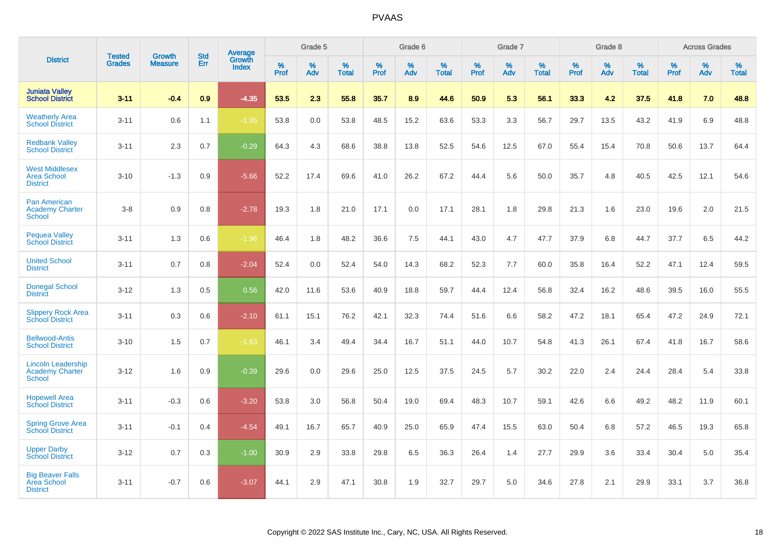|                                                                      |                                |                                 | <b>Std</b> | <b>Average</b>         |           | Grade 5  |                   |           | Grade 6  |                   |           | Grade 7  |                   |           | Grade 8  |                   |              | <b>Across Grades</b> |                   |
|----------------------------------------------------------------------|--------------------------------|---------------------------------|------------|------------------------|-----------|----------|-------------------|-----------|----------|-------------------|-----------|----------|-------------------|-----------|----------|-------------------|--------------|----------------------|-------------------|
| <b>District</b>                                                      | <b>Tested</b><br><b>Grades</b> | <b>Growth</b><br><b>Measure</b> | Err        | Growth<br><b>Index</b> | %<br>Prof | %<br>Adv | %<br><b>Total</b> | %<br>Prof | %<br>Adv | %<br><b>Total</b> | %<br>Prof | %<br>Adv | %<br><b>Total</b> | %<br>Prof | %<br>Adv | %<br><b>Total</b> | $\%$<br>Prof | %<br>Adv             | %<br><b>Total</b> |
| <b>Juniata Valley</b><br><b>School District</b>                      | $3 - 11$                       | $-0.4$                          | 0.9        | $-4.35$                | 53.5      | 2.3      | 55.8              | 35.7      | 8.9      | 44.6              | 50.9      | 5.3      | 56.1              | 33.3      | 4.2      | 37.5              | 41.8         | 7.0                  | 48.8              |
| <b>Weatherly Area</b><br><b>School District</b>                      | $3 - 11$                       | 0.6                             | 1.1        | $-1.95$                | 53.8      | 0.0      | 53.8              | 48.5      | 15.2     | 63.6              | 53.3      | 3.3      | 56.7              | 29.7      | 13.5     | 43.2              | 41.9         | 6.9                  | 48.8              |
| <b>Redbank Valley</b><br><b>School District</b>                      | $3 - 11$                       | 2.3                             | 0.7        | $-0.29$                | 64.3      | 4.3      | 68.6              | 38.8      | 13.8     | 52.5              | 54.6      | 12.5     | 67.0              | 55.4      | 15.4     | 70.8              | 50.6         | 13.7                 | 64.4              |
| <b>West Middlesex</b><br><b>Area School</b><br><b>District</b>       | $3 - 10$                       | $-1.3$                          | 0.9        | $-5.66$                | 52.2      | 17.4     | 69.6              | 41.0      | 26.2     | 67.2              | 44.4      | 5.6      | 50.0              | 35.7      | 4.8      | 40.5              | 42.5         | 12.1                 | 54.6              |
| <b>Pan American</b><br><b>Academy Charter</b><br><b>School</b>       | $3-8$                          | 0.9                             | 0.8        | $-2.78$                | 19.3      | 1.8      | 21.0              | 17.1      | 0.0      | 17.1              | 28.1      | 1.8      | 29.8              | 21.3      | 1.6      | 23.0              | 19.6         | 2.0                  | 21.5              |
| <b>Pequea Valley</b><br><b>School District</b>                       | $3 - 11$                       | 1.3                             | 0.6        | $-1.96$                | 46.4      | 1.8      | 48.2              | 36.6      | 7.5      | 44.1              | 43.0      | 4.7      | 47.7              | 37.9      | 6.8      | 44.7              | 37.7         | 6.5                  | 44.2              |
| <b>United School</b><br><b>District</b>                              | $3 - 11$                       | 0.7                             | 0.8        | $-2.04$                | 52.4      | 0.0      | 52.4              | 54.0      | 14.3     | 68.2              | 52.3      | 7.7      | 60.0              | 35.8      | 16.4     | 52.2              | 47.1         | 12.4                 | 59.5              |
| <b>Donegal School</b><br><b>District</b>                             | $3 - 12$                       | 1.3                             | 0.5        | 0.56                   | 42.0      | 11.6     | 53.6              | 40.9      | 18.8     | 59.7              | 44.4      | 12.4     | 56.8              | 32.4      | 16.2     | 48.6              | 39.5         | 16.0                 | 55.5              |
| <b>Slippery Rock Area</b><br><b>School District</b>                  | $3 - 11$                       | 0.3                             | 0.6        | $-2.10$                | 61.1      | 15.1     | 76.2              | 42.1      | 32.3     | 74.4              | 51.6      | 6.6      | 58.2              | 47.2      | 18.1     | 65.4              | 47.2         | 24.9                 | 72.1              |
| <b>Bellwood-Antis</b><br><b>School District</b>                      | $3 - 10$                       | 1.5                             | 0.7        | $-1.63$                | 46.1      | 3.4      | 49.4              | 34.4      | 16.7     | 51.1              | 44.0      | 10.7     | 54.8              | 41.3      | 26.1     | 67.4              | 41.8         | 16.7                 | 58.6              |
| <b>Lincoln Leadership</b><br><b>Academy Charter</b><br><b>School</b> | $3 - 12$                       | 1.6                             | 0.9        | $-0.39$                | 29.6      | 0.0      | 29.6              | 25.0      | 12.5     | 37.5              | 24.5      | 5.7      | 30.2              | 22.0      | 2.4      | 24.4              | 28.4         | 5.4                  | 33.8              |
| <b>Hopewell Area</b><br><b>School District</b>                       | $3 - 11$                       | $-0.3$                          | 0.6        | $-3.20$                | 53.8      | 3.0      | 56.8              | 50.4      | 19.0     | 69.4              | 48.3      | 10.7     | 59.1              | 42.6      | 6.6      | 49.2              | 48.2         | 11.9                 | 60.1              |
| <b>Spring Grove Area</b><br><b>School District</b>                   | $3 - 11$                       | $-0.1$                          | 0.4        | $-4.54$                | 49.1      | 16.7     | 65.7              | 40.9      | 25.0     | 65.9              | 47.4      | 15.5     | 63.0              | 50.4      | 6.8      | 57.2              | 46.5         | 19.3                 | 65.8              |
| <b>Upper Darby</b><br><b>School District</b>                         | $3 - 12$                       | 0.7                             | 0.3        | $-1.00$                | 30.9      | 2.9      | 33.8              | 29.8      | 6.5      | 36.3              | 26.4      | 1.4      | 27.7              | 29.9      | 3.6      | 33.4              | 30.4         | 5.0                  | 35.4              |
| <b>Big Beaver Falls</b><br>Area School<br><b>District</b>            | $3 - 11$                       | $-0.7$                          | 0.6        | $-3.07$                | 44.1      | 2.9      | 47.1              | 30.8      | 1.9      | 32.7              | 29.7      | 5.0      | 34.6              | 27.8      | 2.1      | 29.9              | 33.1         | 3.7                  | 36.8              |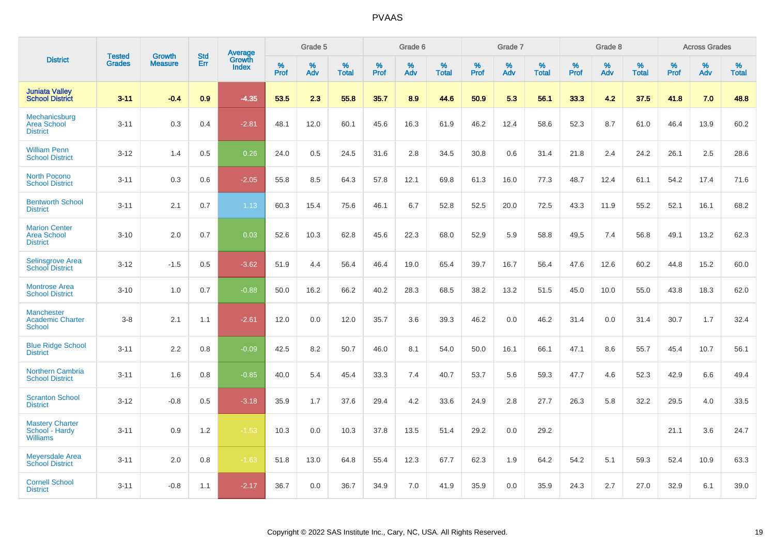|                                                               | <b>Tested</b> |                                 | <b>Std</b> | Average                |              | Grade 5  |                   |           | Grade 6  |                   |           | Grade 7  |                   |              | Grade 8  |                   |              | <b>Across Grades</b> |                   |
|---------------------------------------------------------------|---------------|---------------------------------|------------|------------------------|--------------|----------|-------------------|-----------|----------|-------------------|-----------|----------|-------------------|--------------|----------|-------------------|--------------|----------------------|-------------------|
| <b>District</b>                                               | <b>Grades</b> | <b>Growth</b><br><b>Measure</b> | Err        | Growth<br><b>Index</b> | $\%$<br>Prof | %<br>Adv | %<br><b>Total</b> | %<br>Prof | %<br>Adv | %<br><b>Total</b> | %<br>Prof | %<br>Adv | %<br><b>Total</b> | $\%$<br>Prof | %<br>Adv | %<br><b>Total</b> | $\%$<br>Prof | %<br>Adv             | %<br><b>Total</b> |
| <b>Juniata Valley</b><br><b>School District</b>               | $3 - 11$      | $-0.4$                          | 0.9        | $-4.35$                | 53.5         | 2.3      | 55.8              | 35.7      | 8.9      | 44.6              | 50.9      | 5.3      | 56.1              | 33.3         | 4.2      | 37.5              | 41.8         | 7.0                  | 48.8              |
| Mechanicsburg<br><b>Area School</b><br><b>District</b>        | $3 - 11$      | 0.3                             | 0.4        | $-2.81$                | 48.1         | 12.0     | 60.1              | 45.6      | 16.3     | 61.9              | 46.2      | 12.4     | 58.6              | 52.3         | 8.7      | 61.0              | 46.4         | 13.9                 | 60.2              |
| <b>William Penn</b><br><b>School District</b>                 | $3 - 12$      | 1.4                             | 0.5        | 0.26                   | 24.0         | 0.5      | 24.5              | 31.6      | 2.8      | 34.5              | 30.8      | 0.6      | 31.4              | 21.8         | 2.4      | 24.2              | 26.1         | 2.5                  | 28.6              |
| <b>North Pocono</b><br><b>School District</b>                 | $3 - 11$      | 0.3                             | 0.6        | $-2.05$                | 55.8         | 8.5      | 64.3              | 57.8      | 12.1     | 69.8              | 61.3      | 16.0     | 77.3              | 48.7         | 12.4     | 61.1              | 54.2         | 17.4                 | 71.6              |
| <b>Bentworth School</b><br><b>District</b>                    | $3 - 11$      | 2.1                             | 0.7        | 1.13                   | 60.3         | 15.4     | 75.6              | 46.1      | 6.7      | 52.8              | 52.5      | 20.0     | 72.5              | 43.3         | 11.9     | 55.2              | 52.1         | 16.1                 | 68.2              |
| <b>Marion Center</b><br><b>Area School</b><br><b>District</b> | $3 - 10$      | 2.0                             | 0.7        | 0.03                   | 52.6         | 10.3     | 62.8              | 45.6      | 22.3     | 68.0              | 52.9      | 5.9      | 58.8              | 49.5         | 7.4      | 56.8              | 49.1         | 13.2                 | 62.3              |
| Selinsgrove Area<br><b>School District</b>                    | $3 - 12$      | $-1.5$                          | 0.5        | $-3.62$                | 51.9         | 4.4      | 56.4              | 46.4      | 19.0     | 65.4              | 39.7      | 16.7     | 56.4              | 47.6         | 12.6     | 60.2              | 44.8         | 15.2                 | 60.0              |
| <b>Montrose Area</b><br><b>School District</b>                | $3 - 10$      | 1.0                             | 0.7        | $-0.88$                | 50.0         | 16.2     | 66.2              | 40.2      | 28.3     | 68.5              | 38.2      | 13.2     | 51.5              | 45.0         | 10.0     | 55.0              | 43.8         | 18.3                 | 62.0              |
| <b>Manchester</b><br><b>Academic Charter</b><br><b>School</b> | $3-8$         | 2.1                             | 1.1        | $-2.61$                | 12.0         | 0.0      | 12.0              | 35.7      | 3.6      | 39.3              | 46.2      | 0.0      | 46.2              | 31.4         | 0.0      | 31.4              | 30.7         | 1.7                  | 32.4              |
| <b>Blue Ridge School</b><br><b>District</b>                   | $3 - 11$      | 2.2                             | 0.8        | $-0.09$                | 42.5         | 8.2      | 50.7              | 46.0      | 8.1      | 54.0              | 50.0      | 16.1     | 66.1              | 47.1         | 8.6      | 55.7              | 45.4         | 10.7                 | 56.1              |
| <b>Northern Cambria</b><br><b>School District</b>             | $3 - 11$      | 1.6                             | 0.8        | $-0.85$                | 40.0         | 5.4      | 45.4              | 33.3      | 7.4      | 40.7              | 53.7      | 5.6      | 59.3              | 47.7         | 4.6      | 52.3              | 42.9         | 6.6                  | 49.4              |
| <b>Scranton School</b><br><b>District</b>                     | $3 - 12$      | $-0.8$                          | 0.5        | $-3.18$                | 35.9         | 1.7      | 37.6              | 29.4      | 4.2      | 33.6              | 24.9      | 2.8      | 27.7              | 26.3         | 5.8      | 32.2              | 29.5         | 4.0                  | 33.5              |
| <b>Mastery Charter</b><br>School - Hardy<br><b>Williams</b>   | $3 - 11$      | 0.9                             | 1.2        | $-1.53$                | 10.3         | 0.0      | 10.3              | 37.8      | 13.5     | 51.4              | 29.2      | 0.0      | 29.2              |              |          |                   | 21.1         | 3.6                  | 24.7              |
| <b>Meyersdale Area</b><br><b>School District</b>              | $3 - 11$      | 2.0                             | 0.8        | $-1.63$                | 51.8         | 13.0     | 64.8              | 55.4      | 12.3     | 67.7              | 62.3      | 1.9      | 64.2              | 54.2         | 5.1      | 59.3              | 52.4         | 10.9                 | 63.3              |
| <b>Cornell School</b><br><b>District</b>                      | $3 - 11$      | $-0.8$                          | 1.1        | $-2.17$                | 36.7         | 0.0      | 36.7              | 34.9      | 7.0      | 41.9              | 35.9      | 0.0      | 35.9              | 24.3         | 2.7      | 27.0              | 32.9         | 6.1                  | 39.0              |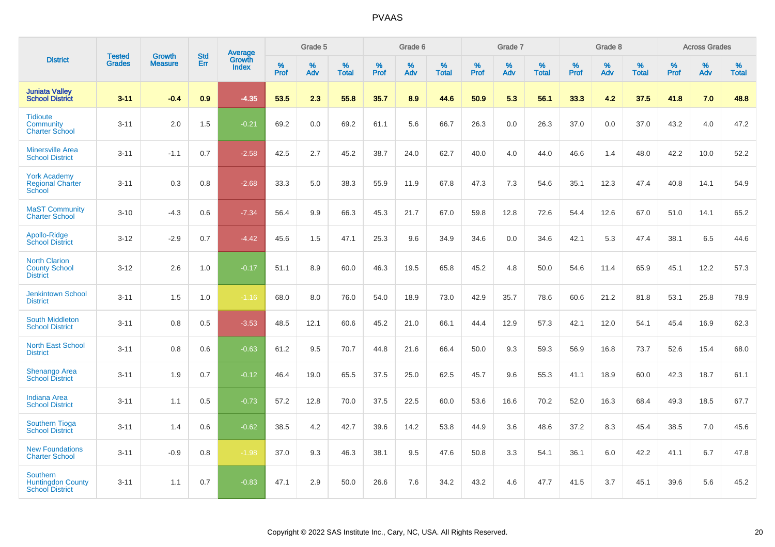|                                                                       |                                |                                 | <b>Std</b> | Average                |              | Grade 5  |                   |           | Grade 6  |                   |           | Grade 7  |                   |           | Grade 8  |                   |              | <b>Across Grades</b> |                   |
|-----------------------------------------------------------------------|--------------------------------|---------------------------------|------------|------------------------|--------------|----------|-------------------|-----------|----------|-------------------|-----------|----------|-------------------|-----------|----------|-------------------|--------------|----------------------|-------------------|
| <b>District</b>                                                       | <b>Tested</b><br><b>Grades</b> | <b>Growth</b><br><b>Measure</b> | Err        | Growth<br><b>Index</b> | $\%$<br>Prof | %<br>Adv | %<br><b>Total</b> | %<br>Prof | %<br>Adv | %<br><b>Total</b> | %<br>Prof | %<br>Adv | %<br><b>Total</b> | %<br>Prof | %<br>Adv | %<br><b>Total</b> | $\%$<br>Prof | %<br>Adv             | %<br><b>Total</b> |
| <b>Juniata Valley</b><br><b>School District</b>                       | $3 - 11$                       | $-0.4$                          | 0.9        | $-4.35$                | 53.5         | 2.3      | 55.8              | 35.7      | 8.9      | 44.6              | 50.9      | 5.3      | 56.1              | 33.3      | 4.2      | 37.5              | 41.8         | 7.0                  | 48.8              |
| <b>Tidioute</b><br>Community<br><b>Charter School</b>                 | $3 - 11$                       | 2.0                             | 1.5        | $-0.21$                | 69.2         | 0.0      | 69.2              | 61.1      | 5.6      | 66.7              | 26.3      | 0.0      | 26.3              | 37.0      | 0.0      | 37.0              | 43.2         | 4.0                  | 47.2              |
| <b>Minersville Area</b><br><b>School District</b>                     | $3 - 11$                       | $-1.1$                          | 0.7        | $-2.58$                | 42.5         | 2.7      | 45.2              | 38.7      | 24.0     | 62.7              | 40.0      | 4.0      | 44.0              | 46.6      | 1.4      | 48.0              | 42.2         | 10.0                 | 52.2              |
| <b>York Academy</b><br><b>Regional Charter</b><br>School              | $3 - 11$                       | 0.3                             | 0.8        | $-2.68$                | 33.3         | 5.0      | 38.3              | 55.9      | 11.9     | 67.8              | 47.3      | 7.3      | 54.6              | 35.1      | 12.3     | 47.4              | 40.8         | 14.1                 | 54.9              |
| <b>MaST Community</b><br><b>Charter School</b>                        | $3 - 10$                       | $-4.3$                          | 0.6        | $-7.34$                | 56.4         | 9.9      | 66.3              | 45.3      | 21.7     | 67.0              | 59.8      | 12.8     | 72.6              | 54.4      | 12.6     | 67.0              | 51.0         | 14.1                 | 65.2              |
| Apollo-Ridge<br><b>School District</b>                                | $3 - 12$                       | $-2.9$                          | 0.7        | $-4.42$                | 45.6         | 1.5      | 47.1              | 25.3      | 9.6      | 34.9              | 34.6      | 0.0      | 34.6              | 42.1      | 5.3      | 47.4              | 38.1         | 6.5                  | 44.6              |
| <b>North Clarion</b><br><b>County School</b><br><b>District</b>       | $3 - 12$                       | 2.6                             | 1.0        | $-0.17$                | 51.1         | 8.9      | 60.0              | 46.3      | 19.5     | 65.8              | 45.2      | 4.8      | 50.0              | 54.6      | 11.4     | 65.9              | 45.1         | 12.2                 | 57.3              |
| <b>Jenkintown School</b><br><b>District</b>                           | $3 - 11$                       | 1.5                             | 1.0        | $-1.16$                | 68.0         | 8.0      | 76.0              | 54.0      | 18.9     | 73.0              | 42.9      | 35.7     | 78.6              | 60.6      | 21.2     | 81.8              | 53.1         | 25.8                 | 78.9              |
| <b>South Middleton</b><br><b>School District</b>                      | $3 - 11$                       | 0.8                             | 0.5        | $-3.53$                | 48.5         | 12.1     | 60.6              | 45.2      | 21.0     | 66.1              | 44.4      | 12.9     | 57.3              | 42.1      | 12.0     | 54.1              | 45.4         | 16.9                 | 62.3              |
| <b>North East School</b><br><b>District</b>                           | $3 - 11$                       | 0.8                             | 0.6        | $-0.63$                | 61.2         | 9.5      | 70.7              | 44.8      | 21.6     | 66.4              | 50.0      | 9.3      | 59.3              | 56.9      | 16.8     | 73.7              | 52.6         | 15.4                 | 68.0              |
| <b>Shenango Area</b><br><b>School District</b>                        | $3 - 11$                       | 1.9                             | 0.7        | $-0.12$                | 46.4         | 19.0     | 65.5              | 37.5      | 25.0     | 62.5              | 45.7      | 9.6      | 55.3              | 41.1      | 18.9     | 60.0              | 42.3         | 18.7                 | 61.1              |
| <b>Indiana Area</b><br><b>School District</b>                         | $3 - 11$                       | 1.1                             | 0.5        | $-0.73$                | 57.2         | 12.8     | 70.0              | 37.5      | 22.5     | 60.0              | 53.6      | 16.6     | 70.2              | 52.0      | 16.3     | 68.4              | 49.3         | 18.5                 | 67.7              |
| <b>Southern Tioga</b><br><b>School District</b>                       | $3 - 11$                       | 1.4                             | 0.6        | $-0.62$                | 38.5         | 4.2      | 42.7              | 39.6      | 14.2     | 53.8              | 44.9      | 3.6      | 48.6              | 37.2      | 8.3      | 45.4              | 38.5         | 7.0                  | 45.6              |
| <b>New Foundations</b><br><b>Charter School</b>                       | $3 - 11$                       | $-0.9$                          | 0.8        | $-1.98$                | 37.0         | 9.3      | 46.3              | 38.1      | 9.5      | 47.6              | 50.8      | 3.3      | 54.1              | 36.1      | 6.0      | 42.2              | 41.1         | 6.7                  | 47.8              |
| <b>Southern</b><br><b>Huntingdon County</b><br><b>School District</b> | $3 - 11$                       | 1.1                             | 0.7        | $-0.83$                | 47.1         | 2.9      | 50.0              | 26.6      | 7.6      | 34.2              | 43.2      | 4.6      | 47.7              | 41.5      | 3.7      | 45.1              | 39.6         | 5.6                  | 45.2              |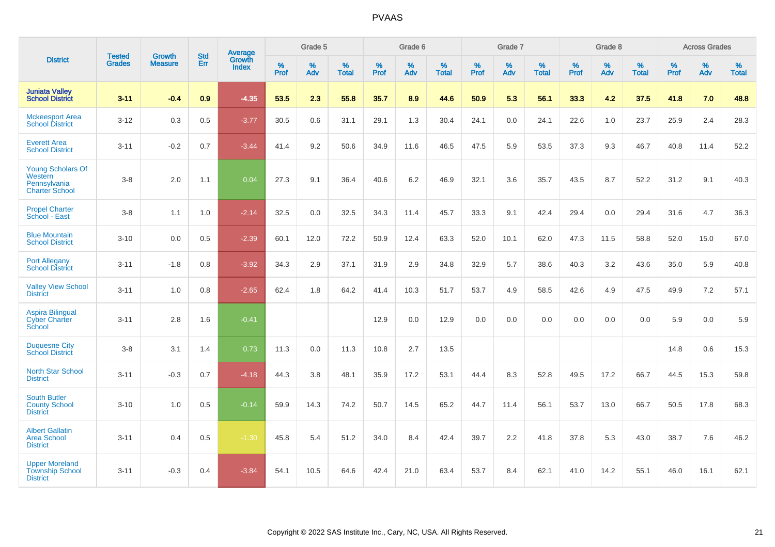|                                                                              |                                |                                 | <b>Std</b> | Average                |           | Grade 5  |                   |           | Grade 6  |                   |           | Grade 7  |                   |           | Grade 8  |                   |           | <b>Across Grades</b> |                   |
|------------------------------------------------------------------------------|--------------------------------|---------------------------------|------------|------------------------|-----------|----------|-------------------|-----------|----------|-------------------|-----------|----------|-------------------|-----------|----------|-------------------|-----------|----------------------|-------------------|
| <b>District</b>                                                              | <b>Tested</b><br><b>Grades</b> | <b>Growth</b><br><b>Measure</b> | Err        | Growth<br><b>Index</b> | %<br>Prof | %<br>Adv | %<br><b>Total</b> | %<br>Prof | %<br>Adv | %<br><b>Total</b> | %<br>Prof | %<br>Adv | %<br><b>Total</b> | %<br>Prof | %<br>Adv | %<br><b>Total</b> | %<br>Prof | %<br>Adv             | %<br><b>Total</b> |
| <b>Juniata Valley</b><br><b>School District</b>                              | $3 - 11$                       | $-0.4$                          | 0.9        | $-4.35$                | 53.5      | 2.3      | 55.8              | 35.7      | 8.9      | 44.6              | 50.9      | 5.3      | 56.1              | 33.3      | 4.2      | 37.5              | 41.8      | 7.0                  | 48.8              |
| <b>Mckeesport Area</b><br><b>School District</b>                             | $3 - 12$                       | 0.3                             | 0.5        | $-3.77$                | 30.5      | 0.6      | 31.1              | 29.1      | 1.3      | 30.4              | 24.1      | 0.0      | 24.1              | 22.6      | 1.0      | 23.7              | 25.9      | 2.4                  | 28.3              |
| <b>Everett Area</b><br><b>School District</b>                                | $3 - 11$                       | $-0.2$                          | 0.7        | $-3.44$                | 41.4      | 9.2      | 50.6              | 34.9      | 11.6     | 46.5              | 47.5      | 5.9      | 53.5              | 37.3      | 9.3      | 46.7              | 40.8      | 11.4                 | 52.2              |
| <b>Young Scholars Of</b><br>Western<br>Pennsylvania<br><b>Charter School</b> | $3-8$                          | 2.0                             | 1.1        | 0.04                   | 27.3      | 9.1      | 36.4              | 40.6      | 6.2      | 46.9              | 32.1      | 3.6      | 35.7              | 43.5      | 8.7      | 52.2              | 31.2      | 9.1                  | 40.3              |
| <b>Propel Charter</b><br>School - East                                       | $3-8$                          | 1.1                             | 1.0        | $-2.14$                | 32.5      | 0.0      | 32.5              | 34.3      | 11.4     | 45.7              | 33.3      | 9.1      | 42.4              | 29.4      | 0.0      | 29.4              | 31.6      | 4.7                  | 36.3              |
| <b>Blue Mountain</b><br><b>School District</b>                               | $3 - 10$                       | 0.0                             | 0.5        | $-2.39$                | 60.1      | 12.0     | 72.2              | 50.9      | 12.4     | 63.3              | 52.0      | 10.1     | 62.0              | 47.3      | 11.5     | 58.8              | 52.0      | 15.0                 | 67.0              |
| <b>Port Allegany</b><br><b>School District</b>                               | $3 - 11$                       | $-1.8$                          | 0.8        | $-3.92$                | 34.3      | 2.9      | 37.1              | 31.9      | 2.9      | 34.8              | 32.9      | 5.7      | 38.6              | 40.3      | 3.2      | 43.6              | 35.0      | 5.9                  | 40.8              |
| <b>Valley View School</b><br><b>District</b>                                 | $3 - 11$                       | 1.0                             | 0.8        | $-2.65$                | 62.4      | 1.8      | 64.2              | 41.4      | 10.3     | 51.7              | 53.7      | 4.9      | 58.5              | 42.6      | 4.9      | 47.5              | 49.9      | 7.2                  | 57.1              |
| <b>Aspira Bilingual</b><br><b>Cyber Charter</b><br>School                    | $3 - 11$                       | 2.8                             | 1.6        | $-0.41$                |           |          |                   | 12.9      | 0.0      | 12.9              | 0.0       | 0.0      | 0.0               | 0.0       | 0.0      | 0.0               | 5.9       | 0.0                  | 5.9               |
| <b>Duquesne City</b><br><b>School District</b>                               | $3-8$                          | 3.1                             | 1.4        | 0.73                   | 11.3      | 0.0      | 11.3              | 10.8      | 2.7      | 13.5              |           |          |                   |           |          |                   | 14.8      | 0.6                  | 15.3              |
| North Star School<br><b>District</b>                                         | $3 - 11$                       | $-0.3$                          | 0.7        | $-4.18$                | 44.3      | 3.8      | 48.1              | 35.9      | 17.2     | 53.1              | 44.4      | 8.3      | 52.8              | 49.5      | 17.2     | 66.7              | 44.5      | 15.3                 | 59.8              |
| <b>South Butler</b><br><b>County School</b><br><b>District</b>               | $3 - 10$                       | 1.0                             | 0.5        | $-0.14$                | 59.9      | 14.3     | 74.2              | 50.7      | 14.5     | 65.2              | 44.7      | 11.4     | 56.1              | 53.7      | 13.0     | 66.7              | 50.5      | 17.8                 | 68.3              |
| <b>Albert Gallatin</b><br><b>Area School</b><br><b>District</b>              | $3 - 11$                       | 0.4                             | 0.5        | $-1.30$                | 45.8      | 5.4      | 51.2              | 34.0      | 8.4      | 42.4              | 39.7      | 2.2      | 41.8              | 37.8      | 5.3      | 43.0              | 38.7      | 7.6                  | 46.2              |
| <b>Upper Moreland</b><br><b>Township School</b><br><b>District</b>           | $3 - 11$                       | $-0.3$                          | 0.4        | $-3.84$                | 54.1      | 10.5     | 64.6              | 42.4      | 21.0     | 63.4              | 53.7      | 8.4      | 62.1              | 41.0      | 14.2     | 55.1              | 46.0      | 16.1                 | 62.1              |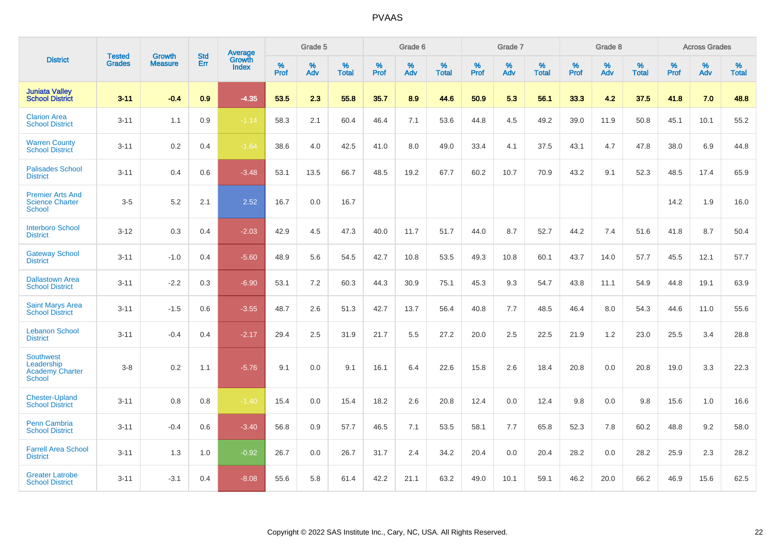|                                                                           |                                |                                 | <b>Std</b> | <b>Average</b>                |           | Grade 5  |                   |           | Grade 6  |                   |           | Grade 7  |                   |           | Grade 8  |                   |           | <b>Across Grades</b> |                   |
|---------------------------------------------------------------------------|--------------------------------|---------------------------------|------------|-------------------------------|-----------|----------|-------------------|-----------|----------|-------------------|-----------|----------|-------------------|-----------|----------|-------------------|-----------|----------------------|-------------------|
| <b>District</b>                                                           | <b>Tested</b><br><b>Grades</b> | <b>Growth</b><br><b>Measure</b> | Err        | <b>Growth</b><br><b>Index</b> | %<br>Prof | %<br>Adv | %<br><b>Total</b> | %<br>Prof | %<br>Adv | %<br><b>Total</b> | %<br>Prof | %<br>Adv | %<br><b>Total</b> | %<br>Prof | %<br>Adv | %<br><b>Total</b> | %<br>Prof | %<br>Adv             | %<br><b>Total</b> |
| <b>Juniata Valley</b><br><b>School District</b>                           | $3 - 11$                       | $-0.4$                          | 0.9        | $-4.35$                       | 53.5      | 2.3      | 55.8              | 35.7      | 8.9      | 44.6              | 50.9      | 5.3      | 56.1              | 33.3      | 4.2      | 37.5              | 41.8      | 7.0                  | 48.8              |
| <b>Clarion Area</b><br><b>School District</b>                             | $3 - 11$                       | 1.1                             | 0.9        | $-1.14$                       | 58.3      | 2.1      | 60.4              | 46.4      | 7.1      | 53.6              | 44.8      | 4.5      | 49.2              | 39.0      | 11.9     | 50.8              | 45.1      | 10.1                 | 55.2              |
| <b>Warren County</b><br><b>School District</b>                            | $3 - 11$                       | $0.2\,$                         | 0.4        | $-1.64$                       | 38.6      | 4.0      | 42.5              | 41.0      | 8.0      | 49.0              | 33.4      | 4.1      | 37.5              | 43.1      | 4.7      | 47.8              | 38.0      | 6.9                  | 44.8              |
| <b>Palisades School</b><br><b>District</b>                                | $3 - 11$                       | 0.4                             | 0.6        | $-3.48$                       | 53.1      | 13.5     | 66.7              | 48.5      | 19.2     | 67.7              | 60.2      | 10.7     | 70.9              | 43.2      | 9.1      | 52.3              | 48.5      | 17.4                 | 65.9              |
| <b>Premier Arts And</b><br><b>Science Charter</b><br><b>School</b>        | $3-5$                          | 5.2                             | 2.1        | 2.52                          | 16.7      | 0.0      | 16.7              |           |          |                   |           |          |                   |           |          |                   | 14.2      | 1.9                  | 16.0              |
| <b>Interboro School</b><br><b>District</b>                                | $3 - 12$                       | 0.3                             | 0.4        | $-2.03$                       | 42.9      | 4.5      | 47.3              | 40.0      | 11.7     | 51.7              | 44.0      | 8.7      | 52.7              | 44.2      | 7.4      | 51.6              | 41.8      | 8.7                  | 50.4              |
| <b>Gateway School</b><br><b>District</b>                                  | $3 - 11$                       | $-1.0$                          | 0.4        | $-5.60$                       | 48.9      | 5.6      | 54.5              | 42.7      | 10.8     | 53.5              | 49.3      | 10.8     | 60.1              | 43.7      | 14.0     | 57.7              | 45.5      | 12.1                 | 57.7              |
| <b>Dallastown Area</b><br><b>School District</b>                          | $3 - 11$                       | $-2.2$                          | 0.3        | $-6.90$                       | 53.1      | 7.2      | 60.3              | 44.3      | 30.9     | 75.1              | 45.3      | 9.3      | 54.7              | 43.8      | 11.1     | 54.9              | 44.8      | 19.1                 | 63.9              |
| <b>Saint Marys Area</b><br><b>School District</b>                         | $3 - 11$                       | $-1.5$                          | 0.6        | $-3.55$                       | 48.7      | 2.6      | 51.3              | 42.7      | 13.7     | 56.4              | 40.8      | 7.7      | 48.5              | 46.4      | 8.0      | 54.3              | 44.6      | 11.0                 | 55.6              |
| <b>Lebanon School</b><br><b>District</b>                                  | $3 - 11$                       | $-0.4$                          | 0.4        | $-2.17$                       | 29.4      | 2.5      | 31.9              | 21.7      | 5.5      | 27.2              | 20.0      | 2.5      | 22.5              | 21.9      | 1.2      | 23.0              | 25.5      | 3.4                  | 28.8              |
| <b>Southwest</b><br>Leadership<br><b>Academy Charter</b><br><b>School</b> | $3 - 8$                        | 0.2                             | 1.1        | $-5.76$                       | 9.1       | 0.0      | 9.1               | 16.1      | 6.4      | 22.6              | 15.8      | 2.6      | 18.4              | 20.8      | 0.0      | 20.8              | 19.0      | 3.3                  | 22.3              |
| <b>Chester-Upland</b><br><b>School District</b>                           | $3 - 11$                       | 0.8                             | 0.8        | $-1.40$                       | 15.4      | 0.0      | 15.4              | 18.2      | 2.6      | 20.8              | 12.4      | 0.0      | 12.4              | 9.8       | 0.0      | 9.8               | 15.6      | 1.0                  | 16.6              |
| Penn Cambria<br><b>School District</b>                                    | $3 - 11$                       | $-0.4$                          | 0.6        | $-3.40$                       | 56.8      | 0.9      | 57.7              | 46.5      | 7.1      | 53.5              | 58.1      | 7.7      | 65.8              | 52.3      | 7.8      | 60.2              | 48.8      | 9.2                  | 58.0              |
| <b>Farrell Area School</b><br><b>District</b>                             | $3 - 11$                       | 1.3                             | 1.0        | $-0.92$                       | 26.7      | 0.0      | 26.7              | 31.7      | 2.4      | 34.2              | 20.4      | 0.0      | 20.4              | 28.2      | 0.0      | 28.2              | 25.9      | 2.3                  | 28.2              |
| <b>Greater Latrobe</b><br><b>School District</b>                          | $3 - 11$                       | $-3.1$                          | 0.4        | $-8.08$                       | 55.6      | 5.8      | 61.4              | 42.2      | 21.1     | 63.2              | 49.0      | 10.1     | 59.1              | 46.2      | 20.0     | 66.2              | 46.9      | 15.6                 | 62.5              |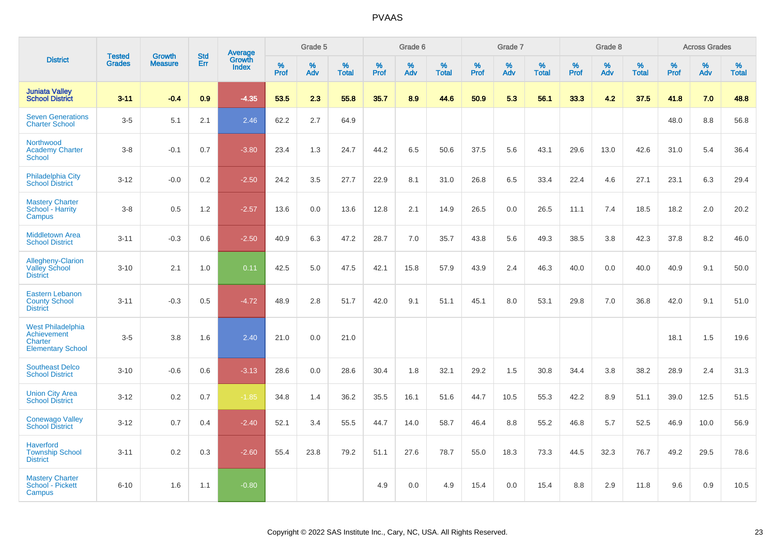|                                                                                |                                |                                 | <b>Std</b> | Average                |                     | Grade 5     |                   |              | Grade 6  |                      |              | Grade 7  |                      |              | Grade 8  |                   |              | <b>Across Grades</b> |            |
|--------------------------------------------------------------------------------|--------------------------------|---------------------------------|------------|------------------------|---------------------|-------------|-------------------|--------------|----------|----------------------|--------------|----------|----------------------|--------------|----------|-------------------|--------------|----------------------|------------|
| <b>District</b>                                                                | <b>Tested</b><br><b>Grades</b> | <b>Growth</b><br><b>Measure</b> | Err        | Growth<br><b>Index</b> | $\%$<br><b>Prof</b> | $\%$<br>Adv | %<br><b>Total</b> | $\%$<br>Prof | %<br>Adv | $\%$<br><b>Total</b> | $\%$<br>Prof | %<br>Adv | $\%$<br><b>Total</b> | $\%$<br>Prof | %<br>Adv | %<br><b>Total</b> | $\%$<br>Prof | %<br>Adv             | %<br>Total |
| <b>Juniata Valley</b><br><b>School District</b>                                | $3 - 11$                       | $-0.4$                          | 0.9        | $-4.35$                | 53.5                | 2.3         | 55.8              | 35.7         | 8.9      | 44.6                 | 50.9         | 5.3      | 56.1                 | 33.3         | 4.2      | 37.5              | 41.8         | 7.0                  | 48.8       |
| <b>Seven Generations</b><br><b>Charter School</b>                              | $3-5$                          | 5.1                             | 2.1        | 2.46                   | 62.2                | 2.7         | 64.9              |              |          |                      |              |          |                      |              |          |                   | 48.0         | 8.8                  | 56.8       |
| Northwood<br><b>Academy Charter</b><br><b>School</b>                           | $3-8$                          | $-0.1$                          | 0.7        | $-3.80$                | 23.4                | 1.3         | 24.7              | 44.2         | 6.5      | 50.6                 | 37.5         | 5.6      | 43.1                 | 29.6         | 13.0     | 42.6              | 31.0         | 5.4                  | 36.4       |
| Philadelphia City<br><b>School District</b>                                    | $3 - 12$                       | $-0.0$                          | 0.2        | $-2.50$                | 24.2                | 3.5         | 27.7              | 22.9         | 8.1      | 31.0                 | 26.8         | 6.5      | 33.4                 | 22.4         | 4.6      | 27.1              | 23.1         | 6.3                  | 29.4       |
| <b>Mastery Charter</b><br>School - Harrity<br>Campus                           | $3 - 8$                        | 0.5                             | 1.2        | $-2.57$                | 13.6                | 0.0         | 13.6              | 12.8         | 2.1      | 14.9                 | 26.5         | 0.0      | 26.5                 | 11.1         | 7.4      | 18.5              | 18.2         | 2.0                  | 20.2       |
| <b>Middletown Area</b><br><b>School District</b>                               | $3 - 11$                       | $-0.3$                          | 0.6        | $-2.50$                | 40.9                | 6.3         | 47.2              | 28.7         | 7.0      | 35.7                 | 43.8         | 5.6      | 49.3                 | 38.5         | 3.8      | 42.3              | 37.8         | 8.2                  | 46.0       |
| <b>Allegheny-Clarion</b><br><b>Valley School</b><br><b>District</b>            | $3 - 10$                       | 2.1                             | 1.0        | 0.11                   | 42.5                | 5.0         | 47.5              | 42.1         | 15.8     | 57.9                 | 43.9         | 2.4      | 46.3                 | 40.0         | 0.0      | 40.0              | 40.9         | 9.1                  | 50.0       |
| Eastern Lebanon<br><b>County School</b><br><b>District</b>                     | $3 - 11$                       | $-0.3$                          | 0.5        | $-4.72$                | 48.9                | 2.8         | 51.7              | 42.0         | 9.1      | 51.1                 | 45.1         | 8.0      | 53.1                 | 29.8         | 7.0      | 36.8              | 42.0         | 9.1                  | 51.0       |
| <b>West Philadelphia</b><br>Achievement<br>Charter<br><b>Elementary School</b> | $3-5$                          | 3.8                             | 1.6        | 2.40                   | 21.0                | 0.0         | 21.0              |              |          |                      |              |          |                      |              |          |                   | 18.1         | 1.5                  | 19.6       |
| <b>Southeast Delco</b><br><b>School District</b>                               | $3 - 10$                       | $-0.6$                          | 0.6        | $-3.13$                | 28.6                | 0.0         | 28.6              | 30.4         | 1.8      | 32.1                 | 29.2         | 1.5      | 30.8                 | 34.4         | 3.8      | 38.2              | 28.9         | 2.4                  | 31.3       |
| <b>Union City Area</b><br><b>School District</b>                               | $3 - 12$                       | 0.2                             | 0.7        | $-1.85$                | 34.8                | 1.4         | 36.2              | 35.5         | 16.1     | 51.6                 | 44.7         | 10.5     | 55.3                 | 42.2         | 8.9      | 51.1              | 39.0         | 12.5                 | 51.5       |
| <b>Conewago Valley</b><br><b>School District</b>                               | $3 - 12$                       | 0.7                             | 0.4        | $-2.40$                | 52.1                | 3.4         | 55.5              | 44.7         | 14.0     | 58.7                 | 46.4         | 8.8      | 55.2                 | 46.8         | 5.7      | 52.5              | 46.9         | 10.0                 | 56.9       |
| <b>Haverford</b><br><b>Township School</b><br><b>District</b>                  | $3 - 11$                       | 0.2                             | 0.3        | $-2.60$                | 55.4                | 23.8        | 79.2              | 51.1         | 27.6     | 78.7                 | 55.0         | 18.3     | 73.3                 | 44.5         | 32.3     | 76.7              | 49.2         | 29.5                 | 78.6       |
| <b>Mastery Charter</b><br>School - Pickett<br>Campus                           | $6 - 10$                       | 1.6                             | 1.1        | $-0.80$                |                     |             |                   | 4.9          | 0.0      | 4.9                  | 15.4         | 0.0      | 15.4                 | 8.8          | 2.9      | 11.8              | 9.6          | 0.9                  | 10.5       |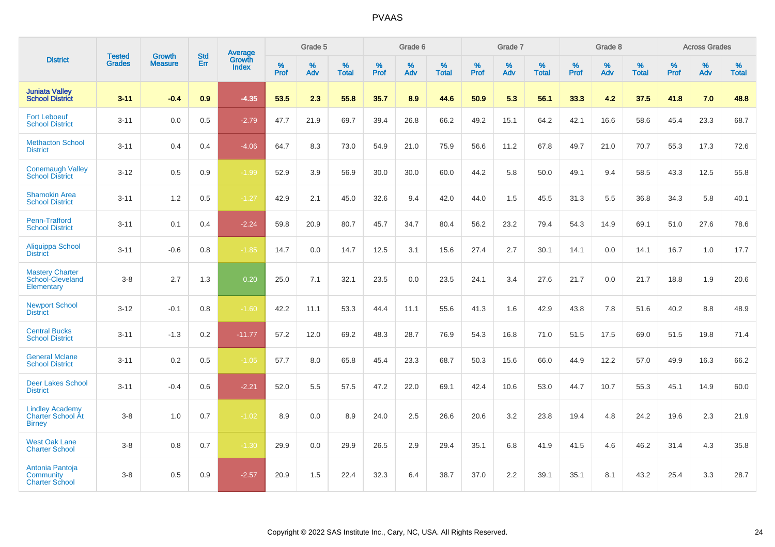|                                                                     | <b>Tested</b> | <b>Growth</b>  | <b>Std</b> | <b>Average</b>         |           | Grade 5  |                   |           | Grade 6  |                   |           | Grade 7  |                   |           | Grade 8  |                   |           | <b>Across Grades</b> |                   |
|---------------------------------------------------------------------|---------------|----------------|------------|------------------------|-----------|----------|-------------------|-----------|----------|-------------------|-----------|----------|-------------------|-----------|----------|-------------------|-----------|----------------------|-------------------|
| <b>District</b>                                                     | <b>Grades</b> | <b>Measure</b> | Err        | Growth<br><b>Index</b> | %<br>Prof | %<br>Adv | %<br><b>Total</b> | %<br>Prof | %<br>Adv | %<br><b>Total</b> | %<br>Prof | %<br>Adv | %<br><b>Total</b> | %<br>Prof | %<br>Adv | %<br><b>Total</b> | %<br>Prof | %<br>Adv             | %<br><b>Total</b> |
| <b>Juniata Valley</b><br><b>School District</b>                     | $3 - 11$      | $-0.4$         | 0.9        | $-4.35$                | 53.5      | 2.3      | 55.8              | 35.7      | 8.9      | 44.6              | 50.9      | 5.3      | 56.1              | 33.3      | 4.2      | 37.5              | 41.8      | 7.0                  | 48.8              |
| <b>Fort Leboeuf</b><br><b>School District</b>                       | $3 - 11$      | 0.0            | 0.5        | $-2.79$                | 47.7      | 21.9     | 69.7              | 39.4      | 26.8     | 66.2              | 49.2      | 15.1     | 64.2              | 42.1      | 16.6     | 58.6              | 45.4      | 23.3                 | 68.7              |
| <b>Methacton School</b><br><b>District</b>                          | $3 - 11$      | 0.4            | 0.4        | $-4.06$                | 64.7      | 8.3      | 73.0              | 54.9      | 21.0     | 75.9              | 56.6      | 11.2     | 67.8              | 49.7      | 21.0     | 70.7              | 55.3      | 17.3                 | 72.6              |
| <b>Conemaugh Valley</b><br><b>School District</b>                   | $3 - 12$      | 0.5            | 0.9        | $-1.99$                | 52.9      | 3.9      | 56.9              | 30.0      | 30.0     | 60.0              | 44.2      | 5.8      | 50.0              | 49.1      | 9.4      | 58.5              | 43.3      | 12.5                 | 55.8              |
| <b>Shamokin Area</b><br><b>School District</b>                      | $3 - 11$      | 1.2            | 0.5        | $-1.27$                | 42.9      | 2.1      | 45.0              | 32.6      | 9.4      | 42.0              | 44.0      | 1.5      | 45.5              | 31.3      | 5.5      | 36.8              | 34.3      | 5.8                  | 40.1              |
| Penn-Trafford<br><b>School District</b>                             | $3 - 11$      | 0.1            | 0.4        | $-2.24$                | 59.8      | 20.9     | 80.7              | 45.7      | 34.7     | 80.4              | 56.2      | 23.2     | 79.4              | 54.3      | 14.9     | 69.1              | 51.0      | 27.6                 | 78.6              |
| Aliquippa School<br><b>District</b>                                 | $3 - 11$      | $-0.6$         | 0.8        | $-1.85$                | 14.7      | 0.0      | 14.7              | 12.5      | 3.1      | 15.6              | 27.4      | 2.7      | 30.1              | 14.1      | 0.0      | 14.1              | 16.7      | 1.0                  | 17.7              |
| <b>Mastery Charter</b><br>School-Cleveland<br>Elementary            | $3-8$         | 2.7            | 1.3        | 0.20                   | 25.0      | 7.1      | 32.1              | 23.5      | 0.0      | 23.5              | 24.1      | 3.4      | 27.6              | 21.7      | 0.0      | 21.7              | 18.8      | 1.9                  | 20.6              |
| <b>Newport School</b><br><b>District</b>                            | $3 - 12$      | $-0.1$         | 0.8        | $-1.60$                | 42.2      | 11.1     | 53.3              | 44.4      | 11.1     | 55.6              | 41.3      | 1.6      | 42.9              | 43.8      | 7.8      | 51.6              | 40.2      | 8.8                  | 48.9              |
| <b>Central Bucks</b><br><b>School District</b>                      | $3 - 11$      | $-1.3$         | 0.2        | $-11.77$               | 57.2      | 12.0     | 69.2              | 48.3      | 28.7     | 76.9              | 54.3      | 16.8     | 71.0              | 51.5      | 17.5     | 69.0              | 51.5      | 19.8                 | 71.4              |
| <b>General Mclane</b><br><b>School District</b>                     | $3 - 11$      | 0.2            | 0.5        | $-1.05$                | 57.7      | 8.0      | 65.8              | 45.4      | 23.3     | 68.7              | 50.3      | 15.6     | 66.0              | 44.9      | 12.2     | 57.0              | 49.9      | 16.3                 | 66.2              |
| <b>Deer Lakes School</b><br><b>District</b>                         | $3 - 11$      | $-0.4$         | 0.6        | $-2.21$                | 52.0      | 5.5      | 57.5              | 47.2      | 22.0     | 69.1              | 42.4      | 10.6     | 53.0              | 44.7      | 10.7     | 55.3              | 45.1      | 14.9                 | 60.0              |
| <b>Lindley Academy</b><br><b>Charter School At</b><br><b>Birney</b> | $3-8$         | 1.0            | 0.7        | $-1.02$                | 8.9       | 0.0      | 8.9               | 24.0      | 2.5      | 26.6              | 20.6      | 3.2      | 23.8              | 19.4      | 4.8      | 24.2              | 19.6      | 2.3                  | 21.9              |
| <b>West Oak Lane</b><br><b>Charter School</b>                       | $3-8$         | 0.8            | 0.7        | $-1.30$                | 29.9      | 0.0      | 29.9              | 26.5      | 2.9      | 29.4              | 35.1      | 6.8      | 41.9              | 41.5      | 4.6      | 46.2              | 31.4      | 4.3                  | 35.8              |
| Antonia Pantoja<br>Community<br><b>Charter School</b>               | $3-8$         | 0.5            | 0.9        | $-2.57$                | 20.9      | 1.5      | 22.4              | 32.3      | 6.4      | 38.7              | 37.0      | 2.2      | 39.1              | 35.1      | 8.1      | 43.2              | 25.4      | 3.3                  | 28.7              |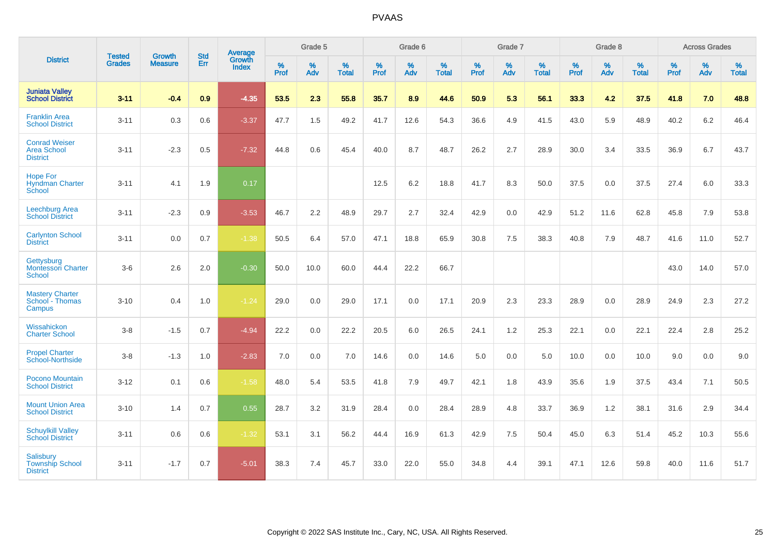|                                                               | <b>Tested</b> | <b>Growth</b>  | <b>Std</b> | Average                |                     | Grade 5     |                   |                     | Grade 6  |                   |                     | Grade 7  |                   |              | Grade 8  |                   |                     | <b>Across Grades</b> |                   |
|---------------------------------------------------------------|---------------|----------------|------------|------------------------|---------------------|-------------|-------------------|---------------------|----------|-------------------|---------------------|----------|-------------------|--------------|----------|-------------------|---------------------|----------------------|-------------------|
| <b>District</b>                                               | <b>Grades</b> | <b>Measure</b> | Err        | Growth<br><b>Index</b> | $\%$<br><b>Prof</b> | $\%$<br>Adv | %<br><b>Total</b> | $\%$<br><b>Prof</b> | %<br>Adv | %<br><b>Total</b> | $\%$<br><b>Prof</b> | %<br>Adv | %<br><b>Total</b> | $\%$<br>Prof | %<br>Adv | %<br><b>Total</b> | $\%$<br><b>Prof</b> | %<br>Adv             | %<br><b>Total</b> |
| <b>Juniata Valley</b><br><b>School District</b>               | $3 - 11$      | $-0.4$         | 0.9        | $-4.35$                | 53.5                | 2.3         | 55.8              | 35.7                | 8.9      | 44.6              | 50.9                | 5.3      | 56.1              | 33.3         | 4.2      | 37.5              | 41.8                | 7.0                  | 48.8              |
| <b>Franklin Area</b><br><b>School District</b>                | $3 - 11$      | 0.3            | 0.6        | $-3.37$                | 47.7                | 1.5         | 49.2              | 41.7                | 12.6     | 54.3              | 36.6                | 4.9      | 41.5              | 43.0         | 5.9      | 48.9              | 40.2                | 6.2                  | 46.4              |
| <b>Conrad Weiser</b><br>Area School<br><b>District</b>        | $3 - 11$      | $-2.3$         | 0.5        | $-7.32$                | 44.8                | 0.6         | 45.4              | 40.0                | 8.7      | 48.7              | 26.2                | 2.7      | 28.9              | 30.0         | 3.4      | 33.5              | 36.9                | 6.7                  | 43.7              |
| <b>Hope For</b><br><b>Hyndman Charter</b><br>School           | $3 - 11$      | 4.1            | 1.9        | 0.17                   |                     |             |                   | 12.5                | 6.2      | 18.8              | 41.7                | 8.3      | 50.0              | 37.5         | 0.0      | 37.5              | 27.4                | 6.0                  | 33.3              |
| Leechburg Area<br><b>School District</b>                      | $3 - 11$      | $-2.3$         | 0.9        | $-3.53$                | 46.7                | 2.2         | 48.9              | 29.7                | 2.7      | 32.4              | 42.9                | 0.0      | 42.9              | 51.2         | 11.6     | 62.8              | 45.8                | 7.9                  | 53.8              |
| <b>Carlynton School</b><br><b>District</b>                    | $3 - 11$      | 0.0            | 0.7        | $-1.38$                | 50.5                | 6.4         | 57.0              | 47.1                | 18.8     | 65.9              | 30.8                | 7.5      | 38.3              | 40.8         | 7.9      | 48.7              | 41.6                | 11.0                 | 52.7              |
| Gettysburg<br><b>Montessori Charter</b><br>School             | $3-6$         | 2.6            | 2.0        | $-0.30$                | 50.0                | 10.0        | 60.0              | 44.4                | 22.2     | 66.7              |                     |          |                   |              |          |                   | 43.0                | 14.0                 | 57.0              |
| <b>Mastery Charter</b><br>School - Thomas<br>Campus           | $3 - 10$      | 0.4            | 1.0        | $-1.24$                | 29.0                | 0.0         | 29.0              | 17.1                | 0.0      | 17.1              | 20.9                | 2.3      | 23.3              | 28.9         | 0.0      | 28.9              | 24.9                | 2.3                  | 27.2              |
| Wissahickon<br><b>Charter School</b>                          | $3-8$         | $-1.5$         | 0.7        | $-4.94$                | 22.2                | 0.0         | 22.2              | 20.5                | 6.0      | 26.5              | 24.1                | 1.2      | 25.3              | 22.1         | 0.0      | 22.1              | 22.4                | 2.8                  | 25.2              |
| <b>Propel Charter</b><br>School-Northside                     | $3-8$         | $-1.3$         | 1.0        | $-2.83$                | 7.0                 | 0.0         | 7.0               | 14.6                | 0.0      | 14.6              | 5.0                 | 0.0      | 5.0               | 10.0         | 0.0      | 10.0              | 9.0                 | 0.0                  | 9.0               |
| Pocono Mountain<br><b>School District</b>                     | $3 - 12$      | 0.1            | 0.6        | $-1.58$                | 48.0                | 5.4         | 53.5              | 41.8                | 7.9      | 49.7              | 42.1                | 1.8      | 43.9              | 35.6         | 1.9      | 37.5              | 43.4                | 7.1                  | 50.5              |
| <b>Mount Union Area</b><br><b>School District</b>             | $3 - 10$      | 1.4            | 0.7        | 0.55                   | 28.7                | 3.2         | 31.9              | 28.4                | 0.0      | 28.4              | 28.9                | 4.8      | 33.7              | 36.9         | 1.2      | 38.1              | 31.6                | 2.9                  | 34.4              |
| <b>Schuylkill Valley</b><br><b>School District</b>            | $3 - 11$      | 0.6            | 0.6        | $-1.32$                | 53.1                | 3.1         | 56.2              | 44.4                | 16.9     | 61.3              | 42.9                | 7.5      | 50.4              | 45.0         | 6.3      | 51.4              | 45.2                | 10.3                 | 55.6              |
| <b>Salisbury</b><br><b>Township School</b><br><b>District</b> | $3 - 11$      | $-1.7$         | 0.7        | $-5.01$                | 38.3                | 7.4         | 45.7              | 33.0                | 22.0     | 55.0              | 34.8                | 4.4      | 39.1              | 47.1         | 12.6     | 59.8              | 40.0                | 11.6                 | 51.7              |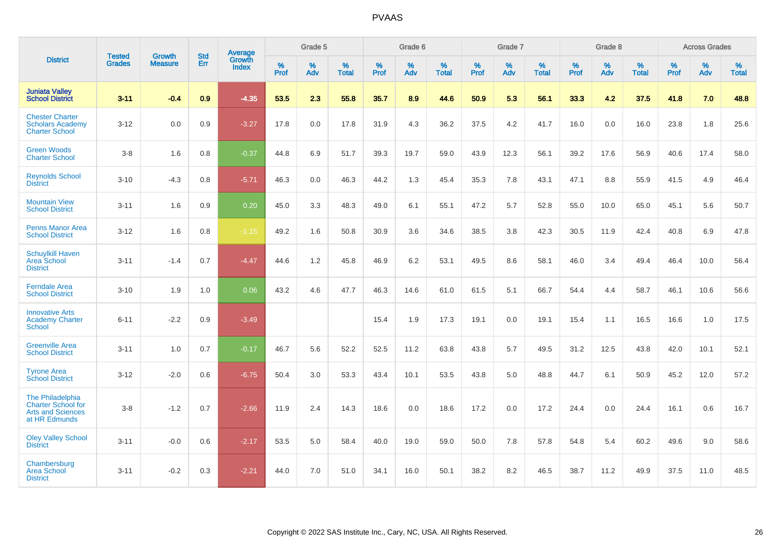|                                                                                     | <b>Tested</b> | <b>Growth</b>  | <b>Std</b> | <b>Average</b>         |           | Grade 5  |                   |           | Grade 6  |                   |           | Grade 7  |                   |           | Grade 8  |                   |           | <b>Across Grades</b> |                   |
|-------------------------------------------------------------------------------------|---------------|----------------|------------|------------------------|-----------|----------|-------------------|-----------|----------|-------------------|-----------|----------|-------------------|-----------|----------|-------------------|-----------|----------------------|-------------------|
| <b>District</b>                                                                     | <b>Grades</b> | <b>Measure</b> | Err        | Growth<br><b>Index</b> | %<br>Prof | %<br>Adv | %<br><b>Total</b> | %<br>Prof | %<br>Adv | %<br><b>Total</b> | %<br>Prof | %<br>Adv | %<br><b>Total</b> | %<br>Prof | %<br>Adv | %<br><b>Total</b> | %<br>Prof | %<br>Adv             | %<br><b>Total</b> |
| <b>Juniata Valley</b><br><b>School District</b>                                     | $3 - 11$      | $-0.4$         | 0.9        | $-4.35$                | 53.5      | 2.3      | 55.8              | 35.7      | 8.9      | 44.6              | 50.9      | 5.3      | 56.1              | 33.3      | 4.2      | 37.5              | 41.8      | 7.0                  | 48.8              |
| <b>Chester Charter</b><br><b>Scholars Academy</b><br><b>Charter School</b>          | $3 - 12$      | 0.0            | 0.9        | $-3.27$                | 17.8      | 0.0      | 17.8              | 31.9      | 4.3      | 36.2              | 37.5      | 4.2      | 41.7              | 16.0      | 0.0      | 16.0              | 23.8      | 1.8                  | 25.6              |
| <b>Green Woods</b><br><b>Charter School</b>                                         | $3-8$         | 1.6            | 0.8        | $-0.37$                | 44.8      | 6.9      | 51.7              | 39.3      | 19.7     | 59.0              | 43.9      | 12.3     | 56.1              | 39.2      | 17.6     | 56.9              | 40.6      | 17.4                 | 58.0              |
| <b>Reynolds School</b><br><b>District</b>                                           | $3 - 10$      | $-4.3$         | 0.8        | $-5.71$                | 46.3      | 0.0      | 46.3              | 44.2      | 1.3      | 45.4              | 35.3      | 7.8      | 43.1              | 47.1      | 8.8      | 55.9              | 41.5      | 4.9                  | 46.4              |
| <b>Mountain View</b><br><b>School District</b>                                      | $3 - 11$      | 1.6            | 0.9        | 0.20                   | 45.0      | 3.3      | 48.3              | 49.0      | 6.1      | 55.1              | 47.2      | 5.7      | 52.8              | 55.0      | 10.0     | 65.0              | 45.1      | 5.6                  | 50.7              |
| <b>Penns Manor Area</b><br><b>School District</b>                                   | $3 - 12$      | 1.6            | 0.8        | $-1.15$                | 49.2      | 1.6      | 50.8              | 30.9      | 3.6      | 34.6              | 38.5      | 3.8      | 42.3              | 30.5      | 11.9     | 42.4              | 40.8      | 6.9                  | 47.8              |
| <b>Schuylkill Haven</b><br><b>Area School</b><br><b>District</b>                    | $3 - 11$      | $-1.4$         | 0.7        | $-4.47$                | 44.6      | 1.2      | 45.8              | 46.9      | 6.2      | 53.1              | 49.5      | 8.6      | 58.1              | 46.0      | 3.4      | 49.4              | 46.4      | 10.0                 | 56.4              |
| <b>Ferndale Area</b><br><b>School District</b>                                      | $3 - 10$      | 1.9            | 1.0        | 0.06                   | 43.2      | 4.6      | 47.7              | 46.3      | 14.6     | 61.0              | 61.5      | 5.1      | 66.7              | 54.4      | 4.4      | 58.7              | 46.1      | 10.6                 | 56.6              |
| <b>Innovative Arts</b><br><b>Academy Charter</b><br><b>School</b>                   | $6 - 11$      | $-2.2$         | 0.9        | $-3.49$                |           |          |                   | 15.4      | 1.9      | 17.3              | 19.1      | 0.0      | 19.1              | 15.4      | 1.1      | 16.5              | 16.6      | 1.0                  | 17.5              |
| <b>Greenville Area</b><br><b>School District</b>                                    | $3 - 11$      | 1.0            | 0.7        | $-0.17$                | 46.7      | 5.6      | 52.2              | 52.5      | 11.2     | 63.8              | 43.8      | 5.7      | 49.5              | 31.2      | 12.5     | 43.8              | 42.0      | 10.1                 | 52.1              |
| <b>Tyrone Area</b><br><b>School District</b>                                        | $3 - 12$      | $-2.0$         | 0.6        | $-6.75$                | 50.4      | 3.0      | 53.3              | 43.4      | 10.1     | 53.5              | 43.8      | 5.0      | 48.8              | 44.7      | 6.1      | 50.9              | 45.2      | 12.0                 | 57.2              |
| The Philadelphia<br>Charter School for<br><b>Arts and Sciences</b><br>at HR Edmunds | $3-8$         | $-1.2$         | 0.7        | $-2.66$                | 11.9      | 2.4      | 14.3              | 18.6      | 0.0      | 18.6              | 17.2      | 0.0      | 17.2              | 24.4      | 0.0      | 24.4              | 16.1      | 0.6                  | 16.7              |
| <b>Oley Valley School</b><br><b>District</b>                                        | $3 - 11$      | $-0.0$         | 0.6        | $-2.17$                | 53.5      | 5.0      | 58.4              | 40.0      | 19.0     | 59.0              | 50.0      | 7.8      | 57.8              | 54.8      | 5.4      | 60.2              | 49.6      | 9.0                  | 58.6              |
| Chambersburg<br><b>Area School</b><br><b>District</b>                               | $3 - 11$      | $-0.2$         | 0.3        | $-2.21$                | 44.0      | 7.0      | 51.0              | 34.1      | 16.0     | 50.1              | 38.2      | 8.2      | 46.5              | 38.7      | 11.2     | 49.9              | 37.5      | 11.0                 | 48.5              |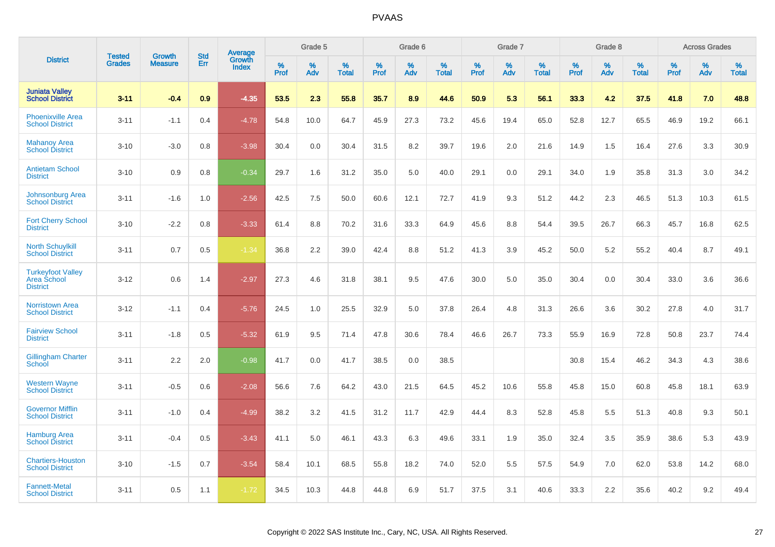|                                                            |                                |                                 | <b>Std</b> | Average         |           | Grade 5  |                      |           | Grade 6  |                   |              | Grade 7  |                   |              | Grade 8  |                   |           | <b>Across Grades</b> |                   |
|------------------------------------------------------------|--------------------------------|---------------------------------|------------|-----------------|-----------|----------|----------------------|-----------|----------|-------------------|--------------|----------|-------------------|--------------|----------|-------------------|-----------|----------------------|-------------------|
| <b>District</b>                                            | <b>Tested</b><br><b>Grades</b> | <b>Growth</b><br><b>Measure</b> | Err        | Growth<br>Index | %<br>Prof | %<br>Adv | $\%$<br><b>Total</b> | %<br>Prof | %<br>Adv | %<br><b>Total</b> | $\%$<br>Prof | %<br>Adv | %<br><b>Total</b> | $\%$<br>Prof | %<br>Adv | %<br><b>Total</b> | %<br>Prof | %<br>Adv             | %<br><b>Total</b> |
| <b>Juniata Valley</b><br><b>School District</b>            | $3 - 11$                       | $-0.4$                          | 0.9        | $-4.35$         | 53.5      | 2.3      | 55.8                 | 35.7      | 8.9      | 44.6              | 50.9         | 5.3      | 56.1              | 33.3         | 4.2      | 37.5              | 41.8      | 7.0                  | 48.8              |
| <b>Phoenixville Area</b><br><b>School District</b>         | $3 - 11$                       | $-1.1$                          | 0.4        | $-4.78$         | 54.8      | 10.0     | 64.7                 | 45.9      | 27.3     | 73.2              | 45.6         | 19.4     | 65.0              | 52.8         | 12.7     | 65.5              | 46.9      | 19.2                 | 66.1              |
| <b>Mahanoy Area</b><br><b>School District</b>              | $3 - 10$                       | $-3.0$                          | 0.8        | $-3.98$         | 30.4      | 0.0      | 30.4                 | 31.5      | 8.2      | 39.7              | 19.6         | 2.0      | 21.6              | 14.9         | 1.5      | 16.4              | 27.6      | 3.3                  | 30.9              |
| <b>Antietam School</b><br><b>District</b>                  | $3 - 10$                       | 0.9                             | 0.8        | $-0.34$         | 29.7      | 1.6      | 31.2                 | 35.0      | 5.0      | 40.0              | 29.1         | 0.0      | 29.1              | 34.0         | 1.9      | 35.8              | 31.3      | 3.0                  | 34.2              |
| Johnsonburg Area<br><b>School District</b>                 | $3 - 11$                       | $-1.6$                          | 1.0        | $-2.56$         | 42.5      | 7.5      | 50.0                 | 60.6      | 12.1     | 72.7              | 41.9         | 9.3      | 51.2              | 44.2         | 2.3      | 46.5              | 51.3      | 10.3                 | 61.5              |
| <b>Fort Cherry School</b><br><b>District</b>               | $3 - 10$                       | $-2.2$                          | 0.8        | $-3.33$         | 61.4      | 8.8      | 70.2                 | 31.6      | 33.3     | 64.9              | 45.6         | 8.8      | 54.4              | 39.5         | 26.7     | 66.3              | 45.7      | 16.8                 | 62.5              |
| <b>North Schuylkill</b><br><b>School District</b>          | $3 - 11$                       | 0.7                             | 0.5        | $-1.34$         | 36.8      | 2.2      | 39.0                 | 42.4      | 8.8      | 51.2              | 41.3         | 3.9      | 45.2              | 50.0         | 5.2      | 55.2              | 40.4      | 8.7                  | 49.1              |
| <b>Turkeyfoot Valley</b><br>Area School<br><b>District</b> | $3 - 12$                       | 0.6                             | 1.4        | $-2.97$         | 27.3      | 4.6      | 31.8                 | 38.1      | 9.5      | 47.6              | 30.0         | 5.0      | 35.0              | 30.4         | 0.0      | 30.4              | 33.0      | 3.6                  | 36.6              |
| <b>Norristown Area</b><br><b>School District</b>           | $3 - 12$                       | $-1.1$                          | 0.4        | $-5.76$         | 24.5      | 1.0      | 25.5                 | 32.9      | 5.0      | 37.8              | 26.4         | 4.8      | 31.3              | 26.6         | 3.6      | 30.2              | 27.8      | 4.0                  | 31.7              |
| <b>Fairview School</b><br><b>District</b>                  | $3 - 11$                       | $-1.8$                          | 0.5        | $-5.32$         | 61.9      | 9.5      | 71.4                 | 47.8      | 30.6     | 78.4              | 46.6         | 26.7     | 73.3              | 55.9         | 16.9     | 72.8              | 50.8      | 23.7                 | 74.4              |
| <b>Gillingham Charter</b><br>School                        | $3 - 11$                       | 2.2                             | 2.0        | $-0.98$         | 41.7      | 0.0      | 41.7                 | 38.5      | 0.0      | 38.5              |              |          |                   | 30.8         | 15.4     | 46.2              | 34.3      | 4.3                  | 38.6              |
| <b>Western Wayne</b><br><b>School District</b>             | $3 - 11$                       | $-0.5$                          | 0.6        | $-2.08$         | 56.6      | 7.6      | 64.2                 | 43.0      | 21.5     | 64.5              | 45.2         | 10.6     | 55.8              | 45.8         | 15.0     | 60.8              | 45.8      | 18.1                 | 63.9              |
| <b>Governor Mifflin</b><br><b>School District</b>          | $3 - 11$                       | $-1.0$                          | 0.4        | $-4.99$         | 38.2      | 3.2      | 41.5                 | 31.2      | 11.7     | 42.9              | 44.4         | 8.3      | 52.8              | 45.8         | 5.5      | 51.3              | 40.8      | 9.3                  | 50.1              |
| <b>Hamburg Area</b><br><b>School District</b>              | $3 - 11$                       | $-0.4$                          | 0.5        | $-3.43$         | 41.1      | 5.0      | 46.1                 | 43.3      | 6.3      | 49.6              | 33.1         | 1.9      | 35.0              | 32.4         | 3.5      | 35.9              | 38.6      | 5.3                  | 43.9              |
| <b>Chartiers-Houston</b><br><b>School District</b>         | $3 - 10$                       | $-1.5$                          | 0.7        | $-3.54$         | 58.4      | 10.1     | 68.5                 | 55.8      | 18.2     | 74.0              | 52.0         | 5.5      | 57.5              | 54.9         | 7.0      | 62.0              | 53.8      | 14.2                 | 68.0              |
| <b>Fannett-Metal</b><br><b>School District</b>             | $3 - 11$                       | 0.5                             | 1.1        | $-1.72$         | 34.5      | 10.3     | 44.8                 | 44.8      | 6.9      | 51.7              | 37.5         | 3.1      | 40.6              | 33.3         | 2.2      | 35.6              | 40.2      | 9.2                  | 49.4              |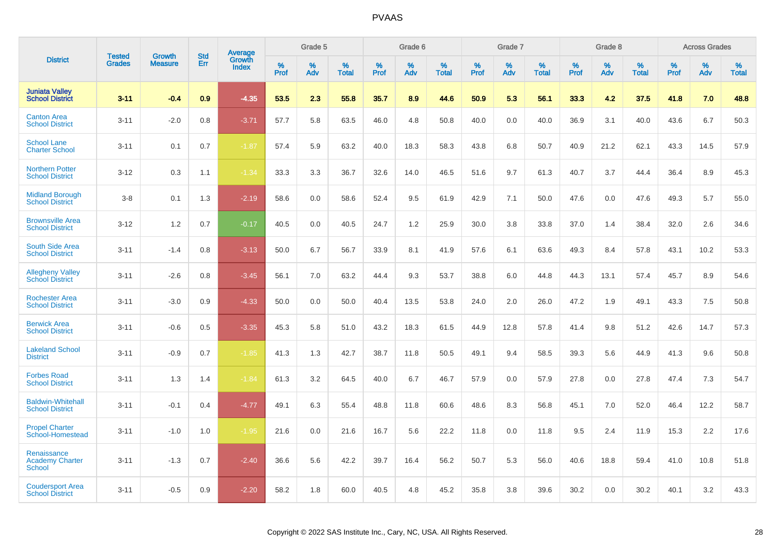|                                                        | <b>Tested</b> | <b>Growth</b>  | <b>Std</b> | Average                |              | Grade 5  |                      |                  | Grade 6  |                   |              | Grade 7  |                   |              | Grade 8  |                      |                     | <b>Across Grades</b> |                      |
|--------------------------------------------------------|---------------|----------------|------------|------------------------|--------------|----------|----------------------|------------------|----------|-------------------|--------------|----------|-------------------|--------------|----------|----------------------|---------------------|----------------------|----------------------|
| <b>District</b>                                        | <b>Grades</b> | <b>Measure</b> | Err        | Growth<br><b>Index</b> | $\%$<br>Prof | %<br>Adv | $\%$<br><b>Total</b> | %<br><b>Prof</b> | %<br>Adv | %<br><b>Total</b> | $\%$<br>Prof | %<br>Adv | %<br><b>Total</b> | $\%$<br>Prof | %<br>Adv | $\%$<br><b>Total</b> | $\%$<br><b>Prof</b> | %<br>Adv             | $\%$<br><b>Total</b> |
| <b>Juniata Valley</b><br><b>School District</b>        | $3 - 11$      | $-0.4$         | 0.9        | $-4.35$                | 53.5         | 2.3      | 55.8                 | 35.7             | 8.9      | 44.6              | 50.9         | 5.3      | 56.1              | 33.3         | 4.2      | 37.5                 | 41.8                | 7.0                  | 48.8                 |
| <b>Canton Area</b><br><b>School District</b>           | $3 - 11$      | $-2.0$         | 0.8        | $-3.71$                | 57.7         | 5.8      | 63.5                 | 46.0             | 4.8      | 50.8              | 40.0         | 0.0      | 40.0              | 36.9         | 3.1      | 40.0                 | 43.6                | 6.7                  | 50.3                 |
| <b>School Lane</b><br><b>Charter School</b>            | $3 - 11$      | 0.1            | 0.7        | $-1.87$                | 57.4         | 5.9      | 63.2                 | 40.0             | 18.3     | 58.3              | 43.8         | 6.8      | 50.7              | 40.9         | 21.2     | 62.1                 | 43.3                | 14.5                 | 57.9                 |
| <b>Northern Potter</b><br><b>School District</b>       | $3 - 12$      | 0.3            | 1.1        | $-1.34$                | 33.3         | 3.3      | 36.7                 | 32.6             | 14.0     | 46.5              | 51.6         | 9.7      | 61.3              | 40.7         | 3.7      | 44.4                 | 36.4                | 8.9                  | 45.3                 |
| <b>Midland Borough</b><br><b>School District</b>       | $3-8$         | 0.1            | 1.3        | $-2.19$                | 58.6         | 0.0      | 58.6                 | 52.4             | 9.5      | 61.9              | 42.9         | 7.1      | 50.0              | 47.6         | 0.0      | 47.6                 | 49.3                | 5.7                  | 55.0                 |
| <b>Brownsville Area</b><br><b>School District</b>      | $3 - 12$      | 1.2            | 0.7        | $-0.17$                | 40.5         | 0.0      | 40.5                 | 24.7             | 1.2      | 25.9              | 30.0         | 3.8      | 33.8              | 37.0         | 1.4      | 38.4                 | 32.0                | 2.6                  | 34.6                 |
| South Side Area<br><b>School District</b>              | $3 - 11$      | $-1.4$         | 0.8        | $-3.13$                | 50.0         | 6.7      | 56.7                 | 33.9             | 8.1      | 41.9              | 57.6         | 6.1      | 63.6              | 49.3         | 8.4      | 57.8                 | 43.1                | 10.2                 | 53.3                 |
| <b>Allegheny Valley</b><br><b>School District</b>      | $3 - 11$      | $-2.6$         | 0.8        | $-3.45$                | 56.1         | 7.0      | 63.2                 | 44.4             | 9.3      | 53.7              | 38.8         | 6.0      | 44.8              | 44.3         | 13.1     | 57.4                 | 45.7                | 8.9                  | 54.6                 |
| <b>Rochester Area</b><br><b>School District</b>        | $3 - 11$      | $-3.0$         | 0.9        | $-4.33$                | 50.0         | 0.0      | 50.0                 | 40.4             | 13.5     | 53.8              | 24.0         | 2.0      | 26.0              | 47.2         | 1.9      | 49.1                 | 43.3                | 7.5                  | 50.8                 |
| <b>Berwick Area</b><br><b>School District</b>          | $3 - 11$      | $-0.6$         | 0.5        | $-3.35$                | 45.3         | 5.8      | 51.0                 | 43.2             | 18.3     | 61.5              | 44.9         | 12.8     | 57.8              | 41.4         | 9.8      | 51.2                 | 42.6                | 14.7                 | 57.3                 |
| <b>Lakeland School</b><br><b>District</b>              | $3 - 11$      | $-0.9$         | 0.7        | $-1.85$                | 41.3         | 1.3      | 42.7                 | 38.7             | 11.8     | 50.5              | 49.1         | 9.4      | 58.5              | 39.3         | 5.6      | 44.9                 | 41.3                | 9.6                  | 50.8                 |
| <b>Forbes Road</b><br><b>School District</b>           | $3 - 11$      | 1.3            | 1.4        | $-1.84$                | 61.3         | 3.2      | 64.5                 | 40.0             | 6.7      | 46.7              | 57.9         | 0.0      | 57.9              | 27.8         | 0.0      | 27.8                 | 47.4                | 7.3                  | 54.7                 |
| <b>Baldwin-Whitehall</b><br><b>School District</b>     | $3 - 11$      | $-0.1$         | 0.4        | $-4.77$                | 49.1         | 6.3      | 55.4                 | 48.8             | 11.8     | 60.6              | 48.6         | 8.3      | 56.8              | 45.1         | 7.0      | 52.0                 | 46.4                | 12.2                 | 58.7                 |
| <b>Propel Charter</b><br>School-Homestead              | $3 - 11$      | $-1.0$         | 1.0        | $-1.95$                | 21.6         | 0.0      | 21.6                 | 16.7             | 5.6      | 22.2              | 11.8         | 0.0      | 11.8              | 9.5          | 2.4      | 11.9                 | 15.3                | 2.2                  | 17.6                 |
| Renaissance<br><b>Academy Charter</b><br><b>School</b> | $3 - 11$      | $-1.3$         | 0.7        | $-2.40$                | 36.6         | 5.6      | 42.2                 | 39.7             | 16.4     | 56.2              | 50.7         | 5.3      | 56.0              | 40.6         | 18.8     | 59.4                 | 41.0                | 10.8                 | 51.8                 |
| <b>Coudersport Area</b><br><b>School District</b>      | $3 - 11$      | $-0.5$         | 0.9        | $-2.20$                | 58.2         | 1.8      | 60.0                 | 40.5             | 4.8      | 45.2              | 35.8         | 3.8      | 39.6              | 30.2         | 0.0      | 30.2                 | 40.1                | 3.2                  | 43.3                 |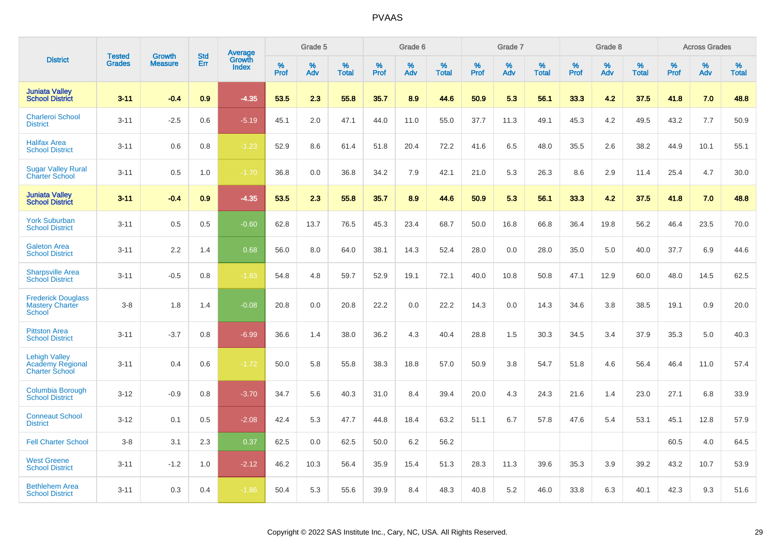|                                                                          | <b>Tested</b> | <b>Growth</b>  | <b>Std</b> | Average         |                     | Grade 5  |                      |                     | Grade 6     |                      |              | Grade 7     |                   |              | Grade 8     |                   |                     | <b>Across Grades</b> |                   |
|--------------------------------------------------------------------------|---------------|----------------|------------|-----------------|---------------------|----------|----------------------|---------------------|-------------|----------------------|--------------|-------------|-------------------|--------------|-------------|-------------------|---------------------|----------------------|-------------------|
| <b>District</b>                                                          | <b>Grades</b> | <b>Measure</b> | Err        | Growth<br>Index | $\%$<br><b>Prof</b> | %<br>Adv | $\%$<br><b>Total</b> | $\%$<br><b>Prof</b> | $\%$<br>Adv | $\%$<br><b>Total</b> | $\%$<br>Prof | $\%$<br>Adv | %<br><b>Total</b> | $\%$<br>Prof | $\%$<br>Adv | %<br><b>Total</b> | $\%$<br><b>Prof</b> | $\%$<br>Adv          | %<br><b>Total</b> |
| <b>Juniata Valley</b><br><b>School District</b>                          | $3 - 11$      | $-0.4$         | 0.9        | $-4.35$         | 53.5                | 2.3      | 55.8                 | 35.7                | 8.9         | 44.6                 | 50.9         | 5.3         | 56.1              | 33.3         | 4.2         | 37.5              | 41.8                | 7.0                  | 48.8              |
| <b>Charleroi School</b><br><b>District</b>                               | $3 - 11$      | $-2.5$         | 0.6        | $-5.19$         | 45.1                | 2.0      | 47.1                 | 44.0                | 11.0        | 55.0                 | 37.7         | 11.3        | 49.1              | 45.3         | 4.2         | 49.5              | 43.2                | 7.7                  | 50.9              |
| <b>Halifax Area</b><br><b>School District</b>                            | $3 - 11$      | 0.6            | 0.8        | $-1.23$         | 52.9                | 8.6      | 61.4                 | 51.8                | 20.4        | 72.2                 | 41.6         | 6.5         | 48.0              | 35.5         | 2.6         | 38.2              | 44.9                | 10.1                 | 55.1              |
| <b>Sugar Valley Rural</b><br><b>Charter School</b>                       | $3 - 11$      | 0.5            | 1.0        | $-1.70$         | 36.8                | 0.0      | 36.8                 | 34.2                | 7.9         | 42.1                 | 21.0         | 5.3         | 26.3              | 8.6          | 2.9         | 11.4              | 25.4                | 4.7                  | 30.0              |
| <b>Juniata Valley</b><br><b>School District</b>                          | $3 - 11$      | $-0.4$         | 0.9        | $-4.35$         | 53.5                | 2.3      | 55.8                 | 35.7                | 8.9         | 44.6                 | 50.9         | 5.3         | 56.1              | 33.3         | 4.2         | 37.5              | 41.8                | 7.0                  | 48.8              |
| <b>York Suburban</b><br><b>School District</b>                           | $3 - 11$      | 0.5            | 0.5        | $-0.60$         | 62.8                | 13.7     | 76.5                 | 45.3                | 23.4        | 68.7                 | 50.0         | 16.8        | 66.8              | 36.4         | 19.8        | 56.2              | 46.4                | 23.5                 | 70.0              |
| <b>Galeton Area</b><br><b>School District</b>                            | $3 - 11$      | 2.2            | 1.4        | 0.68            | 56.0                | 8.0      | 64.0                 | 38.1                | 14.3        | 52.4                 | 28.0         | 0.0         | 28.0              | 35.0         | 5.0         | 40.0              | 37.7                | 6.9                  | 44.6              |
| <b>Sharpsville Area</b><br><b>School District</b>                        | $3 - 11$      | $-0.5$         | 0.8        | $-1.83$         | 54.8                | 4.8      | 59.7                 | 52.9                | 19.1        | 72.1                 | 40.0         | 10.8        | 50.8              | 47.1         | 12.9        | 60.0              | 48.0                | 14.5                 | 62.5              |
| <b>Frederick Douglass</b><br><b>Mastery Charter</b><br>School            | $3 - 8$       | 1.8            | 1.4        | $-0.08$         | 20.8                | 0.0      | 20.8                 | 22.2                | 0.0         | 22.2                 | 14.3         | 0.0         | 14.3              | 34.6         | 3.8         | 38.5              | 19.1                | 0.9                  | 20.0              |
| <b>Pittston Area</b><br><b>School District</b>                           | $3 - 11$      | $-3.7$         | 0.8        | $-6.99$         | 36.6                | 1.4      | 38.0                 | 36.2                | 4.3         | 40.4                 | 28.8         | 1.5         | 30.3              | 34.5         | 3.4         | 37.9              | 35.3                | 5.0                  | 40.3              |
| <b>Lehigh Valley</b><br><b>Academy Regional</b><br><b>Charter School</b> | $3 - 11$      | 0.4            | 0.6        | $-1.72$         | 50.0                | 5.8      | 55.8                 | 38.3                | 18.8        | 57.0                 | 50.9         | 3.8         | 54.7              | 51.8         | 4.6         | 56.4              | 46.4                | 11.0                 | 57.4              |
| <b>Columbia Borough</b><br><b>School District</b>                        | $3 - 12$      | $-0.9$         | 0.8        | $-3.70$         | 34.7                | 5.6      | 40.3                 | 31.0                | 8.4         | 39.4                 | 20.0         | 4.3         | 24.3              | 21.6         | 1.4         | 23.0              | 27.1                | 6.8                  | 33.9              |
| <b>Conneaut School</b><br><b>District</b>                                | $3 - 12$      | 0.1            | 0.5        | $-2.08$         | 42.4                | 5.3      | 47.7                 | 44.8                | 18.4        | 63.2                 | 51.1         | 6.7         | 57.8              | 47.6         | 5.4         | 53.1              | 45.1                | 12.8                 | 57.9              |
| <b>Fell Charter School</b>                                               | $3 - 8$       | 3.1            | 2.3        | 0.37            | 62.5                | 0.0      | 62.5                 | 50.0                | 6.2         | 56.2                 |              |             |                   |              |             |                   | 60.5                | 4.0                  | 64.5              |
| <b>West Greene</b><br><b>School District</b>                             | $3 - 11$      | $-1.2$         | 1.0        | $-2.12$         | 46.2                | 10.3     | 56.4                 | 35.9                | 15.4        | 51.3                 | 28.3         | 11.3        | 39.6              | 35.3         | 3.9         | 39.2              | 43.2                | 10.7                 | 53.9              |
| <b>Bethlehem Area</b><br><b>School District</b>                          | $3 - 11$      | 0.3            | 0.4        | $-1.86$         | 50.4                | 5.3      | 55.6                 | 39.9                | 8.4         | 48.3                 | 40.8         | 5.2         | 46.0              | 33.8         | 6.3         | 40.1              | 42.3                | 9.3                  | 51.6              |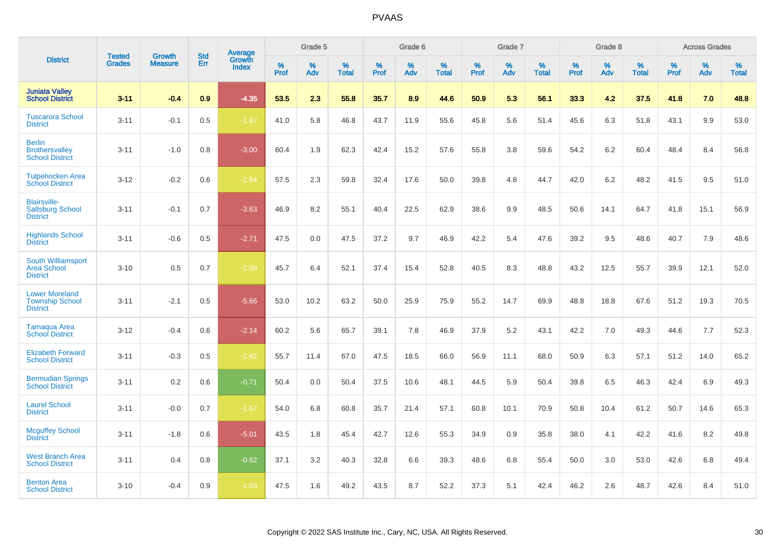|                                                                    |                                | <b>Growth</b>  | <b>Std</b> | Average                |           | Grade 5  |                   |           | Grade 6  |                   |           | Grade 7  |                   |           | Grade 8  |                   |           | <b>Across Grades</b> |                   |
|--------------------------------------------------------------------|--------------------------------|----------------|------------|------------------------|-----------|----------|-------------------|-----------|----------|-------------------|-----------|----------|-------------------|-----------|----------|-------------------|-----------|----------------------|-------------------|
| <b>District</b>                                                    | <b>Tested</b><br><b>Grades</b> | <b>Measure</b> | Err        | Growth<br><b>Index</b> | %<br>Prof | %<br>Adv | %<br><b>Total</b> | %<br>Prof | %<br>Adv | %<br><b>Total</b> | %<br>Prof | %<br>Adv | %<br><b>Total</b> | %<br>Prof | %<br>Adv | %<br><b>Total</b> | %<br>Prof | %<br>Adv             | %<br><b>Total</b> |
| <b>Juniata Valley</b><br><b>School District</b>                    | $3 - 11$                       | $-0.4$         | 0.9        | $-4.35$                | 53.5      | 2.3      | 55.8              | 35.7      | 8.9      | 44.6              | 50.9      | 5.3      | 56.1              | 33.3      | 4.2      | 37.5              | 41.8      | 7.0                  | 48.8              |
| <b>Tuscarora School</b><br><b>District</b>                         | $3 - 11$                       | $-0.1$         | 0.5        | $-1.87$                | 41.0      | 5.8      | 46.8              | 43.7      | 11.9     | 55.6              | 45.8      | 5.6      | 51.4              | 45.6      | 6.3      | 51.8              | 43.1      | 9.9                  | 53.0              |
| <b>Berlin</b><br><b>Brothersvalley</b><br><b>School District</b>   | $3 - 11$                       | $-1.0$         | 0.8        | $-3.00$                | 60.4      | 1.9      | 62.3              | 42.4      | 15.2     | 57.6              | 55.8      | 3.8      | 59.6              | 54.2      | $6.2\,$  | 60.4              | 48.4      | 8.4                  | 56.8              |
| <b>Tulpehocken Area</b><br><b>School District</b>                  | $3 - 12$                       | $-0.2$         | 0.6        | $-1.64$                | 57.5      | 2.3      | 59.8              | 32.4      | 17.6     | 50.0              | 39.8      | 4.8      | 44.7              | 42.0      | 6.2      | 48.2              | 41.5      | 9.5                  | 51.0              |
| <b>Blairsville-</b><br><b>Saltsburg School</b><br><b>District</b>  | $3 - 11$                       | $-0.1$         | 0.7        | $-3.63$                | 46.9      | 8.2      | 55.1              | 40.4      | 22.5     | 62.9              | 38.6      | 9.9      | 48.5              | 50.6      | 14.1     | 64.7              | 41.8      | 15.1                 | 56.9              |
| <b>Highlands School</b><br><b>District</b>                         | $3 - 11$                       | $-0.6$         | 0.5        | $-2.71$                | 47.5      | 0.0      | 47.5              | 37.2      | 9.7      | 46.9              | 42.2      | 5.4      | 47.6              | 39.2      | 9.5      | 48.6              | 40.7      | 7.9                  | 48.6              |
| South Williamsport<br><b>Area School</b><br><b>District</b>        | $3 - 10$                       | 0.5            | 0.7        | $-1.08$                | 45.7      | 6.4      | 52.1              | 37.4      | 15.4     | 52.8              | 40.5      | 8.3      | 48.8              | 43.2      | 12.5     | 55.7              | 39.9      | 12.1                 | 52.0              |
| <b>Lower Moreland</b><br><b>Township School</b><br><b>District</b> | $3 - 11$                       | $-2.1$         | 0.5        | $-5.66$                | 53.0      | 10.2     | 63.2              | 50.0      | 25.9     | 75.9              | 55.2      | 14.7     | 69.9              | 48.8      | 18.8     | 67.6              | 51.2      | 19.3                 | 70.5              |
| Tamaqua Area<br><b>School District</b>                             | $3 - 12$                       | $-0.4$         | 0.6        | $-2.14$                | 60.2      | 5.6      | 65.7              | 39.1      | 7.8      | 46.9              | 37.9      | 5.2      | 43.1              | 42.2      | 7.0      | 49.3              | 44.6      | 7.7                  | 52.3              |
| <b>Elizabeth Forward</b><br><b>School District</b>                 | $3 - 11$                       | $-0.3$         | 0.5        | $-1.82$                | 55.7      | 11.4     | 67.0              | 47.5      | 18.5     | 66.0              | 56.9      | 11.1     | 68.0              | 50.9      | 6.3      | 57.1              | 51.2      | 14.0                 | 65.2              |
| <b>Bermudian Springs</b><br><b>School District</b>                 | $3 - 11$                       | 0.2            | 0.6        | $-0.71$                | 50.4      | 0.0      | 50.4              | 37.5      | 10.6     | 48.1              | 44.5      | 5.9      | 50.4              | 39.8      | 6.5      | 46.3              | 42.4      | 6.9                  | 49.3              |
| <b>Laurel School</b><br><b>District</b>                            | $3 - 11$                       | $-0.0$         | 0.7        | $-1.57$                | 54.0      | 6.8      | 60.8              | 35.7      | 21.4     | 57.1              | 60.8      | 10.1     | 70.9              | 50.8      | 10.4     | 61.2              | 50.7      | 14.6                 | 65.3              |
| <b>Mcguffey School</b><br><b>District</b>                          | $3 - 11$                       | $-1.8$         | 0.6        | $-5.01$                | 43.5      | 1.8      | 45.4              | 42.7      | 12.6     | 55.3              | 34.9      | 0.9      | 35.8              | 38.0      | 4.1      | 42.2              | 41.6      | 8.2                  | 49.8              |
| <b>West Branch Area</b><br><b>School District</b>                  | $3 - 11$                       | 0.4            | 0.8        | $-0.62$                | 37.1      | 3.2      | 40.3              | 32.8      | 6.6      | 39.3              | 48.6      | 6.8      | 55.4              | 50.0      | 3.0      | 53.0              | 42.6      | 6.8                  | 49.4              |
| <b>Benton Area</b><br><b>School District</b>                       | $3 - 10$                       | $-0.4$         | 0.9        | $-1.69$                | 47.5      | 1.6      | 49.2              | 43.5      | 8.7      | 52.2              | 37.3      | 5.1      | 42.4              | 46.2      | 2.6      | 48.7              | 42.6      | 8.4                  | 51.0              |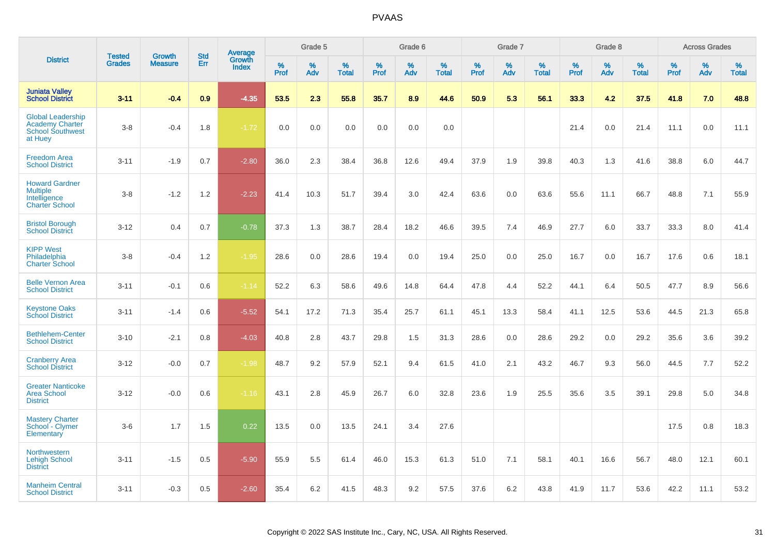|                                                                                          | <b>Tested</b> | <b>Growth</b>  | <b>Std</b> | Average<br>Growth |              | Grade 5  |                   |           | Grade 6  |                   |              | Grade 7  |                   |           | Grade 8  |                   |              | <b>Across Grades</b> |                   |
|------------------------------------------------------------------------------------------|---------------|----------------|------------|-------------------|--------------|----------|-------------------|-----------|----------|-------------------|--------------|----------|-------------------|-----------|----------|-------------------|--------------|----------------------|-------------------|
| <b>District</b>                                                                          | <b>Grades</b> | <b>Measure</b> | Err        | <b>Index</b>      | $\%$<br>Prof | %<br>Adv | %<br><b>Total</b> | %<br>Prof | %<br>Adv | %<br><b>Total</b> | $\%$<br>Prof | %<br>Adv | %<br><b>Total</b> | %<br>Prof | %<br>Adv | %<br><b>Total</b> | $\%$<br>Prof | %<br>Adv             | %<br><b>Total</b> |
| <b>Juniata Valley</b><br><b>School District</b>                                          | $3 - 11$      | $-0.4$         | 0.9        | $-4.35$           | 53.5         | 2.3      | 55.8              | 35.7      | 8.9      | 44.6              | 50.9         | 5.3      | 56.1              | 33.3      | 4.2      | 37.5              | 41.8         | 7.0                  | 48.8              |
| <b>Global Leadership</b><br><b>Academy Charter</b><br><b>School Southwest</b><br>at Huey | $3 - 8$       | $-0.4$         | 1.8        | $-1.72$           | 0.0          | 0.0      | 0.0               | 0.0       | 0.0      | 0.0               |              |          |                   | 21.4      | 0.0      | 21.4              | 11.1         | 0.0                  | 11.1              |
| <b>Freedom Area</b><br><b>School District</b>                                            | $3 - 11$      | $-1.9$         | 0.7        | $-2.80$           | 36.0         | 2.3      | 38.4              | 36.8      | 12.6     | 49.4              | 37.9         | 1.9      | 39.8              | 40.3      | 1.3      | 41.6              | 38.8         | 6.0                  | 44.7              |
| <b>Howard Gardner</b><br><b>Multiple</b><br>Intelligence<br><b>Charter School</b>        | $3 - 8$       | $-1.2$         | 1.2        | $-2.23$           | 41.4         | 10.3     | 51.7              | 39.4      | 3.0      | 42.4              | 63.6         | 0.0      | 63.6              | 55.6      | 11.1     | 66.7              | 48.8         | 7.1                  | 55.9              |
| <b>Bristol Borough</b><br><b>School District</b>                                         | $3 - 12$      | 0.4            | 0.7        | $-0.78$           | 37.3         | 1.3      | 38.7              | 28.4      | 18.2     | 46.6              | 39.5         | 7.4      | 46.9              | 27.7      | 6.0      | 33.7              | 33.3         | 8.0                  | 41.4              |
| <b>KIPP West</b><br>Philadelphia<br><b>Charter School</b>                                | $3 - 8$       | $-0.4$         | 1.2        | $-1.95$           | 28.6         | 0.0      | 28.6              | 19.4      | 0.0      | 19.4              | 25.0         | 0.0      | 25.0              | 16.7      | 0.0      | 16.7              | 17.6         | 0.6                  | 18.1              |
| <b>Belle Vernon Area</b><br><b>School District</b>                                       | $3 - 11$      | $-0.1$         | 0.6        | $-1.14$           | 52.2         | 6.3      | 58.6              | 49.6      | 14.8     | 64.4              | 47.8         | 4.4      | 52.2              | 44.1      | 6.4      | 50.5              | 47.7         | 8.9                  | 56.6              |
| <b>Keystone Oaks</b><br><b>School District</b>                                           | $3 - 11$      | $-1.4$         | 0.6        | $-5.52$           | 54.1         | 17.2     | 71.3              | 35.4      | 25.7     | 61.1              | 45.1         | 13.3     | 58.4              | 41.1      | 12.5     | 53.6              | 44.5         | 21.3                 | 65.8              |
| <b>Bethlehem-Center</b><br><b>School District</b>                                        | $3 - 10$      | $-2.1$         | 0.8        | $-4.03$           | 40.8         | 2.8      | 43.7              | 29.8      | 1.5      | 31.3              | 28.6         | 0.0      | 28.6              | 29.2      | 0.0      | 29.2              | 35.6         | 3.6                  | 39.2              |
| <b>Cranberry Area</b><br><b>School District</b>                                          | $3 - 12$      | $-0.0$         | 0.7        | $-1.98$           | 48.7         | 9.2      | 57.9              | 52.1      | 9.4      | 61.5              | 41.0         | 2.1      | 43.2              | 46.7      | 9.3      | 56.0              | 44.5         | 7.7                  | 52.2              |
| <b>Greater Nanticoke</b><br><b>Area School</b><br><b>District</b>                        | $3 - 12$      | $-0.0$         | 0.6        | $-1.16$           | 43.1         | 2.8      | 45.9              | 26.7      | 6.0      | 32.8              | 23.6         | 1.9      | 25.5              | 35.6      | 3.5      | 39.1              | 29.8         | 5.0                  | 34.8              |
| <b>Mastery Charter</b><br>School - Clymer<br>Elementary                                  | $3-6$         | 1.7            | 1.5        | 0.22              | 13.5         | 0.0      | 13.5              | 24.1      | 3.4      | 27.6              |              |          |                   |           |          |                   | 17.5         | 0.8                  | 18.3              |
| <b>Northwestern</b><br><b>Lehigh School</b><br><b>District</b>                           | $3 - 11$      | $-1.5$         | 0.5        | $-5.90$           | 55.9         | 5.5      | 61.4              | 46.0      | 15.3     | 61.3              | 51.0         | 7.1      | 58.1              | 40.1      | 16.6     | 56.7              | 48.0         | 12.1                 | 60.1              |
| <b>Manheim Central</b><br><b>School District</b>                                         | $3 - 11$      | $-0.3$         | 0.5        | $-2.60$           | 35.4         | 6.2      | 41.5              | 48.3      | 9.2      | 57.5              | 37.6         | 6.2      | 43.8              | 41.9      | 11.7     | 53.6              | 42.2         | 11.1                 | 53.2              |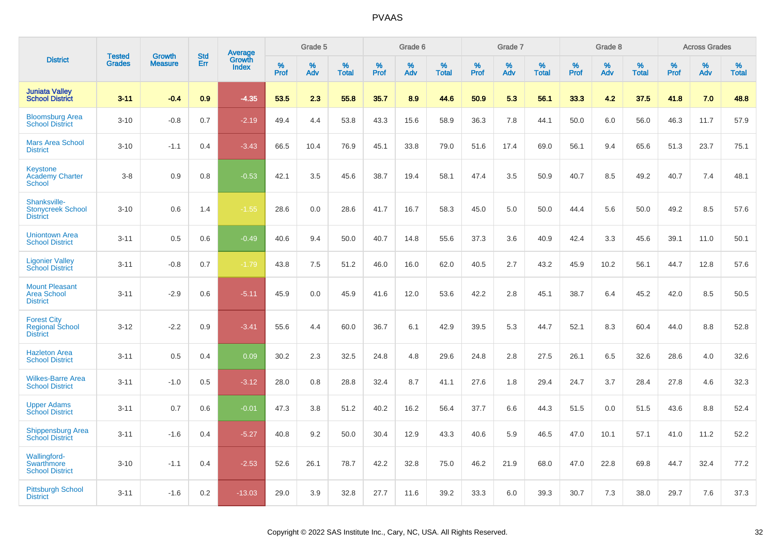|                                                                 | <b>Tested</b> | <b>Growth</b>  | <b>Std</b> |                                          |              | Grade 5  |                   |           | Grade 6  |                   |           | Grade 7  |                   |           | Grade 8  |                   |           | <b>Across Grades</b> |                   |
|-----------------------------------------------------------------|---------------|----------------|------------|------------------------------------------|--------------|----------|-------------------|-----------|----------|-------------------|-----------|----------|-------------------|-----------|----------|-------------------|-----------|----------------------|-------------------|
| <b>District</b>                                                 | <b>Grades</b> | <b>Measure</b> | Err        | <b>Average</b><br>Growth<br><b>Index</b> | $\%$<br>Prof | %<br>Adv | %<br><b>Total</b> | %<br>Prof | %<br>Adv | %<br><b>Total</b> | %<br>Prof | %<br>Adv | %<br><b>Total</b> | %<br>Prof | %<br>Adv | %<br><b>Total</b> | %<br>Prof | %<br>Adv             | %<br><b>Total</b> |
| <b>Juniata Valley</b><br><b>School District</b>                 | $3 - 11$      | $-0.4$         | 0.9        | $-4.35$                                  | 53.5         | 2.3      | 55.8              | 35.7      | 8.9      | 44.6              | 50.9      | 5.3      | 56.1              | 33.3      | 4.2      | 37.5              | 41.8      | 7.0                  | 48.8              |
| <b>Bloomsburg Area</b><br><b>School District</b>                | $3 - 10$      | $-0.8$         | 0.7        | $-2.19$                                  | 49.4         | 4.4      | 53.8              | 43.3      | 15.6     | 58.9              | 36.3      | 7.8      | 44.1              | 50.0      | 6.0      | 56.0              | 46.3      | 11.7                 | 57.9              |
| <b>Mars Area School</b><br><b>District</b>                      | $3 - 10$      | $-1.1$         | 0.4        | $-3.43$                                  | 66.5         | 10.4     | 76.9              | 45.1      | 33.8     | 79.0              | 51.6      | 17.4     | 69.0              | 56.1      | 9.4      | 65.6              | 51.3      | 23.7                 | 75.1              |
| Keystone<br><b>Academy Charter</b><br><b>School</b>             | $3-8$         | 0.9            | 0.8        | $-0.53$                                  | 42.1         | 3.5      | 45.6              | 38.7      | 19.4     | 58.1              | 47.4      | 3.5      | 50.9              | 40.7      | 8.5      | 49.2              | 40.7      | 7.4                  | 48.1              |
| Shanksville-<br><b>Stonycreek School</b><br><b>District</b>     | $3 - 10$      | 0.6            | 1.4        | $-1.55$                                  | 28.6         | 0.0      | 28.6              | 41.7      | 16.7     | 58.3              | 45.0      | 5.0      | 50.0              | 44.4      | 5.6      | 50.0              | 49.2      | 8.5                  | 57.6              |
| <b>Uniontown Area</b><br><b>School District</b>                 | $3 - 11$      | 0.5            | 0.6        | $-0.49$                                  | 40.6         | 9.4      | 50.0              | 40.7      | 14.8     | 55.6              | 37.3      | 3.6      | 40.9              | 42.4      | 3.3      | 45.6              | 39.1      | 11.0                 | 50.1              |
| <b>Ligonier Valley</b><br><b>School District</b>                | $3 - 11$      | $-0.8$         | 0.7        | $-1.79$                                  | 43.8         | 7.5      | 51.2              | 46.0      | 16.0     | 62.0              | 40.5      | 2.7      | 43.2              | 45.9      | 10.2     | 56.1              | 44.7      | 12.8                 | 57.6              |
| <b>Mount Pleasant</b><br><b>Area School</b><br><b>District</b>  | $3 - 11$      | $-2.9$         | 0.6        | $-5.11$                                  | 45.9         | 0.0      | 45.9              | 41.6      | 12.0     | 53.6              | 42.2      | 2.8      | 45.1              | 38.7      | 6.4      | 45.2              | 42.0      | 8.5                  | 50.5              |
| <b>Forest City</b><br><b>Regional School</b><br><b>District</b> | $3 - 12$      | $-2.2$         | 0.9        | $-3.41$                                  | 55.6         | 4.4      | 60.0              | 36.7      | 6.1      | 42.9              | 39.5      | 5.3      | 44.7              | 52.1      | 8.3      | 60.4              | 44.0      | 8.8                  | 52.8              |
| <b>Hazleton Area</b><br><b>School District</b>                  | $3 - 11$      | 0.5            | 0.4        | 0.09                                     | 30.2         | 2.3      | 32.5              | 24.8      | 4.8      | 29.6              | 24.8      | 2.8      | 27.5              | 26.1      | 6.5      | 32.6              | 28.6      | 4.0                  | 32.6              |
| <b>Wilkes-Barre Area</b><br><b>School District</b>              | $3 - 11$      | $-1.0$         | 0.5        | $-3.12$                                  | 28.0         | 0.8      | 28.8              | 32.4      | 8.7      | 41.1              | 27.6      | 1.8      | 29.4              | 24.7      | 3.7      | 28.4              | 27.8      | 4.6                  | 32.3              |
| <b>Upper Adams</b><br><b>School District</b>                    | $3 - 11$      | 0.7            | 0.6        | $-0.01$                                  | 47.3         | 3.8      | 51.2              | 40.2      | 16.2     | 56.4              | 37.7      | 6.6      | 44.3              | 51.5      | 0.0      | 51.5              | 43.6      | 8.8                  | 52.4              |
| <b>Shippensburg Area</b><br><b>School District</b>              | $3 - 11$      | $-1.6$         | 0.4        | $-5.27$                                  | 40.8         | 9.2      | 50.0              | 30.4      | 12.9     | 43.3              | 40.6      | 5.9      | 46.5              | 47.0      | 10.1     | 57.1              | 41.0      | 11.2                 | 52.2              |
| <b>Wallingford-</b><br>Swarthmore<br><b>School District</b>     | $3 - 10$      | $-1.1$         | 0.4        | $-2.53$                                  | 52.6         | 26.1     | 78.7              | 42.2      | 32.8     | 75.0              | 46.2      | 21.9     | 68.0              | 47.0      | 22.8     | 69.8              | 44.7      | 32.4                 | 77.2              |
| <b>Pittsburgh School</b><br><b>District</b>                     | $3 - 11$      | $-1.6$         | 0.2        | $-13.03$                                 | 29.0         | 3.9      | 32.8              | 27.7      | 11.6     | 39.2              | 33.3      | 6.0      | 39.3              | 30.7      | 7.3      | 38.0              | 29.7      | 7.6                  | 37.3              |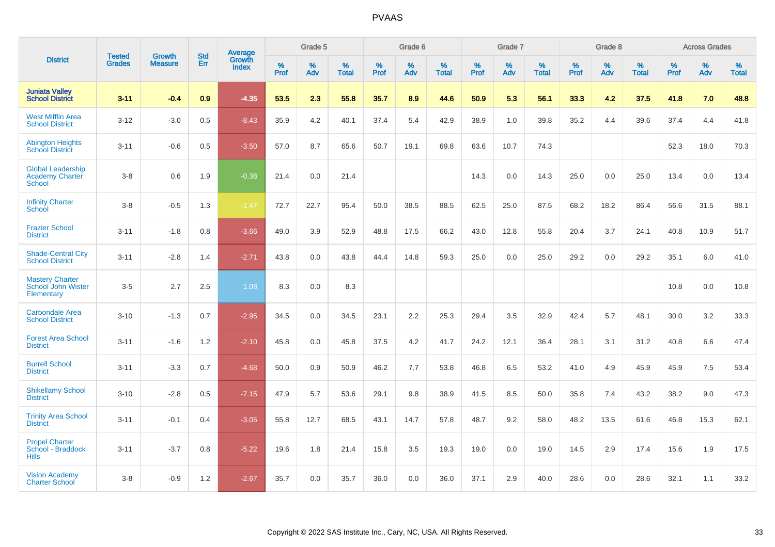|                                                                     | <b>Tested</b> | <b>Growth</b>  | <b>Std</b> | Average                |           | Grade 5  |                   |           | Grade 6  |                   |           | Grade 7  |                   |           | Grade 8  |                   |           | <b>Across Grades</b> |                   |
|---------------------------------------------------------------------|---------------|----------------|------------|------------------------|-----------|----------|-------------------|-----------|----------|-------------------|-----------|----------|-------------------|-----------|----------|-------------------|-----------|----------------------|-------------------|
| <b>District</b>                                                     | <b>Grades</b> | <b>Measure</b> | Err        | Growth<br><b>Index</b> | %<br>Prof | %<br>Adv | %<br><b>Total</b> | %<br>Prof | %<br>Adv | %<br><b>Total</b> | %<br>Prof | %<br>Adv | %<br><b>Total</b> | %<br>Prof | %<br>Adv | %<br><b>Total</b> | %<br>Prof | %<br>Adv             | %<br><b>Total</b> |
| <b>Juniata Valley</b><br><b>School District</b>                     | $3 - 11$      | $-0.4$         | 0.9        | $-4.35$                | 53.5      | 2.3      | 55.8              | 35.7      | 8.9      | 44.6              | 50.9      | 5.3      | 56.1              | 33.3      | 4.2      | 37.5              | 41.8      | 7.0                  | 48.8              |
| <b>West Mifflin Area</b><br><b>School District</b>                  | $3 - 12$      | $-3.0$         | 0.5        | $-8.43$                | 35.9      | 4.2      | 40.1              | 37.4      | 5.4      | 42.9              | 38.9      | 1.0      | 39.8              | 35.2      | 4.4      | 39.6              | 37.4      | 4.4                  | 41.8              |
| <b>Abington Heights</b><br><b>School District</b>                   | $3 - 11$      | $-0.6$         | 0.5        | $-3.50$                | 57.0      | 8.7      | 65.6              | 50.7      | 19.1     | 69.8              | 63.6      | 10.7     | 74.3              |           |          |                   | 52.3      | 18.0                 | 70.3              |
| <b>Global Leadership</b><br><b>Academy Charter</b><br><b>School</b> | $3 - 8$       | 0.6            | 1.9        | $-0.38$                | 21.4      | 0.0      | 21.4              |           |          |                   | 14.3      | 0.0      | 14.3              | 25.0      | 0.0      | 25.0              | 13.4      | 0.0                  | 13.4              |
| <b>Infinity Charter</b><br>School                                   | $3 - 8$       | $-0.5$         | 1.3        | $-1.47$                | 72.7      | 22.7     | 95.4              | 50.0      | 38.5     | 88.5              | 62.5      | 25.0     | 87.5              | 68.2      | 18.2     | 86.4              | 56.6      | 31.5                 | 88.1              |
| <b>Frazier School</b><br><b>District</b>                            | $3 - 11$      | $-1.8$         | 0.8        | $-3.66$                | 49.0      | 3.9      | 52.9              | 48.8      | 17.5     | 66.2              | 43.0      | 12.8     | 55.8              | 20.4      | 3.7      | 24.1              | 40.8      | 10.9                 | 51.7              |
| <b>Shade-Central City</b><br><b>School District</b>                 | $3 - 11$      | $-2.8$         | 1.4        | $-2.71$                | 43.8      | 0.0      | 43.8              | 44.4      | 14.8     | 59.3              | 25.0      | 0.0      | 25.0              | 29.2      | 0.0      | 29.2              | 35.1      | 6.0                  | 41.0              |
| <b>Mastery Charter</b><br>School John Wister<br>Elementary          | $3-5$         | 2.7            | 2.5        | 1.08                   | 8.3       | 0.0      | 8.3               |           |          |                   |           |          |                   |           |          |                   | 10.8      | 0.0                  | 10.8              |
| <b>Carbondale Area</b><br><b>School District</b>                    | $3 - 10$      | $-1.3$         | 0.7        | $-2.95$                | 34.5      | 0.0      | 34.5              | 23.1      | 2.2      | 25.3              | 29.4      | 3.5      | 32.9              | 42.4      | 5.7      | 48.1              | 30.0      | 3.2                  | 33.3              |
| <b>Forest Area School</b><br><b>District</b>                        | $3 - 11$      | $-1.6$         | 1.2        | $-2.10$                | 45.8      | 0.0      | 45.8              | 37.5      | 4.2      | 41.7              | 24.2      | 12.1     | 36.4              | 28.1      | 3.1      | 31.2              | 40.8      | 6.6                  | 47.4              |
| <b>Burrell School</b><br><b>District</b>                            | $3 - 11$      | $-3.3$         | 0.7        | $-4.68$                | 50.0      | 0.9      | 50.9              | 46.2      | 7.7      | 53.8              | 46.8      | 6.5      | 53.2              | 41.0      | 4.9      | 45.9              | 45.9      | 7.5                  | 53.4              |
| <b>Shikellamy School</b><br><b>District</b>                         | $3 - 10$      | $-2.8$         | 0.5        | $-7.15$                | 47.9      | 5.7      | 53.6              | 29.1      | 9.8      | 38.9              | 41.5      | 8.5      | 50.0              | 35.8      | 7.4      | 43.2              | 38.2      | 9.0                  | 47.3              |
| <b>Trinity Area School</b><br><b>District</b>                       | $3 - 11$      | $-0.1$         | 0.4        | $-3.05$                | 55.8      | 12.7     | 68.5              | 43.1      | 14.7     | 57.8              | 48.7      | 9.2      | 58.0              | 48.2      | 13.5     | 61.6              | 46.8      | 15.3                 | 62.1              |
| <b>Propel Charter</b><br>School - Braddock<br><b>Hills</b>          | $3 - 11$      | $-3.7$         | 0.8        | $-5.22$                | 19.6      | 1.8      | 21.4              | 15.8      | 3.5      | 19.3              | 19.0      | 0.0      | 19.0              | 14.5      | 2.9      | 17.4              | 15.6      | 1.9                  | 17.5              |
| <b>Vision Academy</b><br><b>Charter School</b>                      | $3 - 8$       | $-0.9$         | 1.2        | $-2.67$                | 35.7      | 0.0      | 35.7              | 36.0      | 0.0      | 36.0              | 37.1      | 2.9      | 40.0              | 28.6      | 0.0      | 28.6              | 32.1      | 1.1                  | 33.2              |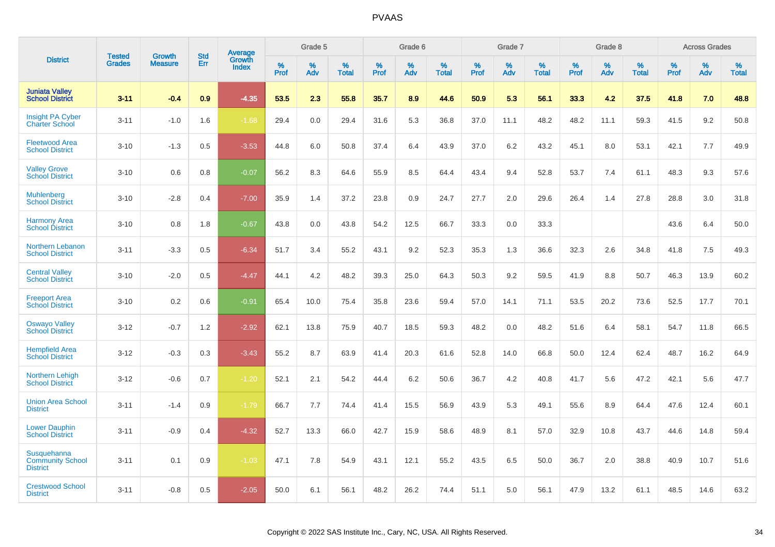|                                                           |                                |                                 | <b>Std</b> | Average                |                     | Grade 5  |                      |                     | Grade 6     |                      |              | Grade 7     |                   |              | Grade 8     |                   |                     | <b>Across Grades</b> |                   |
|-----------------------------------------------------------|--------------------------------|---------------------------------|------------|------------------------|---------------------|----------|----------------------|---------------------|-------------|----------------------|--------------|-------------|-------------------|--------------|-------------|-------------------|---------------------|----------------------|-------------------|
| <b>District</b>                                           | <b>Tested</b><br><b>Grades</b> | <b>Growth</b><br><b>Measure</b> | Err        | Growth<br><b>Index</b> | $\%$<br><b>Prof</b> | %<br>Adv | $\%$<br><b>Total</b> | $\%$<br><b>Prof</b> | $\%$<br>Adv | $\%$<br><b>Total</b> | $\%$<br>Prof | $\%$<br>Adv | %<br><b>Total</b> | $\%$<br>Prof | $\%$<br>Adv | %<br><b>Total</b> | $\%$<br><b>Prof</b> | $\%$<br>Adv          | %<br><b>Total</b> |
| <b>Juniata Valley</b><br><b>School District</b>           | $3 - 11$                       | $-0.4$                          | 0.9        | $-4.35$                | 53.5                | 2.3      | 55.8                 | 35.7                | 8.9         | 44.6                 | 50.9         | 5.3         | 56.1              | 33.3         | 4.2         | 37.5              | 41.8                | 7.0                  | 48.8              |
| <b>Insight PA Cyber</b><br><b>Charter School</b>          | $3 - 11$                       | $-1.0$                          | 1.6        | $-1.68$                | 29.4                | 0.0      | 29.4                 | 31.6                | 5.3         | 36.8                 | 37.0         | 11.1        | 48.2              | 48.2         | 11.1        | 59.3              | 41.5                | 9.2                  | 50.8              |
| <b>Fleetwood Area</b><br><b>School District</b>           | $3 - 10$                       | $-1.3$                          | 0.5        | $-3.53$                | 44.8                | 6.0      | 50.8                 | 37.4                | 6.4         | 43.9                 | 37.0         | 6.2         | 43.2              | 45.1         | 8.0         | 53.1              | 42.1                | 7.7                  | 49.9              |
| <b>Valley Grove</b><br><b>School District</b>             | $3 - 10$                       | 0.6                             | 0.8        | $-0.07$                | 56.2                | 8.3      | 64.6                 | 55.9                | 8.5         | 64.4                 | 43.4         | 9.4         | 52.8              | 53.7         | 7.4         | 61.1              | 48.3                | 9.3                  | 57.6              |
| <b>Muhlenberg</b><br><b>School District</b>               | $3 - 10$                       | $-2.8$                          | 0.4        | $-7.00$                | 35.9                | 1.4      | 37.2                 | 23.8                | 0.9         | 24.7                 | 27.7         | 2.0         | 29.6              | 26.4         | 1.4         | 27.8              | 28.8                | 3.0                  | 31.8              |
| <b>Harmony Area</b><br><b>School District</b>             | $3 - 10$                       | 0.8                             | 1.8        | $-0.67$                | 43.8                | 0.0      | 43.8                 | 54.2                | 12.5        | 66.7                 | 33.3         | 0.0         | 33.3              |              |             |                   | 43.6                | 6.4                  | 50.0              |
| Northern Lebanon<br><b>School District</b>                | $3 - 11$                       | $-3.3$                          | 0.5        | $-6.34$                | 51.7                | 3.4      | 55.2                 | 43.1                | 9.2         | 52.3                 | 35.3         | 1.3         | 36.6              | 32.3         | 2.6         | 34.8              | 41.8                | 7.5                  | 49.3              |
| <b>Central Valley</b><br><b>School District</b>           | $3 - 10$                       | $-2.0$                          | 0.5        | $-4.47$                | 44.1                | 4.2      | 48.2                 | 39.3                | 25.0        | 64.3                 | 50.3         | 9.2         | 59.5              | 41.9         | 8.8         | 50.7              | 46.3                | 13.9                 | 60.2              |
| <b>Freeport Area</b><br><b>School District</b>            | $3 - 10$                       | 0.2                             | 0.6        | $-0.91$                | 65.4                | 10.0     | 75.4                 | 35.8                | 23.6        | 59.4                 | 57.0         | 14.1        | 71.1              | 53.5         | 20.2        | 73.6              | 52.5                | 17.7                 | 70.1              |
| <b>Oswayo Valley</b><br><b>School District</b>            | $3 - 12$                       | $-0.7$                          | 1.2        | $-2.92$                | 62.1                | 13.8     | 75.9                 | 40.7                | 18.5        | 59.3                 | 48.2         | 0.0         | 48.2              | 51.6         | 6.4         | 58.1              | 54.7                | 11.8                 | 66.5              |
| <b>Hempfield Area</b><br><b>School District</b>           | $3 - 12$                       | $-0.3$                          | 0.3        | $-3.43$                | 55.2                | 8.7      | 63.9                 | 41.4                | 20.3        | 61.6                 | 52.8         | 14.0        | 66.8              | 50.0         | 12.4        | 62.4              | 48.7                | 16.2                 | 64.9              |
| <b>Northern Lehigh</b><br><b>School District</b>          | $3 - 12$                       | $-0.6$                          | 0.7        | $-1.20$                | 52.1                | 2.1      | 54.2                 | 44.4                | 6.2         | 50.6                 | 36.7         | 4.2         | 40.8              | 41.7         | 5.6         | 47.2              | 42.1                | 5.6                  | 47.7              |
| <b>Union Area School</b><br><b>District</b>               | $3 - 11$                       | $-1.4$                          | 0.9        | $-1.79$                | 66.7                | 7.7      | 74.4                 | 41.4                | 15.5        | 56.9                 | 43.9         | 5.3         | 49.1              | 55.6         | 8.9         | 64.4              | 47.6                | 12.4                 | 60.1              |
| <b>Lower Dauphin</b><br><b>School District</b>            | $3 - 11$                       | $-0.9$                          | 0.4        | $-4.32$                | 52.7                | 13.3     | 66.0                 | 42.7                | 15.9        | 58.6                 | 48.9         | 8.1         | 57.0              | 32.9         | 10.8        | 43.7              | 44.6                | 14.8                 | 59.4              |
| Susquehanna<br><b>Community School</b><br><b>District</b> | $3 - 11$                       | 0.1                             | 0.9        | $-1.03$                | 47.1                | 7.8      | 54.9                 | 43.1                | 12.1        | 55.2                 | 43.5         | 6.5         | 50.0              | 36.7         | 2.0         | 38.8              | 40.9                | 10.7                 | 51.6              |
| <b>Crestwood School</b><br><b>District</b>                | $3 - 11$                       | $-0.8$                          | 0.5        | $-2.05$                | 50.0                | 6.1      | 56.1                 | 48.2                | 26.2        | 74.4                 | 51.1         | 5.0         | 56.1              | 47.9         | 13.2        | 61.1              | 48.5                | 14.6                 | 63.2              |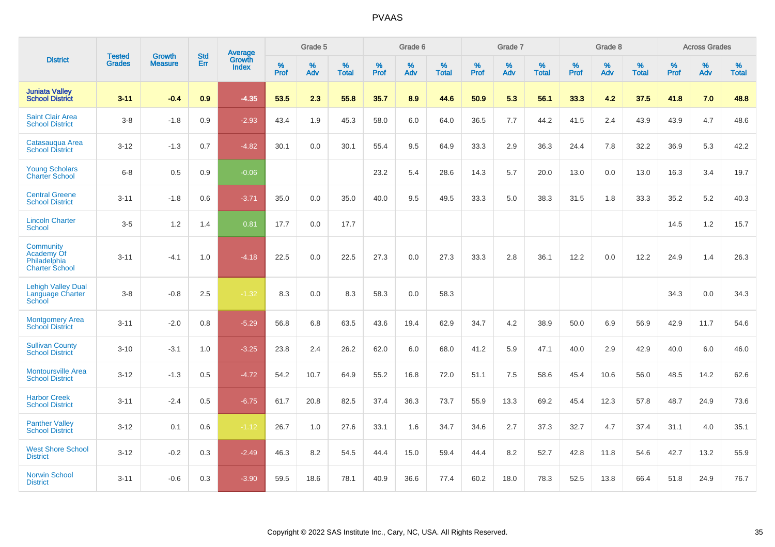|                                                                  | <b>Tested</b> | <b>Growth</b>  | <b>Std</b> | <b>Average</b>         |           | Grade 5  |                   |           | Grade 6  |                   |           | Grade 7  |                   |           | Grade 8  |                   |           | <b>Across Grades</b> |                   |
|------------------------------------------------------------------|---------------|----------------|------------|------------------------|-----------|----------|-------------------|-----------|----------|-------------------|-----------|----------|-------------------|-----------|----------|-------------------|-----------|----------------------|-------------------|
| <b>District</b>                                                  | <b>Grades</b> | <b>Measure</b> | Err        | Growth<br><b>Index</b> | %<br>Prof | %<br>Adv | %<br><b>Total</b> | %<br>Prof | %<br>Adv | %<br><b>Total</b> | %<br>Prof | %<br>Adv | %<br><b>Total</b> | %<br>Prof | %<br>Adv | %<br><b>Total</b> | %<br>Prof | %<br>Adv             | %<br><b>Total</b> |
| <b>Juniata Valley</b><br><b>School District</b>                  | $3 - 11$      | $-0.4$         | 0.9        | $-4.35$                | 53.5      | 2.3      | 55.8              | 35.7      | 8.9      | 44.6              | 50.9      | 5.3      | 56.1              | 33.3      | 4.2      | 37.5              | 41.8      | 7.0                  | 48.8              |
| <b>Saint Clair Area</b><br><b>School District</b>                | $3 - 8$       | $-1.8$         | 0.9        | $-2.93$                | 43.4      | 1.9      | 45.3              | 58.0      | 6.0      | 64.0              | 36.5      | 7.7      | 44.2              | 41.5      | 2.4      | 43.9              | 43.9      | 4.7                  | 48.6              |
| Catasauqua Area<br><b>School District</b>                        | $3 - 12$      | $-1.3$         | 0.7        | $-4.82$                | 30.1      | 0.0      | 30.1              | 55.4      | 9.5      | 64.9              | 33.3      | 2.9      | 36.3              | 24.4      | 7.8      | 32.2              | 36.9      | 5.3                  | 42.2              |
| <b>Young Scholars</b><br><b>Charter School</b>                   | $6 - 8$       | 0.5            | 0.9        | $-0.06$                |           |          |                   | 23.2      | 5.4      | 28.6              | 14.3      | 5.7      | 20.0              | 13.0      | 0.0      | 13.0              | 16.3      | 3.4                  | 19.7              |
| <b>Central Greene</b><br><b>School District</b>                  | $3 - 11$      | $-1.8$         | 0.6        | $-3.71$                | 35.0      | 0.0      | 35.0              | 40.0      | 9.5      | 49.5              | 33.3      | 5.0      | 38.3              | 31.5      | 1.8      | 33.3              | 35.2      | 5.2                  | 40.3              |
| <b>Lincoln Charter</b><br><b>School</b>                          | $3-5$         | 1.2            | 1.4        | 0.81                   | 17.7      | 0.0      | 17.7              |           |          |                   |           |          |                   |           |          |                   | 14.5      | 1.2                  | 15.7              |
| Community<br>Academy Of<br>Philadelphia<br><b>Charter School</b> | $3 - 11$      | $-4.1$         | 1.0        | $-4.18$                | 22.5      | 0.0      | 22.5              | 27.3      | 0.0      | 27.3              | 33.3      | 2.8      | 36.1              | 12.2      | 0.0      | 12.2              | 24.9      | 1.4                  | 26.3              |
| <b>Lehigh Valley Dual</b><br>Language Charter<br>School          | $3 - 8$       | $-0.8$         | 2.5        | $-1.32$                | 8.3       | 0.0      | 8.3               | 58.3      | 0.0      | 58.3              |           |          |                   |           |          |                   | 34.3      | 0.0                  | 34.3              |
| <b>Montgomery Area</b><br><b>School District</b>                 | $3 - 11$      | $-2.0$         | 0.8        | $-5.29$                | 56.8      | 6.8      | 63.5              | 43.6      | 19.4     | 62.9              | 34.7      | 4.2      | 38.9              | 50.0      | 6.9      | 56.9              | 42.9      | 11.7                 | 54.6              |
| <b>Sullivan County</b><br><b>School District</b>                 | $3 - 10$      | $-3.1$         | 1.0        | $-3.25$                | 23.8      | 2.4      | 26.2              | 62.0      | 6.0      | 68.0              | 41.2      | 5.9      | 47.1              | 40.0      | 2.9      | 42.9              | 40.0      | 6.0                  | 46.0              |
| <b>Montoursville Area</b><br><b>School District</b>              | $3 - 12$      | $-1.3$         | 0.5        | $-4.72$                | 54.2      | 10.7     | 64.9              | 55.2      | 16.8     | 72.0              | 51.1      | 7.5      | 58.6              | 45.4      | 10.6     | 56.0              | 48.5      | 14.2                 | 62.6              |
| <b>Harbor Creek</b><br><b>School District</b>                    | $3 - 11$      | $-2.4$         | 0.5        | $-6.75$                | 61.7      | 20.8     | 82.5              | 37.4      | 36.3     | 73.7              | 55.9      | 13.3     | 69.2              | 45.4      | 12.3     | 57.8              | 48.7      | 24.9                 | 73.6              |
| <b>Panther Valley</b><br><b>School District</b>                  | $3 - 12$      | 0.1            | 0.6        | $-1.12$                | 26.7      | 1.0      | 27.6              | 33.1      | 1.6      | 34.7              | 34.6      | 2.7      | 37.3              | 32.7      | 4.7      | 37.4              | 31.1      | 4.0                  | 35.1              |
| <b>West Shore School</b><br><b>District</b>                      | $3 - 12$      | $-0.2$         | 0.3        | $-2.49$                | 46.3      | 8.2      | 54.5              | 44.4      | 15.0     | 59.4              | 44.4      | 8.2      | 52.7              | 42.8      | 11.8     | 54.6              | 42.7      | 13.2                 | 55.9              |
| <b>Norwin School</b><br><b>District</b>                          | $3 - 11$      | $-0.6$         | 0.3        | $-3.90$                | 59.5      | 18.6     | 78.1              | 40.9      | 36.6     | 77.4              | 60.2      | 18.0     | 78.3              | 52.5      | 13.8     | 66.4              | 51.8      | 24.9                 | 76.7              |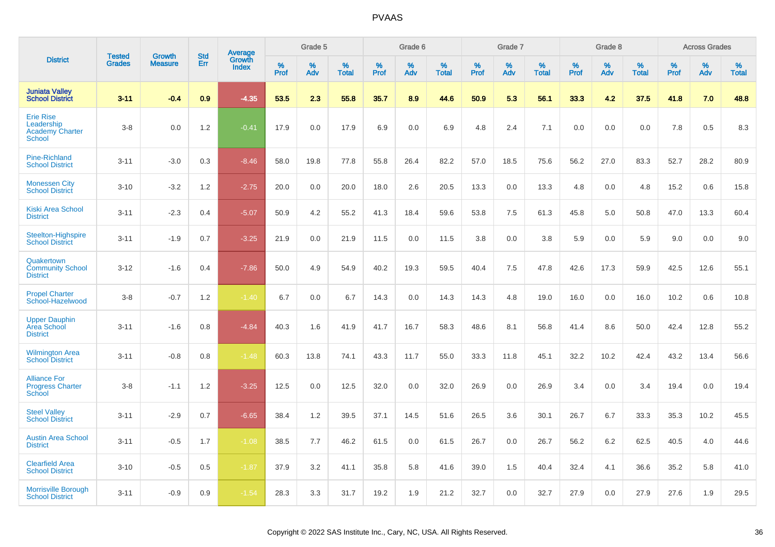|                                                                           |                                |                                 | <b>Std</b> |                                          |                     | Grade 5  |                   |           | Grade 6  |                   |           | Grade 7  |                   |           | Grade 8  |                   |           | <b>Across Grades</b> |                   |
|---------------------------------------------------------------------------|--------------------------------|---------------------------------|------------|------------------------------------------|---------------------|----------|-------------------|-----------|----------|-------------------|-----------|----------|-------------------|-----------|----------|-------------------|-----------|----------------------|-------------------|
| <b>District</b>                                                           | <b>Tested</b><br><b>Grades</b> | <b>Growth</b><br><b>Measure</b> | Err        | <b>Average</b><br>Growth<br><b>Index</b> | $\%$<br><b>Prof</b> | %<br>Adv | %<br><b>Total</b> | %<br>Prof | %<br>Adv | %<br><b>Total</b> | %<br>Prof | %<br>Adv | %<br><b>Total</b> | %<br>Prof | %<br>Adv | %<br><b>Total</b> | %<br>Prof | %<br>Adv             | %<br><b>Total</b> |
| <b>Juniata Valley</b><br><b>School District</b>                           | $3 - 11$                       | $-0.4$                          | 0.9        | $-4.35$                                  | 53.5                | 2.3      | 55.8              | 35.7      | 8.9      | 44.6              | 50.9      | 5.3      | 56.1              | 33.3      | 4.2      | 37.5              | 41.8      | 7.0                  | 48.8              |
| <b>Erie Rise</b><br>Leadership<br><b>Academy Charter</b><br><b>School</b> | $3-8$                          | 0.0                             | 1.2        | $-0.41$                                  | 17.9                | 0.0      | 17.9              | 6.9       | 0.0      | 6.9               | 4.8       | 2.4      | 7.1               | 0.0       | 0.0      | 0.0               | 7.8       | 0.5                  | 8.3               |
| <b>Pine-Richland</b><br><b>School District</b>                            | $3 - 11$                       | $-3.0$                          | 0.3        | $-8.46$                                  | 58.0                | 19.8     | 77.8              | 55.8      | 26.4     | 82.2              | 57.0      | 18.5     | 75.6              | 56.2      | 27.0     | 83.3              | 52.7      | 28.2                 | 80.9              |
| <b>Monessen City</b><br><b>School District</b>                            | $3 - 10$                       | $-3.2$                          | 1.2        | $-2.75$                                  | 20.0                | 0.0      | 20.0              | 18.0      | 2.6      | 20.5              | 13.3      | 0.0      | 13.3              | 4.8       | 0.0      | 4.8               | 15.2      | 0.6                  | 15.8              |
| <b>Kiski Area School</b><br><b>District</b>                               | $3 - 11$                       | $-2.3$                          | 0.4        | $-5.07$                                  | 50.9                | 4.2      | 55.2              | 41.3      | 18.4     | 59.6              | 53.8      | 7.5      | 61.3              | 45.8      | 5.0      | 50.8              | 47.0      | 13.3                 | 60.4              |
| Steelton-Highspire<br><b>School District</b>                              | $3 - 11$                       | $-1.9$                          | 0.7        | $-3.25$                                  | 21.9                | 0.0      | 21.9              | 11.5      | 0.0      | 11.5              | 3.8       | 0.0      | 3.8               | 5.9       | 0.0      | 5.9               | 9.0       | 0.0                  | 9.0               |
| Quakertown<br><b>Community School</b><br><b>District</b>                  | $3 - 12$                       | $-1.6$                          | 0.4        | $-7.86$                                  | 50.0                | 4.9      | 54.9              | 40.2      | 19.3     | 59.5              | 40.4      | 7.5      | 47.8              | 42.6      | 17.3     | 59.9              | 42.5      | 12.6                 | 55.1              |
| <b>Propel Charter</b><br>School-Hazelwood                                 | $3-8$                          | $-0.7$                          | 1.2        | $-1.40$                                  | 6.7                 | 0.0      | 6.7               | 14.3      | 0.0      | 14.3              | 14.3      | 4.8      | 19.0              | 16.0      | 0.0      | 16.0              | 10.2      | 0.6                  | 10.8              |
| <b>Upper Dauphin</b><br>Area School<br><b>District</b>                    | $3 - 11$                       | $-1.6$                          | 0.8        | $-4.84$                                  | 40.3                | 1.6      | 41.9              | 41.7      | 16.7     | 58.3              | 48.6      | 8.1      | 56.8              | 41.4      | 8.6      | 50.0              | 42.4      | 12.8                 | 55.2              |
| <b>Wilmington Area</b><br><b>School District</b>                          | $3 - 11$                       | $-0.8$                          | 0.8        | $-1.48$                                  | 60.3                | 13.8     | 74.1              | 43.3      | 11.7     | 55.0              | 33.3      | 11.8     | 45.1              | 32.2      | 10.2     | 42.4              | 43.2      | 13.4                 | 56.6              |
| <b>Alliance For</b><br><b>Progress Charter</b><br>School                  | $3-8$                          | $-1.1$                          | 1.2        | $-3.25$                                  | 12.5                | 0.0      | 12.5              | 32.0      | 0.0      | 32.0              | 26.9      | 0.0      | 26.9              | 3.4       | 0.0      | 3.4               | 19.4      | 0.0                  | 19.4              |
| <b>Steel Vallev</b><br><b>School District</b>                             | $3 - 11$                       | $-2.9$                          | 0.7        | $-6.65$                                  | 38.4                | 1.2      | 39.5              | 37.1      | 14.5     | 51.6              | 26.5      | 3.6      | 30.1              | 26.7      | 6.7      | 33.3              | 35.3      | 10.2                 | 45.5              |
| <b>Austin Area School</b><br><b>District</b>                              | $3 - 11$                       | $-0.5$                          | 1.7        | $-1.08$                                  | 38.5                | 7.7      | 46.2              | 61.5      | 0.0      | 61.5              | 26.7      | 0.0      | 26.7              | 56.2      | 6.2      | 62.5              | 40.5      | 4.0                  | 44.6              |
| <b>Clearfield Area</b><br><b>School District</b>                          | $3 - 10$                       | $-0.5$                          | 0.5        | $-1.87$                                  | 37.9                | 3.2      | 41.1              | 35.8      | 5.8      | 41.6              | 39.0      | 1.5      | 40.4              | 32.4      | 4.1      | 36.6              | 35.2      | 5.8                  | 41.0              |
| <b>Morrisville Borough</b><br><b>School District</b>                      | $3 - 11$                       | $-0.9$                          | 0.9        | $-1.54$                                  | 28.3                | 3.3      | 31.7              | 19.2      | 1.9      | 21.2              | 32.7      | 0.0      | 32.7              | 27.9      | 0.0      | 27.9              | 27.6      | 1.9                  | 29.5              |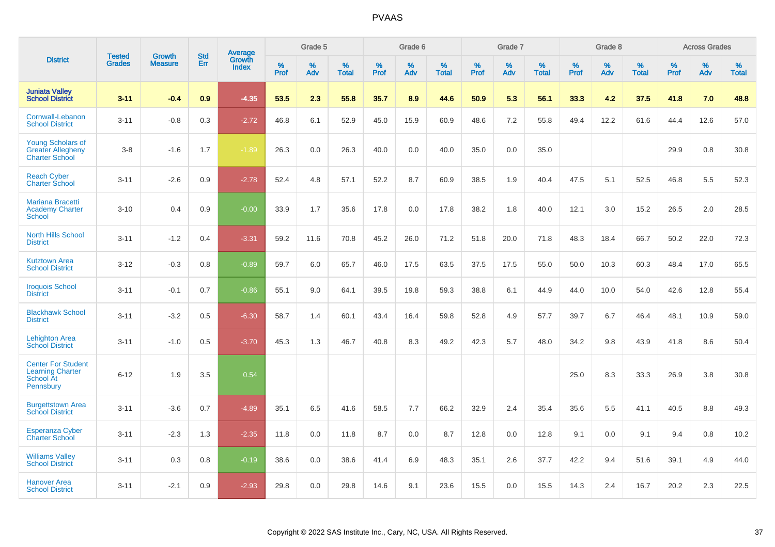|                                                                                |                                | <b>Growth</b>  | <b>Std</b> | Average         |              | Grade 5  |                   |           | Grade 6  |                   |           | Grade 7  |                   |           | Grade 8  |                   |              | <b>Across Grades</b> |                   |
|--------------------------------------------------------------------------------|--------------------------------|----------------|------------|-----------------|--------------|----------|-------------------|-----------|----------|-------------------|-----------|----------|-------------------|-----------|----------|-------------------|--------------|----------------------|-------------------|
| <b>District</b>                                                                | <b>Tested</b><br><b>Grades</b> | <b>Measure</b> | <b>Err</b> | Growth<br>Index | $\%$<br>Prof | %<br>Adv | %<br><b>Total</b> | %<br>Prof | %<br>Adv | %<br><b>Total</b> | %<br>Prof | %<br>Adv | %<br><b>Total</b> | %<br>Prof | %<br>Adv | %<br><b>Total</b> | $\%$<br>Prof | %<br>Adv             | %<br><b>Total</b> |
| <b>Juniata Valley</b><br><b>School District</b>                                | $3 - 11$                       | $-0.4$         | 0.9        | $-4.35$         | 53.5         | 2.3      | 55.8              | 35.7      | 8.9      | 44.6              | 50.9      | 5.3      | 56.1              | 33.3      | 4.2      | 37.5              | 41.8         | 7.0                  | 48.8              |
| Cornwall-Lebanon<br><b>School District</b>                                     | $3 - 11$                       | $-0.8$         | 0.3        | $-2.72$         | 46.8         | 6.1      | 52.9              | 45.0      | 15.9     | 60.9              | 48.6      | 7.2      | 55.8              | 49.4      | 12.2     | 61.6              | 44.4         | 12.6                 | 57.0              |
| <b>Young Scholars of</b><br><b>Greater Allegheny</b><br><b>Charter School</b>  | $3 - 8$                        | $-1.6$         | 1.7        | $-1.89$         | 26.3         | 0.0      | 26.3              | 40.0      | 0.0      | 40.0              | 35.0      | 0.0      | 35.0              |           |          |                   | 29.9         | $0.8\,$              | 30.8              |
| <b>Reach Cyber</b><br><b>Charter School</b>                                    | $3 - 11$                       | $-2.6$         | 0.9        | $-2.78$         | 52.4         | 4.8      | 57.1              | 52.2      | 8.7      | 60.9              | 38.5      | 1.9      | 40.4              | 47.5      | 5.1      | 52.5              | 46.8         | 5.5                  | 52.3              |
| <b>Mariana Bracetti</b><br><b>Academy Charter</b><br>School                    | $3 - 10$                       | 0.4            | 0.9        | $-0.00$         | 33.9         | 1.7      | 35.6              | 17.8      | 0.0      | 17.8              | 38.2      | 1.8      | 40.0              | 12.1      | 3.0      | 15.2              | 26.5         | 2.0                  | 28.5              |
| <b>North Hills School</b><br><b>District</b>                                   | $3 - 11$                       | $-1.2$         | 0.4        | $-3.31$         | 59.2         | 11.6     | 70.8              | 45.2      | 26.0     | 71.2              | 51.8      | 20.0     | 71.8              | 48.3      | 18.4     | 66.7              | 50.2         | 22.0                 | 72.3              |
| <b>Kutztown Area</b><br><b>School District</b>                                 | $3 - 12$                       | $-0.3$         | 0.8        | $-0.89$         | 59.7         | 6.0      | 65.7              | 46.0      | 17.5     | 63.5              | 37.5      | 17.5     | 55.0              | 50.0      | 10.3     | 60.3              | 48.4         | 17.0                 | 65.5              |
| <b>Iroquois School</b><br><b>District</b>                                      | $3 - 11$                       | $-0.1$         | 0.7        | $-0.86$         | 55.1         | 9.0      | 64.1              | 39.5      | 19.8     | 59.3              | 38.8      | 6.1      | 44.9              | 44.0      | 10.0     | 54.0              | 42.6         | 12.8                 | 55.4              |
| <b>Blackhawk School</b><br><b>District</b>                                     | $3 - 11$                       | $-3.2$         | 0.5        | $-6.30$         | 58.7         | 1.4      | 60.1              | 43.4      | 16.4     | 59.8              | 52.8      | 4.9      | 57.7              | 39.7      | 6.7      | 46.4              | 48.1         | 10.9                 | 59.0              |
| <b>Lehighton Area</b><br><b>School District</b>                                | $3 - 11$                       | $-1.0$         | 0.5        | $-3.70$         | 45.3         | 1.3      | 46.7              | 40.8      | 8.3      | 49.2              | 42.3      | 5.7      | 48.0              | 34.2      | 9.8      | 43.9              | 41.8         | 8.6                  | 50.4              |
| <b>Center For Student</b><br><b>Learning Charter</b><br>School At<br>Pennsbury | $6 - 12$                       | 1.9            | 3.5        | 0.54            |              |          |                   |           |          |                   |           |          |                   | 25.0      | 8.3      | 33.3              | 26.9         | 3.8                  | 30.8              |
| <b>Burgettstown Area</b><br><b>School District</b>                             | $3 - 11$                       | $-3.6$         | 0.7        | $-4.89$         | 35.1         | 6.5      | 41.6              | 58.5      | 7.7      | 66.2              | 32.9      | 2.4      | 35.4              | 35.6      | 5.5      | 41.1              | 40.5         | 8.8                  | 49.3              |
| <b>Esperanza Cyber</b><br><b>Charter School</b>                                | $3 - 11$                       | $-2.3$         | 1.3        | $-2.35$         | 11.8         | 0.0      | 11.8              | 8.7       | 0.0      | 8.7               | 12.8      | 0.0      | 12.8              | 9.1       | 0.0      | 9.1               | 9.4          | 0.8                  | 10.2              |
| <b>Williams Valley</b><br><b>School District</b>                               | $3 - 11$                       | 0.3            | 0.8        | $-0.19$         | 38.6         | 0.0      | 38.6              | 41.4      | 6.9      | 48.3              | 35.1      | 2.6      | 37.7              | 42.2      | 9.4      | 51.6              | 39.1         | 4.9                  | 44.0              |
| <b>Hanover Area</b><br><b>School District</b>                                  | $3 - 11$                       | $-2.1$         | 0.9        | $-2.93$         | 29.8         | 0.0      | 29.8              | 14.6      | 9.1      | 23.6              | 15.5      | 0.0      | 15.5              | 14.3      | 2.4      | 16.7              | 20.2         | 2.3                  | 22.5              |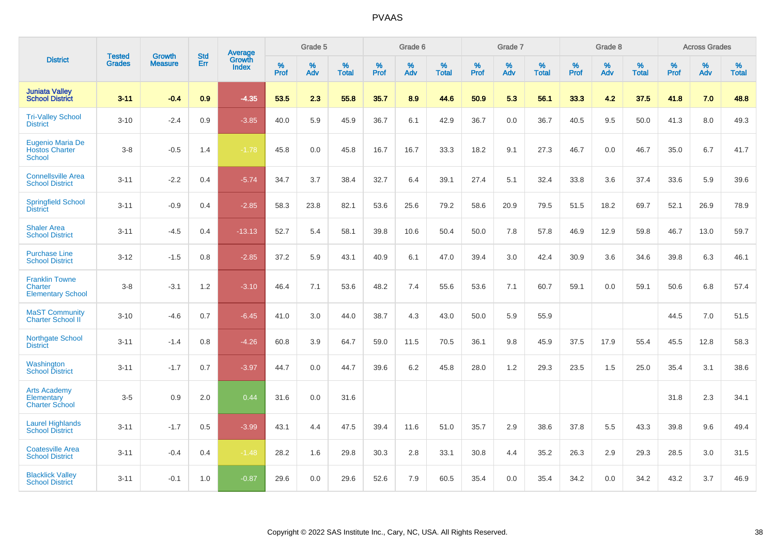|                                                              | <b>Tested</b> | <b>Growth</b>  | <b>Std</b> | Average                |              | Grade 5  |                   |           | Grade 6  |                   |           | Grade 7  |                   |           | Grade 8  |                   |           | <b>Across Grades</b> |                   |
|--------------------------------------------------------------|---------------|----------------|------------|------------------------|--------------|----------|-------------------|-----------|----------|-------------------|-----------|----------|-------------------|-----------|----------|-------------------|-----------|----------------------|-------------------|
| <b>District</b>                                              | <b>Grades</b> | <b>Measure</b> | Err        | Growth<br><b>Index</b> | $\%$<br>Prof | %<br>Adv | %<br><b>Total</b> | %<br>Prof | %<br>Adv | %<br><b>Total</b> | %<br>Prof | %<br>Adv | %<br><b>Total</b> | %<br>Prof | %<br>Adv | %<br><b>Total</b> | %<br>Prof | %<br>Adv             | %<br><b>Total</b> |
| <b>Juniata Valley</b><br><b>School District</b>              | $3 - 11$      | $-0.4$         | 0.9        | $-4.35$                | 53.5         | 2.3      | 55.8              | 35.7      | 8.9      | 44.6              | 50.9      | 5.3      | 56.1              | 33.3      | 4.2      | 37.5              | 41.8      | 7.0                  | 48.8              |
| <b>Tri-Valley School</b><br><b>District</b>                  | $3 - 10$      | $-2.4$         | 0.9        | $-3.85$                | 40.0         | 5.9      | 45.9              | 36.7      | 6.1      | 42.9              | 36.7      | 0.0      | 36.7              | 40.5      | 9.5      | 50.0              | 41.3      | 8.0                  | 49.3              |
| Eugenio Maria De<br><b>Hostos Charter</b><br><b>School</b>   | $3 - 8$       | $-0.5$         | 1.4        | $-1.78$                | 45.8         | 0.0      | 45.8              | 16.7      | 16.7     | 33.3              | 18.2      | 9.1      | 27.3              | 46.7      | 0.0      | 46.7              | 35.0      | 6.7                  | 41.7              |
| <b>Connellsville Area</b><br><b>School District</b>          | $3 - 11$      | $-2.2$         | 0.4        | $-5.74$                | 34.7         | 3.7      | 38.4              | 32.7      | 6.4      | 39.1              | 27.4      | 5.1      | 32.4              | 33.8      | 3.6      | 37.4              | 33.6      | 5.9                  | 39.6              |
| <b>Springfield School</b><br><b>District</b>                 | $3 - 11$      | $-0.9$         | 0.4        | $-2.85$                | 58.3         | 23.8     | 82.1              | 53.6      | 25.6     | 79.2              | 58.6      | 20.9     | 79.5              | 51.5      | 18.2     | 69.7              | 52.1      | 26.9                 | 78.9              |
| <b>Shaler Area</b><br><b>School District</b>                 | $3 - 11$      | $-4.5$         | 0.4        | $-13.13$               | 52.7         | 5.4      | 58.1              | 39.8      | 10.6     | 50.4              | 50.0      | 7.8      | 57.8              | 46.9      | 12.9     | 59.8              | 46.7      | 13.0                 | 59.7              |
| <b>Purchase Line</b><br><b>School District</b>               | $3 - 12$      | $-1.5$         | 0.8        | $-2.85$                | 37.2         | 5.9      | 43.1              | 40.9      | 6.1      | 47.0              | 39.4      | 3.0      | 42.4              | 30.9      | 3.6      | 34.6              | 39.8      | 6.3                  | 46.1              |
| <b>Franklin Towne</b><br>Charter<br><b>Elementary School</b> | $3 - 8$       | $-3.1$         | 1.2        | $-3.10$                | 46.4         | 7.1      | 53.6              | 48.2      | 7.4      | 55.6              | 53.6      | 7.1      | 60.7              | 59.1      | 0.0      | 59.1              | 50.6      | 6.8                  | 57.4              |
| <b>MaST Community</b><br>Charter School II                   | $3 - 10$      | $-4.6$         | 0.7        | $-6.45$                | 41.0         | 3.0      | 44.0              | 38.7      | 4.3      | 43.0              | 50.0      | 5.9      | 55.9              |           |          |                   | 44.5      | 7.0                  | 51.5              |
| Northgate School<br><b>District</b>                          | $3 - 11$      | $-1.4$         | 0.8        | $-4.26$                | 60.8         | 3.9      | 64.7              | 59.0      | 11.5     | 70.5              | 36.1      | 9.8      | 45.9              | 37.5      | 17.9     | 55.4              | 45.5      | 12.8                 | 58.3              |
| Washington<br><b>School District</b>                         | $3 - 11$      | $-1.7$         | 0.7        | $-3.97$                | 44.7         | 0.0      | 44.7              | 39.6      | 6.2      | 45.8              | 28.0      | 1.2      | 29.3              | 23.5      | 1.5      | 25.0              | 35.4      | 3.1                  | 38.6              |
| <b>Arts Academy</b><br>Elementary<br><b>Charter School</b>   | $3-5$         | 0.9            | 2.0        | 0.44                   | 31.6         | 0.0      | 31.6              |           |          |                   |           |          |                   |           |          |                   | 31.8      | 2.3                  | 34.1              |
| <b>Laurel Highlands</b><br><b>School District</b>            | $3 - 11$      | $-1.7$         | 0.5        | $-3.99$                | 43.1         | 4.4      | 47.5              | 39.4      | 11.6     | 51.0              | 35.7      | 2.9      | 38.6              | 37.8      | 5.5      | 43.3              | 39.8      | 9.6                  | 49.4              |
| <b>Coatesville Area</b><br><b>School District</b>            | $3 - 11$      | $-0.4$         | 0.4        | $-1.48$                | 28.2         | 1.6      | 29.8              | 30.3      | 2.8      | 33.1              | 30.8      | 4.4      | 35.2              | 26.3      | 2.9      | 29.3              | 28.5      | 3.0                  | 31.5              |
| <b>Blacklick Valley</b><br><b>School District</b>            | $3 - 11$      | $-0.1$         | 1.0        | $-0.87$                | 29.6         | 0.0      | 29.6              | 52.6      | 7.9      | 60.5              | 35.4      | 0.0      | 35.4              | 34.2      | 0.0      | 34.2              | 43.2      | 3.7                  | 46.9              |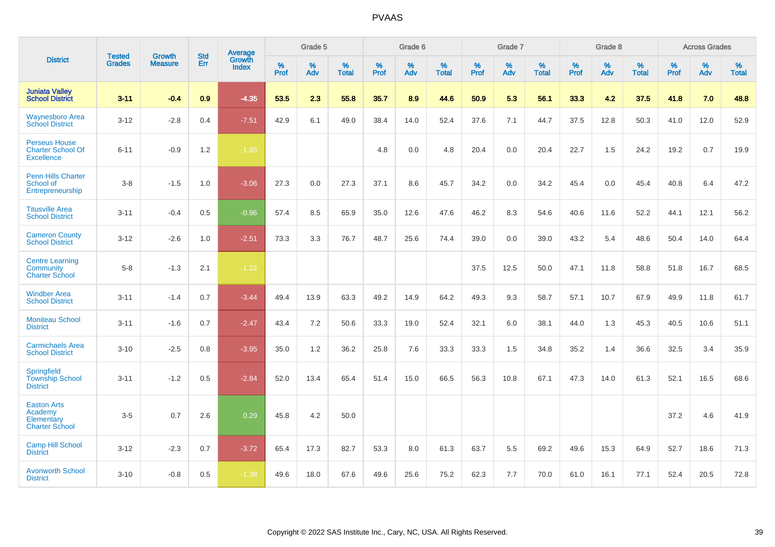|                                                                       | <b>Tested</b> | <b>Growth</b>  | <b>Std</b> | Average                |                     | Grade 5  |                   |              | Grade 6  |                   |              | Grade 7  |                   |              | Grade 8  |                   |           | <b>Across Grades</b> |                   |
|-----------------------------------------------------------------------|---------------|----------------|------------|------------------------|---------------------|----------|-------------------|--------------|----------|-------------------|--------------|----------|-------------------|--------------|----------|-------------------|-----------|----------------------|-------------------|
| <b>District</b>                                                       | <b>Grades</b> | <b>Measure</b> | Err        | Growth<br><b>Index</b> | $\%$<br><b>Prof</b> | %<br>Adv | %<br><b>Total</b> | $\%$<br>Prof | %<br>Adv | %<br><b>Total</b> | $\%$<br>Prof | %<br>Adv | %<br><b>Total</b> | $\%$<br>Prof | %<br>Adv | %<br><b>Total</b> | %<br>Prof | %<br>Adv             | %<br><b>Total</b> |
| <b>Juniata Valley</b><br><b>School District</b>                       | $3 - 11$      | $-0.4$         | 0.9        | $-4.35$                | 53.5                | 2.3      | 55.8              | 35.7         | 8.9      | 44.6              | 50.9         | 5.3      | 56.1              | 33.3         | 4.2      | 37.5              | 41.8      | 7.0                  | 48.8              |
| <b>Waynesboro Area</b><br><b>School District</b>                      | $3 - 12$      | $-2.8$         | 0.4        | $-7.51$                | 42.9                | 6.1      | 49.0              | 38.4         | 14.0     | 52.4              | 37.6         | 7.1      | 44.7              | 37.5         | 12.8     | 50.3              | 41.0      | 12.0                 | 52.9              |
| <b>Perseus House</b><br><b>Charter School Of</b><br><b>Excellence</b> | $6 - 11$      | $-0.9$         | 1.2        | $-1.85$                |                     |          |                   | 4.8          | 0.0      | 4.8               | 20.4         | 0.0      | 20.4              | 22.7         | 1.5      | 24.2              | 19.2      | 0.7                  | 19.9              |
| <b>Penn Hills Charter</b><br>School of<br>Entrepreneurship            | $3-8$         | $-1.5$         | 1.0        | $-3.06$                | 27.3                | 0.0      | 27.3              | 37.1         | 8.6      | 45.7              | 34.2         | 0.0      | 34.2              | 45.4         | 0.0      | 45.4              | 40.8      | 6.4                  | 47.2              |
| <b>Titusville Area</b><br><b>School District</b>                      | $3 - 11$      | $-0.4$         | 0.5        | $-0.96$                | 57.4                | 8.5      | 65.9              | 35.0         | 12.6     | 47.6              | 46.2         | 8.3      | 54.6              | 40.6         | 11.6     | 52.2              | 44.1      | 12.1                 | 56.2              |
| <b>Cameron County</b><br><b>School District</b>                       | $3 - 12$      | $-2.6$         | 1.0        | $-2.51$                | 73.3                | 3.3      | 76.7              | 48.7         | 25.6     | 74.4              | 39.0         | 0.0      | 39.0              | 43.2         | 5.4      | 48.6              | 50.4      | 14.0                 | 64.4              |
| <b>Centre Learning</b><br>Community<br><b>Charter School</b>          | $5-8$         | $-1.3$         | 2.1        | $-1.22$                |                     |          |                   |              |          |                   | 37.5         | 12.5     | 50.0              | 47.1         | 11.8     | 58.8              | 51.8      | 16.7                 | 68.5              |
| <b>Windber Area</b><br><b>School District</b>                         | $3 - 11$      | $-1.4$         | 0.7        | $-3.44$                | 49.4                | 13.9     | 63.3              | 49.2         | 14.9     | 64.2              | 49.3         | 9.3      | 58.7              | 57.1         | 10.7     | 67.9              | 49.9      | 11.8                 | 61.7              |
| <b>Moniteau School</b><br><b>District</b>                             | $3 - 11$      | $-1.6$         | 0.7        | $-2.47$                | 43.4                | 7.2      | 50.6              | 33.3         | 19.0     | 52.4              | 32.1         | 6.0      | 38.1              | 44.0         | 1.3      | 45.3              | 40.5      | 10.6                 | 51.1              |
| <b>Carmichaels Area</b><br><b>School District</b>                     | $3 - 10$      | $-2.5$         | 0.8        | $-3.95$                | 35.0                | 1.2      | 36.2              | 25.8         | 7.6      | 33.3              | 33.3         | 1.5      | 34.8              | 35.2         | 1.4      | 36.6              | 32.5      | 3.4                  | 35.9              |
| Springfield<br><b>Township School</b><br><b>District</b>              | $3 - 11$      | $-1.2$         | 0.5        | $-2.84$                | 52.0                | 13.4     | 65.4              | 51.4         | 15.0     | 66.5              | 56.3         | 10.8     | 67.1              | 47.3         | 14.0     | 61.3              | 52.1      | 16.5                 | 68.6              |
| <b>Easton Arts</b><br>Academy<br>Elementary<br><b>Charter School</b>  | $3-5$         | 0.7            | 2.6        | 0.29                   | 45.8                | 4.2      | 50.0              |              |          |                   |              |          |                   |              |          |                   | 37.2      | 4.6                  | 41.9              |
| <b>Camp Hill School</b><br><b>District</b>                            | $3 - 12$      | $-2.3$         | 0.7        | $-3.72$                | 65.4                | 17.3     | 82.7              | 53.3         | 8.0      | 61.3              | 63.7         | 5.5      | 69.2              | 49.6         | 15.3     | 64.9              | 52.7      | 18.6                 | 71.3              |
| <b>Avonworth School</b><br><b>District</b>                            | $3 - 10$      | $-0.8$         | 0.5        | $-1.38$                | 49.6                | 18.0     | 67.6              | 49.6         | 25.6     | 75.2              | 62.3         | 7.7      | 70.0              | 61.0         | 16.1     | 77.1              | 52.4      | 20.5                 | 72.8              |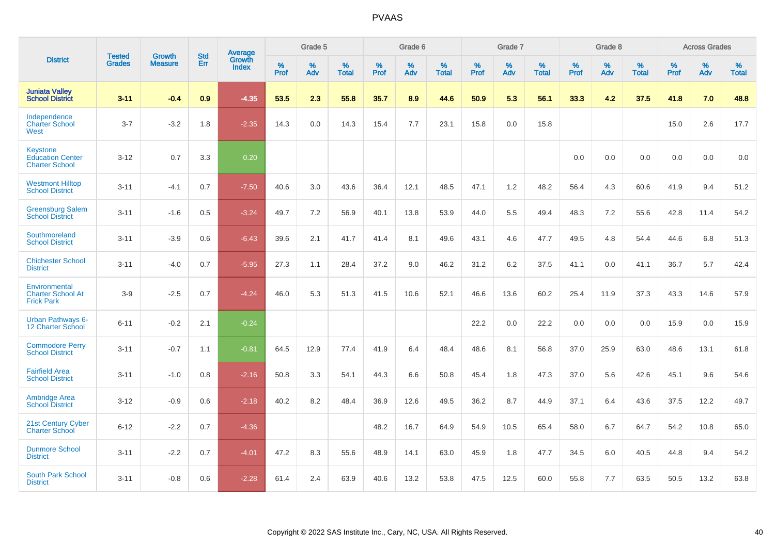|                                                                     | <b>Tested</b> | <b>Growth</b>  | <b>Std</b> | Average                       |           | Grade 5  |                   |           | Grade 6  |                   |           | Grade 7  |                   |           | Grade 8  |                   |           | <b>Across Grades</b> |                   |
|---------------------------------------------------------------------|---------------|----------------|------------|-------------------------------|-----------|----------|-------------------|-----------|----------|-------------------|-----------|----------|-------------------|-----------|----------|-------------------|-----------|----------------------|-------------------|
| <b>District</b>                                                     | <b>Grades</b> | <b>Measure</b> | Err        | <b>Growth</b><br><b>Index</b> | %<br>Prof | %<br>Adv | %<br><b>Total</b> | %<br>Prof | %<br>Adv | %<br><b>Total</b> | %<br>Prof | %<br>Adv | %<br><b>Total</b> | %<br>Prof | %<br>Adv | %<br><b>Total</b> | %<br>Prof | %<br>Adv             | %<br><b>Total</b> |
| <b>Juniata Valley</b><br><b>School District</b>                     | $3 - 11$      | $-0.4$         | 0.9        | $-4.35$                       | 53.5      | 2.3      | 55.8              | 35.7      | 8.9      | 44.6              | 50.9      | 5.3      | 56.1              | 33.3      | 4.2      | 37.5              | 41.8      | 7.0                  | 48.8              |
| Independence<br><b>Charter School</b><br>West                       | $3 - 7$       | $-3.2$         | 1.8        | $-2.35$                       | 14.3      | 0.0      | 14.3              | 15.4      | 7.7      | 23.1              | 15.8      | 0.0      | 15.8              |           |          |                   | 15.0      | 2.6                  | 17.7              |
| <b>Keystone</b><br><b>Education Center</b><br><b>Charter School</b> | $3 - 12$      | 0.7            | 3.3        | 0.20                          |           |          |                   |           |          |                   |           |          |                   | 0.0       | 0.0      | 0.0               | 0.0       | 0.0                  | 0.0               |
| <b>Westmont Hilltop</b><br><b>School District</b>                   | $3 - 11$      | $-4.1$         | 0.7        | $-7.50$                       | 40.6      | 3.0      | 43.6              | 36.4      | 12.1     | 48.5              | 47.1      | 1.2      | 48.2              | 56.4      | 4.3      | 60.6              | 41.9      | 9.4                  | 51.2              |
| <b>Greensburg Salem</b><br><b>School District</b>                   | $3 - 11$      | $-1.6$         | 0.5        | $-3.24$                       | 49.7      | 7.2      | 56.9              | 40.1      | 13.8     | 53.9              | 44.0      | 5.5      | 49.4              | 48.3      | 7.2      | 55.6              | 42.8      | 11.4                 | 54.2              |
| Southmoreland<br><b>School District</b>                             | $3 - 11$      | $-3.9$         | 0.6        | $-6.43$                       | 39.6      | 2.1      | 41.7              | 41.4      | 8.1      | 49.6              | 43.1      | 4.6      | 47.7              | 49.5      | 4.8      | 54.4              | 44.6      | 6.8                  | 51.3              |
| <b>Chichester School</b><br><b>District</b>                         | $3 - 11$      | $-4.0$         | 0.7        | $-5.95$                       | 27.3      | 1.1      | 28.4              | 37.2      | 9.0      | 46.2              | 31.2      | 6.2      | 37.5              | 41.1      | 0.0      | 41.1              | 36.7      | 5.7                  | 42.4              |
| Environmental<br><b>Charter School At</b><br><b>Frick Park</b>      | $3-9$         | $-2.5$         | 0.7        | $-4.24$                       | 46.0      | 5.3      | 51.3              | 41.5      | 10.6     | 52.1              | 46.6      | 13.6     | 60.2              | 25.4      | 11.9     | 37.3              | 43.3      | 14.6                 | 57.9              |
| <b>Urban Pathways 6-</b><br>12 Charter School                       | $6 - 11$      | $-0.2$         | 2.1        | $-0.24$                       |           |          |                   |           |          |                   | 22.2      | 0.0      | 22.2              | 0.0       | 0.0      | 0.0               | 15.9      | 0.0                  | 15.9              |
| <b>Commodore Perry</b><br><b>School District</b>                    | $3 - 11$      | $-0.7$         | 1.1        | $-0.81$                       | 64.5      | 12.9     | 77.4              | 41.9      | 6.4      | 48.4              | 48.6      | 8.1      | 56.8              | 37.0      | 25.9     | 63.0              | 48.6      | 13.1                 | 61.8              |
| <b>Fairfield Area</b><br><b>School District</b>                     | $3 - 11$      | $-1.0$         | 0.8        | $-2.16$                       | 50.8      | 3.3      | 54.1              | 44.3      | 6.6      | 50.8              | 45.4      | 1.8      | 47.3              | 37.0      | 5.6      | 42.6              | 45.1      | 9.6                  | 54.6              |
| <b>Ambridge Area</b><br><b>School District</b>                      | $3 - 12$      | $-0.9$         | 0.6        | $-2.18$                       | 40.2      | 8.2      | 48.4              | 36.9      | 12.6     | 49.5              | 36.2      | 8.7      | 44.9              | 37.1      | 6.4      | 43.6              | 37.5      | 12.2                 | 49.7              |
| <b>21st Century Cyber</b><br><b>Charter School</b>                  | $6 - 12$      | $-2.2$         | 0.7        | $-4.36$                       |           |          |                   | 48.2      | 16.7     | 64.9              | 54.9      | 10.5     | 65.4              | 58.0      | 6.7      | 64.7              | 54.2      | 10.8                 | 65.0              |
| <b>Dunmore School</b><br><b>District</b>                            | $3 - 11$      | $-2.2$         | 0.7        | $-4.01$                       | 47.2      | 8.3      | 55.6              | 48.9      | 14.1     | 63.0              | 45.9      | 1.8      | 47.7              | 34.5      | 6.0      | 40.5              | 44.8      | 9.4                  | 54.2              |
| <b>South Park School</b><br><b>District</b>                         | $3 - 11$      | $-0.8$         | 0.6        | $-2.28$                       | 61.4      | 2.4      | 63.9              | 40.6      | 13.2     | 53.8              | 47.5      | 12.5     | 60.0              | 55.8      | 7.7      | 63.5              | 50.5      | 13.2                 | 63.8              |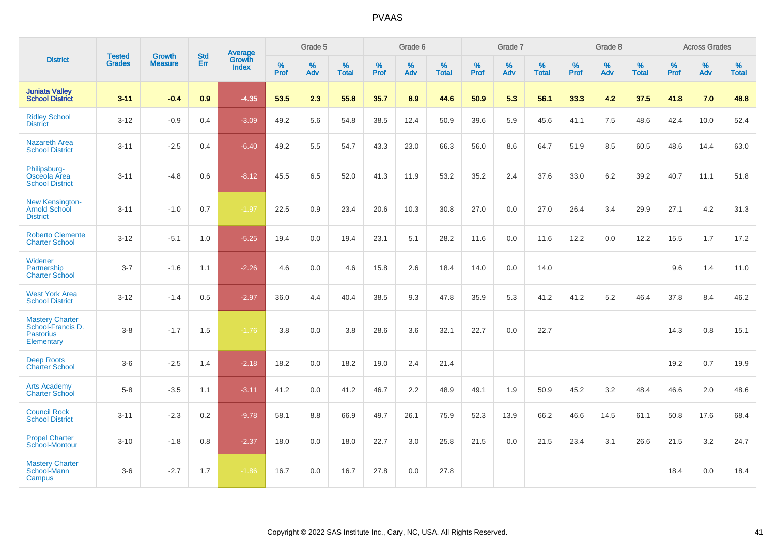|                                                                               | <b>Tested</b> | <b>Growth</b>  | <b>Std</b> | Average                       |                     | Grade 5  |                   |              | Grade 6  |                   |              | Grade 7  |                   |              | Grade 8  |                   |                     | <b>Across Grades</b> |                   |
|-------------------------------------------------------------------------------|---------------|----------------|------------|-------------------------------|---------------------|----------|-------------------|--------------|----------|-------------------|--------------|----------|-------------------|--------------|----------|-------------------|---------------------|----------------------|-------------------|
| <b>District</b>                                                               | <b>Grades</b> | <b>Measure</b> | Err        | <b>Growth</b><br><b>Index</b> | $\%$<br><b>Prof</b> | %<br>Adv | %<br><b>Total</b> | $\%$<br>Prof | %<br>Adv | %<br><b>Total</b> | $\%$<br>Prof | %<br>Adv | %<br><b>Total</b> | $\%$<br>Prof | %<br>Adv | %<br><b>Total</b> | $\%$<br><b>Prof</b> | %<br>Adv             | %<br><b>Total</b> |
| <b>Juniata Valley</b><br><b>School District</b>                               | $3 - 11$      | $-0.4$         | 0.9        | $-4.35$                       | 53.5                | 2.3      | 55.8              | 35.7         | 8.9      | 44.6              | 50.9         | 5.3      | 56.1              | 33.3         | 4.2      | 37.5              | 41.8                | 7.0                  | 48.8              |
| <b>Ridley School</b><br><b>District</b>                                       | $3 - 12$      | $-0.9$         | 0.4        | $-3.09$                       | 49.2                | 5.6      | 54.8              | 38.5         | 12.4     | 50.9              | 39.6         | 5.9      | 45.6              | 41.1         | 7.5      | 48.6              | 42.4                | 10.0                 | 52.4              |
| <b>Nazareth Area</b><br><b>School District</b>                                | $3 - 11$      | $-2.5$         | 0.4        | $-6.40$                       | 49.2                | 5.5      | 54.7              | 43.3         | 23.0     | 66.3              | 56.0         | 8.6      | 64.7              | 51.9         | 8.5      | 60.5              | 48.6                | 14.4                 | 63.0              |
| Philipsburg-<br>Osceola Area<br><b>School District</b>                        | $3 - 11$      | $-4.8$         | 0.6        | $-8.12$                       | 45.5                | 6.5      | 52.0              | 41.3         | 11.9     | 53.2              | 35.2         | 2.4      | 37.6              | 33.0         | 6.2      | 39.2              | 40.7                | 11.1                 | 51.8              |
| <b>New Kensington-</b><br><b>Arnold School</b><br><b>District</b>             | $3 - 11$      | $-1.0$         | 0.7        | $-1.97$                       | 22.5                | 0.9      | 23.4              | 20.6         | 10.3     | 30.8              | 27.0         | 0.0      | 27.0              | 26.4         | 3.4      | 29.9              | 27.1                | 4.2                  | 31.3              |
| <b>Roberto Clemente</b><br><b>Charter School</b>                              | $3 - 12$      | $-5.1$         | 1.0        | $-5.25$                       | 19.4                | 0.0      | 19.4              | 23.1         | 5.1      | 28.2              | 11.6         | 0.0      | 11.6              | 12.2         | 0.0      | 12.2              | 15.5                | 1.7                  | 17.2              |
| Widener<br>Partnership<br><b>Charter School</b>                               | $3 - 7$       | $-1.6$         | 1.1        | $-2.26$                       | 4.6                 | 0.0      | 4.6               | 15.8         | 2.6      | 18.4              | 14.0         | 0.0      | 14.0              |              |          |                   | 9.6                 | 1.4                  | 11.0              |
| <b>West York Area</b><br><b>School District</b>                               | $3 - 12$      | $-1.4$         | 0.5        | $-2.97$                       | 36.0                | 4.4      | 40.4              | 38.5         | 9.3      | 47.8              | 35.9         | 5.3      | 41.2              | 41.2         | 5.2      | 46.4              | 37.8                | 8.4                  | 46.2              |
| <b>Mastery Charter</b><br>School-Francis D.<br><b>Pastorius</b><br>Elementary | $3 - 8$       | $-1.7$         | 1.5        | $-1.76$                       | 3.8                 | 0.0      | 3.8               | 28.6         | 3.6      | 32.1              | 22.7         | 0.0      | 22.7              |              |          |                   | 14.3                | 0.8                  | 15.1              |
| <b>Deep Roots</b><br><b>Charter School</b>                                    | $3-6$         | $-2.5$         | 1.4        | $-2.18$                       | 18.2                | 0.0      | 18.2              | 19.0         | 2.4      | 21.4              |              |          |                   |              |          |                   | 19.2                | 0.7                  | 19.9              |
| <b>Arts Academy</b><br><b>Charter School</b>                                  | $5 - 8$       | $-3.5$         | 1.1        | $-3.11$                       | 41.2                | 0.0      | 41.2              | 46.7         | 2.2      | 48.9              | 49.1         | 1.9      | 50.9              | 45.2         | 3.2      | 48.4              | 46.6                | 2.0                  | 48.6              |
| <b>Council Rock</b><br><b>School District</b>                                 | $3 - 11$      | $-2.3$         | 0.2        | $-9.78$                       | 58.1                | 8.8      | 66.9              | 49.7         | 26.1     | 75.9              | 52.3         | 13.9     | 66.2              | 46.6         | 14.5     | 61.1              | 50.8                | 17.6                 | 68.4              |
| <b>Propel Charter</b><br><b>School-Montour</b>                                | $3 - 10$      | $-1.8$         | 0.8        | $-2.37$                       | 18.0                | 0.0      | 18.0              | 22.7         | 3.0      | 25.8              | 21.5         | 0.0      | 21.5              | 23.4         | 3.1      | 26.6              | 21.5                | 3.2                  | 24.7              |
| <b>Mastery Charter</b><br>School-Mann<br>Campus                               | $3-6$         | $-2.7$         | 1.7        | $-1.86$                       | 16.7                | 0.0      | 16.7              | 27.8         | 0.0      | 27.8              |              |          |                   |              |          |                   | 18.4                | 0.0                  | 18.4              |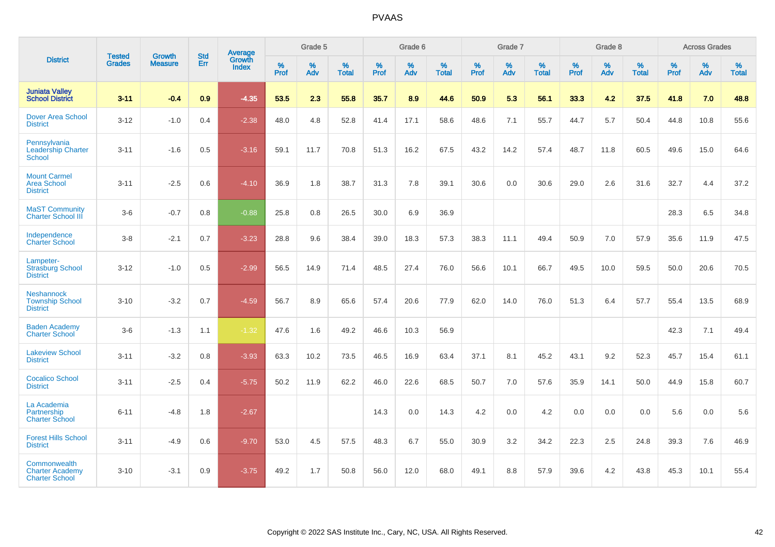|                                                                 |                                |                                 | <b>Std</b> | Average                |              | Grade 5  |                   |              | Grade 6  |                   |              | Grade 7  |                   |              | Grade 8  |                   |                     | <b>Across Grades</b> |                   |
|-----------------------------------------------------------------|--------------------------------|---------------------------------|------------|------------------------|--------------|----------|-------------------|--------------|----------|-------------------|--------------|----------|-------------------|--------------|----------|-------------------|---------------------|----------------------|-------------------|
| <b>District</b>                                                 | <b>Tested</b><br><b>Grades</b> | <b>Growth</b><br><b>Measure</b> | Err        | Growth<br><b>Index</b> | $\%$<br>Prof | %<br>Adv | %<br><b>Total</b> | $\%$<br>Prof | %<br>Adv | %<br><b>Total</b> | $\%$<br>Prof | %<br>Adv | %<br><b>Total</b> | $\%$<br>Prof | %<br>Adv | %<br><b>Total</b> | $\%$<br><b>Prof</b> | %<br>Adv             | %<br><b>Total</b> |
| <b>Juniata Valley</b><br><b>School District</b>                 | $3 - 11$                       | $-0.4$                          | 0.9        | $-4.35$                | 53.5         | 2.3      | 55.8              | 35.7         | 8.9      | 44.6              | 50.9         | 5.3      | 56.1              | 33.3         | 4.2      | 37.5              | 41.8                | 7.0                  | 48.8              |
| <b>Dover Area School</b><br><b>District</b>                     | $3 - 12$                       | $-1.0$                          | 0.4        | $-2.38$                | 48.0         | 4.8      | 52.8              | 41.4         | 17.1     | 58.6              | 48.6         | 7.1      | 55.7              | 44.7         | 5.7      | 50.4              | 44.8                | 10.8                 | 55.6              |
| Pennsylvania<br><b>Leadership Charter</b><br>School             | $3 - 11$                       | $-1.6$                          | 0.5        | $-3.16$                | 59.1         | 11.7     | 70.8              | 51.3         | 16.2     | 67.5              | 43.2         | 14.2     | 57.4              | 48.7         | 11.8     | 60.5              | 49.6                | 15.0                 | 64.6              |
| <b>Mount Carmel</b><br><b>Area School</b><br><b>District</b>    | $3 - 11$                       | $-2.5$                          | 0.6        | $-4.10$                | 36.9         | 1.8      | 38.7              | 31.3         | 7.8      | 39.1              | 30.6         | 0.0      | 30.6              | 29.0         | 2.6      | 31.6              | 32.7                | 4.4                  | 37.2              |
| <b>MaST Community</b><br><b>Charter School III</b>              | $3-6$                          | $-0.7$                          | 0.8        | $-0.88$                | 25.8         | 0.8      | 26.5              | 30.0         | 6.9      | 36.9              |              |          |                   |              |          |                   | 28.3                | 6.5                  | 34.8              |
| Independence<br><b>Charter School</b>                           | $3-8$                          | $-2.1$                          | 0.7        | $-3.23$                | 28.8         | 9.6      | 38.4              | 39.0         | 18.3     | 57.3              | 38.3         | 11.1     | 49.4              | 50.9         | 7.0      | 57.9              | 35.6                | 11.9                 | 47.5              |
| Lampeter-<br><b>Strasburg School</b><br><b>District</b>         | $3 - 12$                       | $-1.0$                          | 0.5        | $-2.99$                | 56.5         | 14.9     | 71.4              | 48.5         | 27.4     | 76.0              | 56.6         | 10.1     | 66.7              | 49.5         | 10.0     | 59.5              | 50.0                | 20.6                 | 70.5              |
| <b>Neshannock</b><br><b>Township School</b><br><b>District</b>  | $3 - 10$                       | $-3.2$                          | 0.7        | $-4.59$                | 56.7         | 8.9      | 65.6              | 57.4         | 20.6     | 77.9              | 62.0         | 14.0     | 76.0              | 51.3         | 6.4      | 57.7              | 55.4                | 13.5                 | 68.9              |
| <b>Baden Academy</b><br><b>Charter School</b>                   | $3-6$                          | $-1.3$                          | 1.1        | $-1.32$                | 47.6         | 1.6      | 49.2              | 46.6         | 10.3     | 56.9              |              |          |                   |              |          |                   | 42.3                | 7.1                  | 49.4              |
| <b>Lakeview School</b><br><b>District</b>                       | $3 - 11$                       | $-3.2$                          | 0.8        | $-3.93$                | 63.3         | 10.2     | 73.5              | 46.5         | 16.9     | 63.4              | 37.1         | 8.1      | 45.2              | 43.1         | 9.2      | 52.3              | 45.7                | 15.4                 | 61.1              |
| <b>Cocalico School</b><br><b>District</b>                       | $3 - 11$                       | $-2.5$                          | 0.4        | $-5.75$                | 50.2         | 11.9     | 62.2              | 46.0         | 22.6     | 68.5              | 50.7         | 7.0      | 57.6              | 35.9         | 14.1     | 50.0              | 44.9                | 15.8                 | 60.7              |
| La Academia<br>Partnership<br><b>Charter School</b>             | $6 - 11$                       | $-4.8$                          | 1.8        | $-2.67$                |              |          |                   | 14.3         | 0.0      | 14.3              | 4.2          | 0.0      | 4.2               | 0.0          | 0.0      | 0.0               | 5.6                 | 0.0                  | 5.6               |
| <b>Forest Hills School</b><br><b>District</b>                   | $3 - 11$                       | $-4.9$                          | 0.6        | $-9.70$                | 53.0         | 4.5      | 57.5              | 48.3         | 6.7      | 55.0              | 30.9         | 3.2      | 34.2              | 22.3         | 2.5      | 24.8              | 39.3                | 7.6                  | 46.9              |
| Commonwealth<br><b>Charter Academy</b><br><b>Charter School</b> | $3 - 10$                       | $-3.1$                          | 0.9        | $-3.75$                | 49.2         | 1.7      | 50.8              | 56.0         | 12.0     | 68.0              | 49.1         | 8.8      | 57.9              | 39.6         | 4.2      | 43.8              | 45.3                | 10.1                 | 55.4              |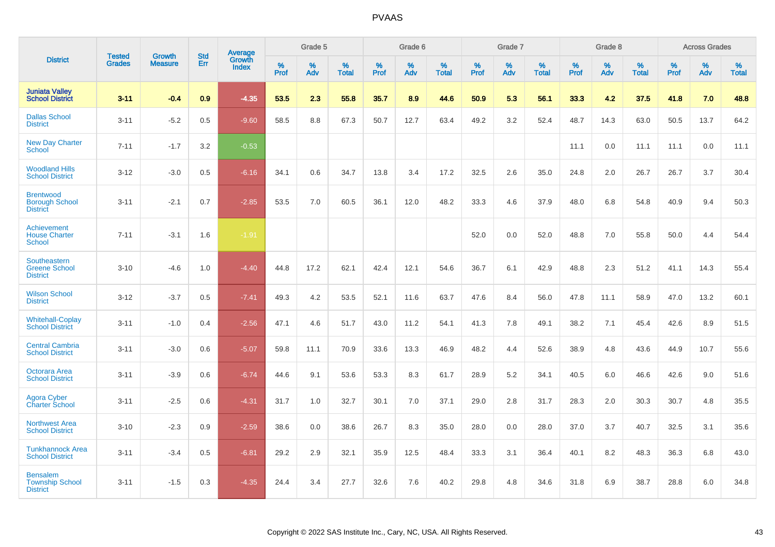|                                                              |                                |                          | <b>Std</b> | <b>Average</b>         |           | Grade 5  |                   |           | Grade 6  |                   |           | Grade 7  |                   |           | Grade 8  |                   |           | <b>Across Grades</b> |                   |
|--------------------------------------------------------------|--------------------------------|--------------------------|------------|------------------------|-----------|----------|-------------------|-----------|----------|-------------------|-----------|----------|-------------------|-----------|----------|-------------------|-----------|----------------------|-------------------|
| <b>District</b>                                              | <b>Tested</b><br><b>Grades</b> | Growth<br><b>Measure</b> | Err        | Growth<br><b>Index</b> | %<br>Prof | %<br>Adv | %<br><b>Total</b> | %<br>Prof | %<br>Adv | %<br><b>Total</b> | %<br>Prof | %<br>Adv | %<br><b>Total</b> | %<br>Prof | %<br>Adv | %<br><b>Total</b> | %<br>Prof | %<br>Adv             | %<br><b>Total</b> |
| <b>Juniata Valley</b><br><b>School District</b>              | $3 - 11$                       | $-0.4$                   | 0.9        | $-4.35$                | 53.5      | 2.3      | 55.8              | 35.7      | 8.9      | 44.6              | 50.9      | 5.3      | 56.1              | 33.3      | 4.2      | 37.5              | 41.8      | 7.0                  | 48.8              |
| <b>Dallas School</b><br><b>District</b>                      | $3 - 11$                       | $-5.2$                   | 0.5        | $-9.60$                | 58.5      | 8.8      | 67.3              | 50.7      | 12.7     | 63.4              | 49.2      | 3.2      | 52.4              | 48.7      | 14.3     | 63.0              | 50.5      | 13.7                 | 64.2              |
| <b>New Day Charter</b><br><b>School</b>                      | $7 - 11$                       | $-1.7$                   | 3.2        | $-0.53$                |           |          |                   |           |          |                   |           |          |                   | 11.1      | 0.0      | 11.1              | 11.1      | 0.0                  | 11.1              |
| <b>Woodland Hills</b><br><b>School District</b>              | $3 - 12$                       | $-3.0$                   | 0.5        | $-6.16$                | 34.1      | 0.6      | 34.7              | 13.8      | 3.4      | 17.2              | 32.5      | 2.6      | 35.0              | 24.8      | 2.0      | 26.7              | 26.7      | 3.7                  | 30.4              |
| <b>Brentwood</b><br><b>Borough School</b><br><b>District</b> | $3 - 11$                       | $-2.1$                   | 0.7        | $-2.85$                | 53.5      | 7.0      | 60.5              | 36.1      | 12.0     | 48.2              | 33.3      | 4.6      | 37.9              | 48.0      | 6.8      | 54.8              | 40.9      | 9.4                  | 50.3              |
| Achievement<br><b>House Charter</b><br><b>School</b>         | $7 - 11$                       | $-3.1$                   | 1.6        | $-1.91$                |           |          |                   |           |          |                   | 52.0      | 0.0      | 52.0              | 48.8      | 7.0      | 55.8              | 50.0      | 4.4                  | 54.4              |
| Southeastern<br><b>Greene School</b><br><b>District</b>      | $3 - 10$                       | $-4.6$                   | 1.0        | $-4.40$                | 44.8      | 17.2     | 62.1              | 42.4      | 12.1     | 54.6              | 36.7      | 6.1      | 42.9              | 48.8      | 2.3      | 51.2              | 41.1      | 14.3                 | 55.4              |
| <b>Wilson School</b><br><b>District</b>                      | $3 - 12$                       | $-3.7$                   | 0.5        | $-7.41$                | 49.3      | 4.2      | 53.5              | 52.1      | 11.6     | 63.7              | 47.6      | 8.4      | 56.0              | 47.8      | 11.1     | 58.9              | 47.0      | 13.2                 | 60.1              |
| <b>Whitehall-Coplay</b><br><b>School District</b>            | $3 - 11$                       | $-1.0$                   | 0.4        | $-2.56$                | 47.1      | 4.6      | 51.7              | 43.0      | 11.2     | 54.1              | 41.3      | 7.8      | 49.1              | 38.2      | 7.1      | 45.4              | 42.6      | 8.9                  | 51.5              |
| <b>Central Cambria</b><br><b>School District</b>             | $3 - 11$                       | $-3.0$                   | 0.6        | $-5.07$                | 59.8      | 11.1     | 70.9              | 33.6      | 13.3     | 46.9              | 48.2      | 4.4      | 52.6              | 38.9      | 4.8      | 43.6              | 44.9      | 10.7                 | 55.6              |
| Octorara Area<br><b>School District</b>                      | $3 - 11$                       | $-3.9$                   | 0.6        | $-6.74$                | 44.6      | 9.1      | 53.6              | 53.3      | 8.3      | 61.7              | 28.9      | 5.2      | 34.1              | 40.5      | 6.0      | 46.6              | 42.6      | 9.0                  | 51.6              |
| Agora Cyber<br><b>Charter School</b>                         | $3 - 11$                       | $-2.5$                   | 0.6        | $-4.31$                | 31.7      | 1.0      | 32.7              | 30.1      | 7.0      | 37.1              | 29.0      | 2.8      | 31.7              | 28.3      | 2.0      | 30.3              | 30.7      | 4.8                  | 35.5              |
| <b>Northwest Area</b><br><b>School District</b>              | $3 - 10$                       | $-2.3$                   | 0.9        | $-2.59$                | 38.6      | 0.0      | 38.6              | 26.7      | 8.3      | 35.0              | 28.0      | 0.0      | 28.0              | 37.0      | 3.7      | 40.7              | 32.5      | 3.1                  | 35.6              |
| <b>Tunkhannock Area</b><br><b>School District</b>            | $3 - 11$                       | $-3.4$                   | 0.5        | $-6.81$                | 29.2      | 2.9      | 32.1              | 35.9      | 12.5     | 48.4              | 33.3      | 3.1      | 36.4              | 40.1      | 8.2      | 48.3              | 36.3      | 6.8                  | 43.0              |
| <b>Bensalem</b><br><b>Township School</b><br><b>District</b> | $3 - 11$                       | $-1.5$                   | 0.3        | $-4.35$                | 24.4      | 3.4      | 27.7              | 32.6      | 7.6      | 40.2              | 29.8      | 4.8      | 34.6              | 31.8      | 6.9      | 38.7              | 28.8      | 6.0                  | 34.8              |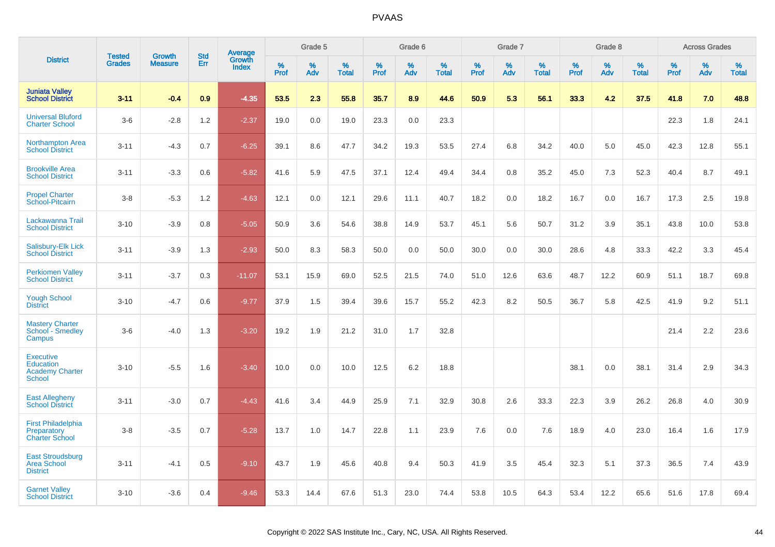|                                                                          | <b>Tested</b> | <b>Growth</b>  | <b>Std</b> |                                   |           | Grade 5  |                   |           | Grade 6  |                   |           | Grade 7  |                   |           | Grade 8  |                   |              | <b>Across Grades</b> |                   |
|--------------------------------------------------------------------------|---------------|----------------|------------|-----------------------------------|-----------|----------|-------------------|-----------|----------|-------------------|-----------|----------|-------------------|-----------|----------|-------------------|--------------|----------------------|-------------------|
| <b>District</b>                                                          | <b>Grades</b> | <b>Measure</b> | Err        | Average<br>Growth<br><b>Index</b> | %<br>Prof | %<br>Adv | %<br><b>Total</b> | %<br>Prof | %<br>Adv | %<br><b>Total</b> | %<br>Prof | %<br>Adv | %<br><b>Total</b> | %<br>Prof | %<br>Adv | %<br><b>Total</b> | $\%$<br>Prof | %<br>Adv             | %<br><b>Total</b> |
| <b>Juniata Valley</b><br><b>School District</b>                          | $3 - 11$      | $-0.4$         | 0.9        | $-4.35$                           | 53.5      | 2.3      | 55.8              | 35.7      | 8.9      | 44.6              | 50.9      | 5.3      | 56.1              | 33.3      | 4.2      | 37.5              | 41.8         | 7.0                  | 48.8              |
| <b>Universal Bluford</b><br><b>Charter School</b>                        | $3-6$         | $-2.8$         | 1.2        | $-2.37$                           | 19.0      | 0.0      | 19.0              | 23.3      | 0.0      | 23.3              |           |          |                   |           |          |                   | 22.3         | 1.8                  | 24.1              |
| <b>Northampton Area</b><br><b>School District</b>                        | $3 - 11$      | $-4.3$         | 0.7        | $-6.25$                           | 39.1      | 8.6      | 47.7              | 34.2      | 19.3     | 53.5              | 27.4      | 6.8      | 34.2              | 40.0      | 5.0      | 45.0              | 42.3         | 12.8                 | 55.1              |
| <b>Brookville Area</b><br><b>School District</b>                         | $3 - 11$      | $-3.3$         | 0.6        | $-5.82$                           | 41.6      | 5.9      | 47.5              | 37.1      | 12.4     | 49.4              | 34.4      | 0.8      | 35.2              | 45.0      | 7.3      | 52.3              | 40.4         | 8.7                  | 49.1              |
| <b>Propel Charter</b><br>School-Pitcairn                                 | $3-8$         | $-5.3$         | 1.2        | $-4.63$                           | 12.1      | 0.0      | 12.1              | 29.6      | 11.1     | 40.7              | 18.2      | 0.0      | 18.2              | 16.7      | 0.0      | 16.7              | 17.3         | 2.5                  | 19.8              |
| Lackawanna Trail<br><b>School District</b>                               | $3 - 10$      | $-3.9$         | 0.8        | $-5.05$                           | 50.9      | 3.6      | 54.6              | 38.8      | 14.9     | 53.7              | 45.1      | 5.6      | 50.7              | 31.2      | 3.9      | 35.1              | 43.8         | 10.0                 | 53.8              |
| Salisbury-Elk Lick<br><b>School District</b>                             | $3 - 11$      | $-3.9$         | 1.3        | $-2.93$                           | 50.0      | 8.3      | 58.3              | 50.0      | 0.0      | 50.0              | 30.0      | 0.0      | 30.0              | 28.6      | 4.8      | 33.3              | 42.2         | 3.3                  | 45.4              |
| <b>Perkiomen Valley</b><br><b>School District</b>                        | $3 - 11$      | $-3.7$         | 0.3        | $-11.07$                          | 53.1      | 15.9     | 69.0              | 52.5      | 21.5     | 74.0              | 51.0      | 12.6     | 63.6              | 48.7      | 12.2     | 60.9              | 51.1         | 18.7                 | 69.8              |
| <b>Yough School</b><br><b>District</b>                                   | $3 - 10$      | $-4.7$         | 0.6        | $-9.77$                           | 37.9      | 1.5      | 39.4              | 39.6      | 15.7     | 55.2              | 42.3      | 8.2      | 50.5              | 36.7      | 5.8      | 42.5              | 41.9         | 9.2                  | 51.1              |
| <b>Mastery Charter</b><br>School - Smedley<br>Campus                     | $3-6$         | $-4.0$         | 1.3        | $-3.20$                           | 19.2      | 1.9      | 21.2              | 31.0      | 1.7      | 32.8              |           |          |                   |           |          |                   | 21.4         | 2.2                  | 23.6              |
| <b>Executive</b><br>Education<br><b>Academy Charter</b><br><b>School</b> | $3 - 10$      | $-5.5$         | 1.6        | $-3.40$                           | 10.0      | 0.0      | 10.0              | 12.5      | 6.2      | 18.8              |           |          |                   | 38.1      | 0.0      | 38.1              | 31.4         | 2.9                  | 34.3              |
| <b>East Allegheny</b><br><b>School District</b>                          | $3 - 11$      | $-3.0$         | 0.7        | $-4.43$                           | 41.6      | 3.4      | 44.9              | 25.9      | 7.1      | 32.9              | 30.8      | 2.6      | 33.3              | 22.3      | 3.9      | 26.2              | 26.8         | 4.0                  | 30.9              |
| <b>First Philadelphia</b><br>Preparatory<br><b>Charter School</b>        | $3-8$         | $-3.5$         | 0.7        | $-5.28$                           | 13.7      | 1.0      | 14.7              | 22.8      | 1.1      | 23.9              | 7.6       | 0.0      | 7.6               | 18.9      | 4.0      | 23.0              | 16.4         | 1.6                  | 17.9              |
| <b>East Stroudsburg</b><br><b>Area School</b><br><b>District</b>         | $3 - 11$      | $-4.1$         | 0.5        | $-9.10$                           | 43.7      | 1.9      | 45.6              | 40.8      | 9.4      | 50.3              | 41.9      | 3.5      | 45.4              | 32.3      | 5.1      | 37.3              | 36.5         | 7.4                  | 43.9              |
| <b>Garnet Valley</b><br><b>School District</b>                           | $3 - 10$      | $-3.6$         | 0.4        | $-9.46$                           | 53.3      | 14.4     | 67.6              | 51.3      | 23.0     | 74.4              | 53.8      | 10.5     | 64.3              | 53.4      | 12.2     | 65.6              | 51.6         | 17.8                 | 69.4              |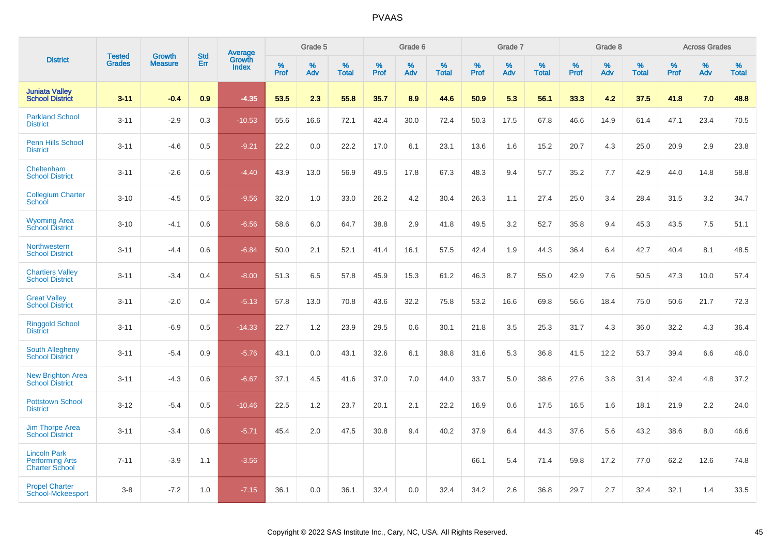|                                                                        |                                | <b>Growth</b>  | <b>Std</b> | Average                |              | Grade 5     |                      |                     | Grade 6     |                      |              | Grade 7     |                      |              | Grade 8     |                   |                     | <b>Across Grades</b> |                      |
|------------------------------------------------------------------------|--------------------------------|----------------|------------|------------------------|--------------|-------------|----------------------|---------------------|-------------|----------------------|--------------|-------------|----------------------|--------------|-------------|-------------------|---------------------|----------------------|----------------------|
| <b>District</b>                                                        | <b>Tested</b><br><b>Grades</b> | <b>Measure</b> | Err        | Growth<br><b>Index</b> | $\%$<br>Prof | $\%$<br>Adv | $\%$<br><b>Total</b> | $\%$<br><b>Prof</b> | $\%$<br>Adv | $\%$<br><b>Total</b> | $\%$<br>Prof | $\%$<br>Adv | $\%$<br><b>Total</b> | $\%$<br>Prof | $\%$<br>Adv | %<br><b>Total</b> | $\%$<br><b>Prof</b> | $\%$<br>Adv          | $\%$<br><b>Total</b> |
| <b>Juniata Valley</b><br><b>School District</b>                        | $3 - 11$                       | $-0.4$         | 0.9        | $-4.35$                | 53.5         | 2.3         | 55.8                 | 35.7                | 8.9         | 44.6                 | 50.9         | 5.3         | 56.1                 | 33.3         | 4.2         | 37.5              | 41.8                | 7.0                  | 48.8                 |
| <b>Parkland School</b><br><b>District</b>                              | $3 - 11$                       | $-2.9$         | 0.3        | $-10.53$               | 55.6         | 16.6        | 72.1                 | 42.4                | 30.0        | 72.4                 | 50.3         | 17.5        | 67.8                 | 46.6         | 14.9        | 61.4              | 47.1                | 23.4                 | 70.5                 |
| <b>Penn Hills School</b><br><b>District</b>                            | $3 - 11$                       | $-4.6$         | 0.5        | $-9.21$                | 22.2         | 0.0         | 22.2                 | 17.0                | 6.1         | 23.1                 | 13.6         | 1.6         | 15.2                 | 20.7         | 4.3         | 25.0              | 20.9                | 2.9                  | 23.8                 |
| Cheltenham<br><b>School District</b>                                   | $3 - 11$                       | $-2.6$         | 0.6        | $-4.40$                | 43.9         | 13.0        | 56.9                 | 49.5                | 17.8        | 67.3                 | 48.3         | 9.4         | 57.7                 | 35.2         | 7.7         | 42.9              | 44.0                | 14.8                 | 58.8                 |
| <b>Collegium Charter</b><br>School                                     | $3 - 10$                       | $-4.5$         | 0.5        | $-9.56$                | 32.0         | 1.0         | 33.0                 | 26.2                | 4.2         | 30.4                 | 26.3         | 1.1         | 27.4                 | 25.0         | 3.4         | 28.4              | 31.5                | 3.2                  | 34.7                 |
| <b>Wyoming Area</b><br><b>School District</b>                          | $3 - 10$                       | $-4.1$         | 0.6        | $-6.56$                | 58.6         | 6.0         | 64.7                 | 38.8                | 2.9         | 41.8                 | 49.5         | 3.2         | 52.7                 | 35.8         | 9.4         | 45.3              | 43.5                | 7.5                  | 51.1                 |
| Northwestern<br><b>School District</b>                                 | $3 - 11$                       | $-4.4$         | 0.6        | $-6.84$                | 50.0         | 2.1         | 52.1                 | 41.4                | 16.1        | 57.5                 | 42.4         | 1.9         | 44.3                 | 36.4         | 6.4         | 42.7              | 40.4                | 8.1                  | 48.5                 |
| <b>Chartiers Valley</b><br><b>School District</b>                      | $3 - 11$                       | $-3.4$         | 0.4        | $-8.00$                | 51.3         | 6.5         | 57.8                 | 45.9                | 15.3        | 61.2                 | 46.3         | 8.7         | 55.0                 | 42.9         | 7.6         | 50.5              | 47.3                | 10.0                 | 57.4                 |
| <b>Great Valley</b><br><b>School District</b>                          | $3 - 11$                       | $-2.0$         | 0.4        | $-5.13$                | 57.8         | 13.0        | 70.8                 | 43.6                | 32.2        | 75.8                 | 53.2         | 16.6        | 69.8                 | 56.6         | 18.4        | 75.0              | 50.6                | 21.7                 | 72.3                 |
| <b>Ringgold School</b><br><b>District</b>                              | $3 - 11$                       | $-6.9$         | 0.5        | $-14.33$               | 22.7         | 1.2         | 23.9                 | 29.5                | 0.6         | 30.1                 | 21.8         | 3.5         | 25.3                 | 31.7         | 4.3         | 36.0              | 32.2                | 4.3                  | 36.4                 |
| South Allegheny<br><b>School District</b>                              | $3 - 11$                       | $-5.4$         | 0.9        | $-5.76$                | 43.1         | 0.0         | 43.1                 | 32.6                | 6.1         | 38.8                 | 31.6         | 5.3         | 36.8                 | 41.5         | 12.2        | 53.7              | 39.4                | 6.6                  | 46.0                 |
| <b>New Brighton Area</b><br><b>School District</b>                     | $3 - 11$                       | $-4.3$         | 0.6        | $-6.67$                | 37.1         | 4.5         | 41.6                 | 37.0                | 7.0         | 44.0                 | 33.7         | 5.0         | 38.6                 | 27.6         | 3.8         | 31.4              | 32.4                | 4.8                  | 37.2                 |
| <b>Pottstown School</b><br><b>District</b>                             | $3 - 12$                       | $-5.4$         | 0.5        | $-10.46$               | 22.5         | 1.2         | 23.7                 | 20.1                | 2.1         | 22.2                 | 16.9         | 0.6         | 17.5                 | 16.5         | 1.6         | 18.1              | 21.9                | 2.2                  | 24.0                 |
| <b>Jim Thorpe Area</b><br><b>School District</b>                       | $3 - 11$                       | $-3.4$         | 0.6        | $-5.71$                | 45.4         | 2.0         | 47.5                 | 30.8                | 9.4         | 40.2                 | 37.9         | 6.4         | 44.3                 | 37.6         | 5.6         | 43.2              | 38.6                | 8.0                  | 46.6                 |
| <b>Lincoln Park</b><br><b>Performing Arts</b><br><b>Charter School</b> | $7 - 11$                       | $-3.9$         | 1.1        | $-3.56$                |              |             |                      |                     |             |                      | 66.1         | 5.4         | 71.4                 | 59.8         | 17.2        | 77.0              | 62.2                | 12.6                 | 74.8                 |
| <b>Propel Charter</b><br>School-Mckeesport                             | $3 - 8$                        | $-7.2$         | 1.0        | $-7.15$                | 36.1         | 0.0         | 36.1                 | 32.4                | 0.0         | 32.4                 | 34.2         | 2.6         | 36.8                 | 29.7         | 2.7         | 32.4              | 32.1                | 1.4                  | 33.5                 |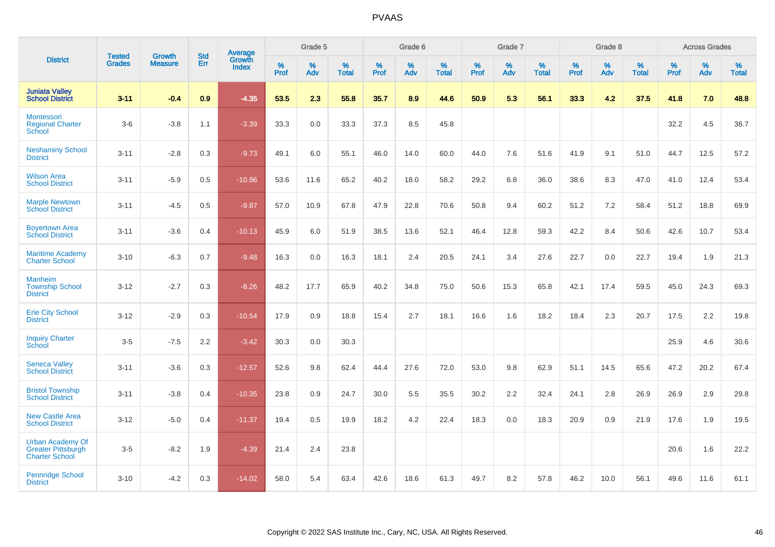|                                                                               | <b>Tested</b> | <b>Growth</b>  | <b>Std</b> | Average                       |           | Grade 5  |                   |           | Grade 6  |                   |           | Grade 7  |                   |           | Grade 8  |                   |           | <b>Across Grades</b> |                   |
|-------------------------------------------------------------------------------|---------------|----------------|------------|-------------------------------|-----------|----------|-------------------|-----------|----------|-------------------|-----------|----------|-------------------|-----------|----------|-------------------|-----------|----------------------|-------------------|
| <b>District</b>                                                               | <b>Grades</b> | <b>Measure</b> | Err        | <b>Growth</b><br><b>Index</b> | %<br>Prof | %<br>Adv | %<br><b>Total</b> | %<br>Prof | %<br>Adv | %<br><b>Total</b> | %<br>Prof | %<br>Adv | %<br><b>Total</b> | %<br>Prof | %<br>Adv | %<br><b>Total</b> | %<br>Prof | %<br>Adv             | %<br><b>Total</b> |
| <b>Juniata Valley</b><br><b>School District</b>                               | $3 - 11$      | $-0.4$         | 0.9        | $-4.35$                       | 53.5      | 2.3      | 55.8              | 35.7      | 8.9      | 44.6              | 50.9      | 5.3      | 56.1              | 33.3      | 4.2      | 37.5              | 41.8      | 7.0                  | 48.8              |
| Montessori<br><b>Regional Charter</b><br>School                               | $3-6$         | $-3.8$         | 1.1        | $-3.39$                       | 33.3      | $0.0\,$  | 33.3              | 37.3      | 8.5      | 45.8              |           |          |                   |           |          |                   | 32.2      | 4.5                  | 36.7              |
| <b>Neshaminy School</b><br><b>District</b>                                    | $3 - 11$      | $-2.8$         | 0.3        | $-9.73$                       | 49.1      | 6.0      | 55.1              | 46.0      | 14.0     | 60.0              | 44.0      | 7.6      | 51.6              | 41.9      | 9.1      | 51.0              | 44.7      | 12.5                 | 57.2              |
| <b>Wilson Area</b><br><b>School District</b>                                  | $3 - 11$      | $-5.9$         | 0.5        | $-10.96$                      | 53.6      | 11.6     | 65.2              | 40.2      | 18.0     | 58.2              | 29.2      | 6.8      | 36.0              | 38.6      | 8.3      | 47.0              | 41.0      | 12.4                 | 53.4              |
| <b>Marple Newtown</b><br><b>School District</b>                               | $3 - 11$      | $-4.5$         | 0.5        | $-9.87$                       | 57.0      | 10.9     | 67.8              | 47.9      | 22.8     | 70.6              | 50.8      | 9.4      | 60.2              | 51.2      | 7.2      | 58.4              | 51.2      | 18.8                 | 69.9              |
| <b>Boyertown Area</b><br><b>School District</b>                               | $3 - 11$      | $-3.6$         | 0.4        | $-10.13$                      | 45.9      | 6.0      | 51.9              | 38.5      | 13.6     | 52.1              | 46.4      | 12.8     | 59.3              | 42.2      | 8.4      | 50.6              | 42.6      | 10.7                 | 53.4              |
| <b>Maritime Academy</b><br><b>Charter School</b>                              | $3 - 10$      | $-6.3$         | 0.7        | $-9.48$                       | 16.3      | 0.0      | 16.3              | 18.1      | 2.4      | 20.5              | 24.1      | 3.4      | 27.6              | 22.7      | 0.0      | 22.7              | 19.4      | 1.9                  | 21.3              |
| <b>Manheim</b><br><b>Township School</b><br><b>District</b>                   | $3 - 12$      | $-2.7$         | 0.3        | $-8.26$                       | 48.2      | 17.7     | 65.9              | 40.2      | 34.8     | 75.0              | 50.6      | 15.3     | 65.8              | 42.1      | 17.4     | 59.5              | 45.0      | 24.3                 | 69.3              |
| <b>Erie City School</b><br><b>District</b>                                    | $3 - 12$      | $-2.9$         | 0.3        | $-10.54$                      | 17.9      | 0.9      | 18.8              | 15.4      | 2.7      | 18.1              | 16.6      | 1.6      | 18.2              | 18.4      | 2.3      | 20.7              | 17.5      | 2.2                  | 19.8              |
| <b>Inquiry Charter</b><br>School                                              | $3-5$         | $-7.5$         | 2.2        | $-3.42$                       | 30.3      | 0.0      | 30.3              |           |          |                   |           |          |                   |           |          |                   | 25.9      | 4.6                  | 30.6              |
| <b>Seneca Valley</b><br><b>School District</b>                                | $3 - 11$      | $-3.6$         | 0.3        | $-12.57$                      | 52.6      | 9.8      | 62.4              | 44.4      | 27.6     | 72.0              | 53.0      | 9.8      | 62.9              | 51.1      | 14.5     | 65.6              | 47.2      | 20.2                 | 67.4              |
| <b>Bristol Township</b><br><b>School District</b>                             | $3 - 11$      | $-3.8$         | 0.4        | $-10.35$                      | 23.8      | 0.9      | 24.7              | 30.0      | 5.5      | 35.5              | 30.2      | 2.2      | 32.4              | 24.1      | 2.8      | 26.9              | 26.9      | 2.9                  | 29.8              |
| <b>New Castle Area</b><br><b>School District</b>                              | $3 - 12$      | $-5.0$         | 0.4        | $-11.37$                      | 19.4      | 0.5      | 19.9              | 18.2      | 4.2      | 22.4              | 18.3      | 0.0      | 18.3              | 20.9      | 0.9      | 21.9              | 17.6      | 1.9                  | 19.5              |
| <b>Urban Academy Of</b><br><b>Greater Pittsburgh</b><br><b>Charter School</b> | $3-5$         | $-8.2$         | 1.9        | $-4.39$                       | 21.4      | 2.4      | 23.8              |           |          |                   |           |          |                   |           |          |                   | 20.6      | 1.6                  | 22.2              |
| <b>Pennridge School</b><br><b>District</b>                                    | $3 - 10$      | $-4.2$         | 0.3        | $-14.02$                      | 58.0      | 5.4      | 63.4              | 42.6      | 18.6     | 61.3              | 49.7      | 8.2      | 57.8              | 46.2      | 10.0     | 56.1              | 49.6      | 11.6                 | 61.1              |